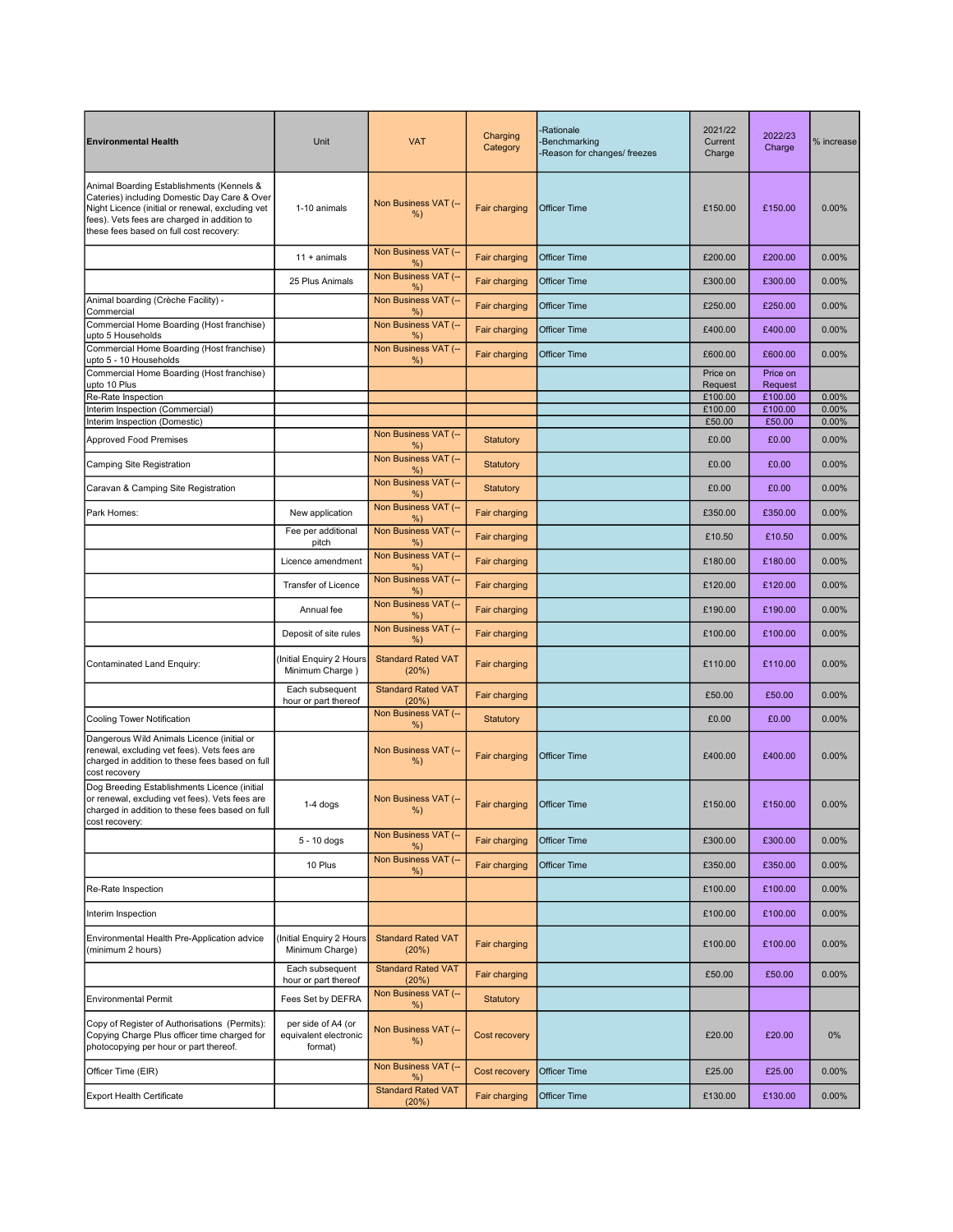| <b>Environmental Health</b>                                                                                                                                                                                                             | Unit                                                   | <b>VAT</b>                         | Charging<br>Category         | -Rationale<br>-Benchmarking<br>-Reason for changes/ freezes | 2021/22<br>Current<br>Charge | 2022/23<br>Charge   | % increase     |
|-----------------------------------------------------------------------------------------------------------------------------------------------------------------------------------------------------------------------------------------|--------------------------------------------------------|------------------------------------|------------------------------|-------------------------------------------------------------|------------------------------|---------------------|----------------|
| Animal Boarding Establishments (Kennels &<br>Cateries) including Domestic Day Care & Over<br>Night Licence (initial or renewal, excluding vet<br>fees). Vets fees are charged in addition to<br>these fees based on full cost recovery: | 1-10 animals                                           | Non Business VAT (--<br>$%$ )      | Fair charging                | <b>Officer Time</b>                                         | £150.00                      | £150.00             | 0.00%          |
|                                                                                                                                                                                                                                         | $11 +$ animals                                         | Non Business VAT (--<br>%)         | Fair charging                | <b>Officer Time</b>                                         | £200.00                      | £200.00             | 0.00%          |
|                                                                                                                                                                                                                                         | 25 Plus Animals                                        | Non Business VAT (--<br>$%$ )      | Fair charging                | <b>Officer Time</b>                                         | £300.00                      | £300.00             | 0.00%          |
| Animal boarding (Crèche Facility) -<br>Commercial                                                                                                                                                                                       |                                                        | Non Business VAT (--<br>$%$ )      | Fair charging                | <b>Officer Time</b>                                         | £250.00                      | £250.00             | 0.00%          |
| Commercial Home Boarding (Host franchise)<br>upto 5 Households                                                                                                                                                                          |                                                        | Non Business VAT (--<br>%)         | Fair charging                | <b>Officer Time</b>                                         | £400.00                      | £400.00             | 0.00%          |
| Commercial Home Boarding (Host franchise)<br>upto 5 - 10 Households                                                                                                                                                                     |                                                        | Non Business VAT (--<br>%)         | Fair charging                | <b>Officer Time</b>                                         | £600.00                      | £600.00             | 0.00%          |
| Commercial Home Boarding (Host franchise)<br>upto 10 Plus                                                                                                                                                                               |                                                        |                                    |                              |                                                             | Price on<br>Request          | Price on<br>Request |                |
| Re-Rate Inspection                                                                                                                                                                                                                      |                                                        |                                    |                              |                                                             | £100.00                      | £100.00             | 0.00%          |
| Interim Inspection (Commercial)                                                                                                                                                                                                         |                                                        |                                    |                              |                                                             | £100.00<br>£50.00            | £100.00<br>£50.00   | 0.00%<br>0.00% |
| Interim Inspection (Domestic)<br><b>Approved Food Premises</b>                                                                                                                                                                          |                                                        | Non Business VAT (--               | Statutory                    |                                                             | £0.00                        | £0.00               | 0.00%          |
| Camping Site Registration                                                                                                                                                                                                               |                                                        | $%$ )<br>Non Business VAT (--      | <b>Statutory</b>             |                                                             | £0.00                        | £0.00               | 0.00%          |
| Caravan & Camping Site Registration                                                                                                                                                                                                     |                                                        | $%$ )<br>Non Business VAT (--      | <b>Statutory</b>             |                                                             | £0.00                        | £0.00               | 0.00%          |
| Park Homes:                                                                                                                                                                                                                             | New application                                        | %<br>Non Business VAT (--          | Fair charging                |                                                             | £350.00                      | £350.00             | 0.00%          |
|                                                                                                                                                                                                                                         | Fee per additional                                     | %)<br>Non Business VAT (--         | Fair charging                |                                                             | £10.50                       | £10.50              | 0.00%          |
|                                                                                                                                                                                                                                         | pitch<br>Licence amendment                             | %)<br>Non Business VAT (--         | Fair charging                |                                                             | £180.00                      | £180.00             | 0.00%          |
|                                                                                                                                                                                                                                         | Transfer of Licence                                    | %)<br>Non Business VAT (--<br>%    | Fair charging                |                                                             | £120.00                      | £120.00             | 0.00%          |
|                                                                                                                                                                                                                                         | Annual fee                                             | Non Business VAT (--<br>%          | Fair charging                |                                                             | £190.00                      | £190.00             | 0.00%          |
|                                                                                                                                                                                                                                         | Deposit of site rules                                  | Non Business VAT (--<br>%)         | Fair charging                |                                                             | £100.00                      | £100.00             | 0.00%          |
| Contaminated Land Enquiry:                                                                                                                                                                                                              | Initial Enquiry 2 Hours<br>Minimum Charge)             | <b>Standard Rated VAT</b><br>(20%) | Fair charging                |                                                             | £110.00                      | £110.00             | $0.00\%$       |
|                                                                                                                                                                                                                                         | Each subsequent<br>hour or part thereof                | <b>Standard Rated VAT</b><br>(20%) | Fair charging                |                                                             | £50.00                       | £50.00              | 0.00%          |
| Cooling Tower Notification                                                                                                                                                                                                              |                                                        | Non Business VAT (--<br>%)         | Statutory                    |                                                             | £0.00                        | £0.00               | 0.00%          |
| Dangerous Wild Animals Licence (initial or<br>renewal, excluding vet fees). Vets fees are<br>charged in addition to these fees based on full<br>cost recovery                                                                           |                                                        | Non Business VAT (--<br>%)         | Fair charging                | <b>Officer Time</b>                                         | £400.00                      | £400.00             | 0.00%          |
| Dog Breeding Establishments Licence (initial<br>or renewal, excluding vet fees). Vets fees are<br>charged in addition to these fees based on full<br>cost recovery:                                                                     | $1-4$ dogs                                             | Non Business VAT (--<br>%)         | Fair charging   Officer Time |                                                             | £150.00                      | £150.00             | 0.00%          |
|                                                                                                                                                                                                                                         | $5 - 10$ dogs                                          | Non Business VAT (--<br>%)         | Fair charging                | Officer Time                                                | £300.00                      | £300.00             | 0.00%          |
|                                                                                                                                                                                                                                         | 10 Plus                                                | Non Business VAT (--<br>%          | Fair charging                | Officer Time                                                | £350.00                      | £350.00             | 0.00%          |
| Re-Rate Inspection                                                                                                                                                                                                                      |                                                        |                                    |                              |                                                             | £100.00                      | £100.00             | 0.00%          |
| Interim Inspection                                                                                                                                                                                                                      |                                                        |                                    |                              |                                                             | £100.00                      | £100.00             | 0.00%          |
| Environmental Health Pre-Application advice<br>(minimum 2 hours)                                                                                                                                                                        | Initial Enquiry 2 Hours<br>Minimum Charge)             | <b>Standard Rated VAT</b><br>(20%) | Fair charging                |                                                             | £100.00                      | £100.00             | 0.00%          |
|                                                                                                                                                                                                                                         | Each subsequent<br>hour or part thereof                | <b>Standard Rated VAT</b><br>(20%) | Fair charging                |                                                             | £50.00                       | £50.00              | 0.00%          |
| <b>Environmental Permit</b>                                                                                                                                                                                                             | Fees Set by DEFRA                                      | Non Business VAT (--<br>%)         | Statutory                    |                                                             |                              |                     |                |
| Copy of Register of Authorisations (Permits):<br>Copying Charge Plus officer time charged for<br>photocopying per hour or part thereof.                                                                                                 | per side of A4 (or<br>equivalent electronic<br>format) | Non Business VAT (--<br>$%$ )      | Cost recovery                |                                                             | £20.00                       | £20.00              | 0%             |
| Officer Time (EIR)                                                                                                                                                                                                                      |                                                        | Non Business VAT (--<br>$%$ )      | Cost recovery                | Officer Time                                                | £25.00                       | £25.00              | 0.00%          |
| <b>Export Health Certificate</b>                                                                                                                                                                                                        |                                                        | <b>Standard Rated VAT</b><br>(20%) | Fair charging                | Officer Time                                                | £130.00                      | £130.00             | 0.00%          |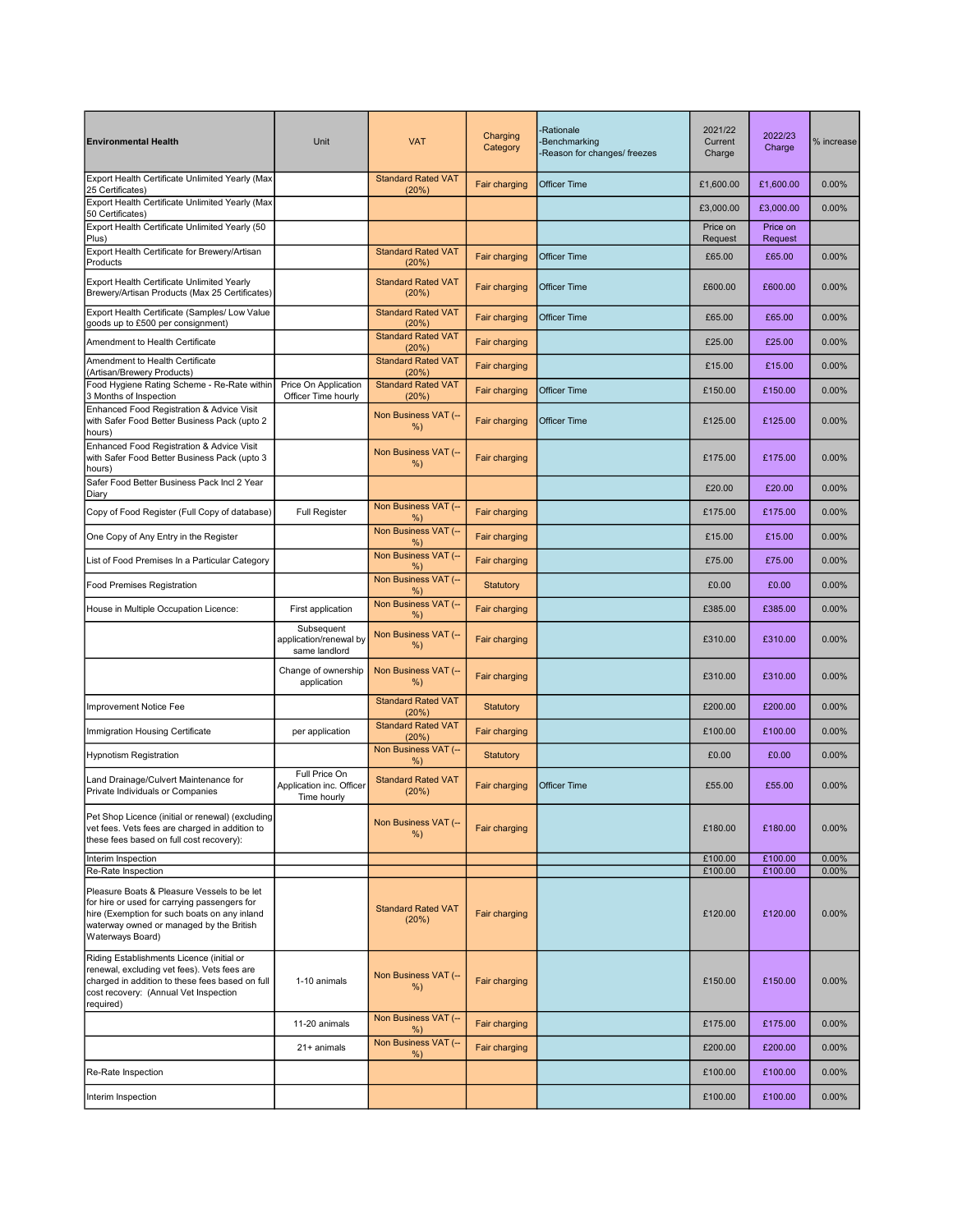| <b>Environmental Health</b>                                                                                                                                                                                 | Unit                                                     | <b>VAT</b>                         | Charging<br>Category | -Rationale<br>-Benchmarking<br>-Reason for changes/ freezes | 2021/22<br>Current<br>Charge | 2022/23<br>Charge   | % increase        |
|-------------------------------------------------------------------------------------------------------------------------------------------------------------------------------------------------------------|----------------------------------------------------------|------------------------------------|----------------------|-------------------------------------------------------------|------------------------------|---------------------|-------------------|
| Export Health Certificate Unlimited Yearly (Max<br>25 Certificates)                                                                                                                                         |                                                          | <b>Standard Rated VAT</b><br>(20%) | Fair charging        | <b>Officer Time</b>                                         | £1,600.00                    | £1,600.00           | 0.00%             |
| Export Health Certificate Unlimited Yearly (Max<br>50 Certificates)                                                                                                                                         |                                                          |                                    |                      |                                                             | £3,000.00                    | £3,000.00           | 0.00%             |
| Export Health Certificate Unlimited Yearly (50<br>Plus)                                                                                                                                                     |                                                          |                                    |                      |                                                             | Price on<br>Request          | Price on<br>Request |                   |
| Export Health Certificate for Brewery/Artisan<br>Products                                                                                                                                                   |                                                          | <b>Standard Rated VAT</b><br>(20%) | Fair charging        | Officer Time                                                | £65.00                       | £65.00              | 0.00%             |
| Export Health Certificate Unlimited Yearly<br>Brewery/Artisan Products (Max 25 Certificates)                                                                                                                |                                                          | <b>Standard Rated VAT</b><br>(20%) | Fair charging        | Officer Time                                                | £600.00                      | £600.00             | 0.00%             |
| Export Health Certificate (Samples/ Low Value<br>goods up to £500 per consignment)                                                                                                                          |                                                          | <b>Standard Rated VAT</b><br>(20%) | Fair charging        | <b>Officer Time</b>                                         | £65.00                       | £65.00              | 0.00%             |
| Amendment to Health Certificate                                                                                                                                                                             |                                                          | <b>Standard Rated VAT</b><br>(20%) | Fair charging        |                                                             | £25.00                       | £25.00              | 0.00%             |
| Amendment to Health Certificate<br>(Artisan/Brewery Products)                                                                                                                                               |                                                          | <b>Standard Rated VAT</b><br>(20%) | Fair charging        |                                                             | £15.00                       | £15.00              | 0.00%             |
| Food Hygiene Rating Scheme - Re-Rate within<br>3 Months of Inspection                                                                                                                                       | Price On Application<br>Officer Time hourly              | <b>Standard Rated VAT</b><br>(20%) | Fair charging        | Officer Time                                                | £150.00                      | £150.00             | 0.00%             |
| Enhanced Food Registration & Advice Visit<br>with Safer Food Better Business Pack (upto 2<br>hours)                                                                                                         |                                                          | Non Business VAT (--<br>$%$ )      | Fair charging        | <b>Officer Time</b>                                         | £125.00                      | £125.00             | 0.00%             |
| Enhanced Food Registration & Advice Visit<br>with Safer Food Better Business Pack (upto 3<br>hours)                                                                                                         |                                                          | Non Business VAT (--<br>$%$ )      | Fair charging        |                                                             | £175.00                      | £175.00             | 0.00%             |
| Safer Food Better Business Pack Incl 2 Year<br>Diary                                                                                                                                                        |                                                          |                                    |                      |                                                             | £20.00                       | £20.00              | 0.00%             |
| Copy of Food Register (Full Copy of database)                                                                                                                                                               | <b>Full Register</b>                                     | Non Business VAT (--<br>%          | Fair charging        |                                                             | £175.00                      | £175.00             | 0.00%             |
| One Copy of Any Entry in the Register                                                                                                                                                                       |                                                          | Non Business VAT (--<br>%)         | Fair charging        |                                                             | £15.00                       | £15.00              | 0.00%             |
| List of Food Premises In a Particular Category                                                                                                                                                              |                                                          | Non Business VAT (--<br>%)         | Fair charging        |                                                             | £75.00                       | £75.00              | 0.00%             |
| Food Premises Registration                                                                                                                                                                                  |                                                          | Non Business VAT (--<br>%)         | <b>Statutory</b>     |                                                             | £0.00                        | £0.00               | 0.00%             |
| House in Multiple Occupation Licence:                                                                                                                                                                       | First application                                        | Non Business VAT (--<br>$%$ )      | Fair charging        |                                                             | £385.00                      | £385.00             | 0.00%             |
|                                                                                                                                                                                                             | Subsequent<br>application/renewal by<br>same landlord    | Non Business VAT (--<br>%          | <b>Fair charging</b> |                                                             | £310.00                      | £310.00             | 0.00%             |
|                                                                                                                                                                                                             | Change of ownership<br>application                       | Non Business VAT (--<br>$%$ )      | Fair charging        |                                                             | £310.00                      | £310.00             | 0.00%             |
| Improvement Notice Fee                                                                                                                                                                                      |                                                          | <b>Standard Rated VAT</b><br>(20%) | <b>Statutory</b>     |                                                             | £200.00                      | £200.00             | 0.00%             |
| Immigration Housing Certificate                                                                                                                                                                             | per application                                          | <b>Standard Rated VAT</b><br>(20%) | Fair charging        |                                                             | £100.00                      | £100.00             | 0.00%             |
| <b>Hypnotism Registration</b>                                                                                                                                                                               |                                                          | Non Business VAT (--<br>$%$ )      | Statutory            |                                                             | £0.00                        | £0.00               | 0.00%             |
| Land Drainage/Culvert Maintenance for<br>Private Individuals or Companies                                                                                                                                   | Full Price On<br>Application inc. Officer<br>Time hourly | <b>Standard Rated VAT</b><br>(20%) | Fair charging        | Officer Time                                                | £55.00                       | £55.00              | 0.00%             |
| Pet Shop Licence (initial or renewal) (excluding<br>vet fees. Vets fees are charged in addition to<br>these fees based on full cost recovery):                                                              |                                                          | Non Business VAT (--<br>%          | Fair charging        |                                                             | £180.00                      | £180.00             | 0.00%             |
| Interim Inspection<br>Re-Rate Inspection                                                                                                                                                                    |                                                          |                                    |                      |                                                             | £100.00<br>£100.00           | £100.00<br>£100.00  | $0.00\%$<br>0.00% |
| Pleasure Boats & Pleasure Vessels to be let<br>for hire or used for carrying passengers for<br>hire (Exemption for such boats on any inland<br>waterway owned or managed by the British<br>Waterways Board) |                                                          | <b>Standard Rated VAT</b><br>(20%) | Fair charging        |                                                             | £120.00                      | £120.00             | $0.00\%$          |
| Riding Establishments Licence (initial or<br>renewal, excluding vet fees). Vets fees are<br>charged in addition to these fees based on full<br>cost recovery: (Annual Vet Inspection<br>required)           | 1-10 animals                                             | Non Business VAT (--<br>%)         | Fair charging        |                                                             | £150.00                      | £150.00             | 0.00%             |
|                                                                                                                                                                                                             | 11-20 animals                                            | Non Business VAT (--<br>%)         | Fair charging        |                                                             | £175.00                      | £175.00             | 0.00%             |
|                                                                                                                                                                                                             | 21+ animals                                              | Non Business VAT (--<br>$%$ )      | Fair charging        |                                                             | £200.00                      | £200.00             | 0.00%             |
| Re-Rate Inspection                                                                                                                                                                                          |                                                          |                                    |                      |                                                             | £100.00                      | £100.00             | 0.00%             |
| Interim Inspection                                                                                                                                                                                          |                                                          |                                    |                      |                                                             | £100.00                      | £100.00             | $0.00\%$          |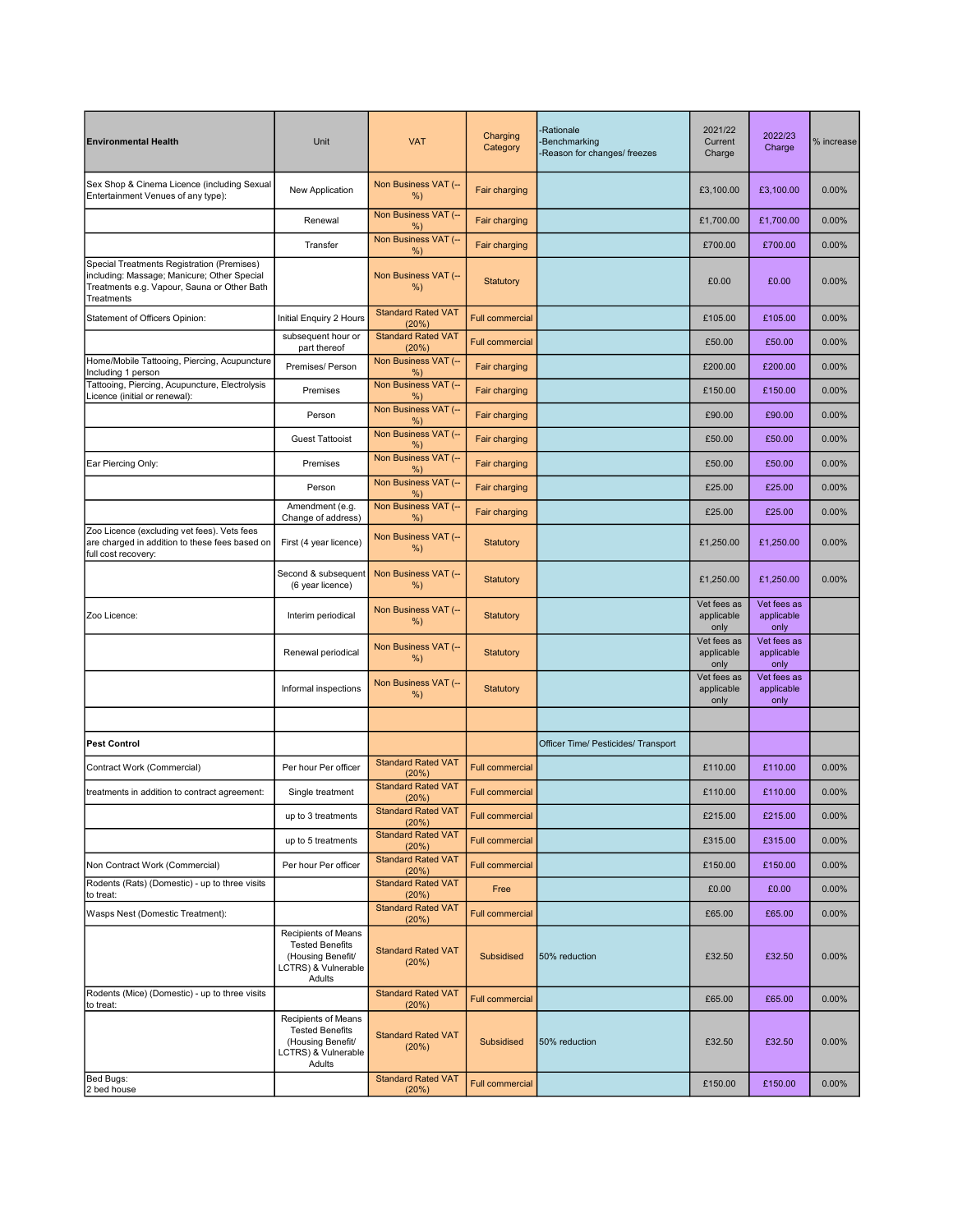| <b>Environmental Health</b>                                                                                                                            | Unit                                                                                                | <b>VAT</b>                         | Charging<br>Category   | <b>Rationale</b><br><b>Benchmarking</b><br>Reason for changes/ freezes | 2021/22<br>Current<br>Charge      | 2022/23<br>Charge                 | % increase |
|--------------------------------------------------------------------------------------------------------------------------------------------------------|-----------------------------------------------------------------------------------------------------|------------------------------------|------------------------|------------------------------------------------------------------------|-----------------------------------|-----------------------------------|------------|
| Sex Shop & Cinema Licence (including Sexual<br>Entertainment Venues of any type):                                                                      | New Application                                                                                     | Non Business VAT (--<br>%)         | Fair charging          |                                                                        | £3,100.00                         | £3,100.00                         | 0.00%      |
|                                                                                                                                                        | Renewal                                                                                             | Non Business VAT (--<br>%)         | Fair charging          |                                                                        | £1,700.00                         | £1,700.00                         | 0.00%      |
|                                                                                                                                                        | Transfer                                                                                            | Non Business VAT (--<br>%)         | Fair charging          |                                                                        | £700.00                           | £700.00                           | 0.00%      |
| Special Treatments Registration (Premises)<br>including: Massage; Manicure; Other Special<br>Treatments e.g. Vapour, Sauna or Other Bath<br>Treatments |                                                                                                     | Non Business VAT (--<br>%)         | Statutory              |                                                                        | £0.00                             | £0.00                             | 0.00%      |
| Statement of Officers Opinion:                                                                                                                         | Initial Enquiry 2 Hours                                                                             | <b>Standard Rated VAT</b><br>(20%) | <b>Full commercial</b> |                                                                        | £105.00                           | £105.00                           | 0.00%      |
|                                                                                                                                                        | subsequent hour or<br>part thereof                                                                  | <b>Standard Rated VAT</b><br>(20%) | <b>Full commercial</b> |                                                                        | £50.00                            | £50.00                            | 0.00%      |
| Home/Mobile Tattooing, Piercing, Acupuncture<br>Including 1 person                                                                                     | Premises/ Person                                                                                    | Non Business VAT (--<br>%          | Fair charging          |                                                                        | £200.00                           | £200.00                           | 0.00%      |
| Tattooing, Piercing, Acupuncture, Electrolysis<br>Licence (initial or renewal):                                                                        | Premises                                                                                            | Non Business VAT (--<br>%)         | Fair charging          |                                                                        | £150.00                           | £150.00                           | 0.00%      |
|                                                                                                                                                        | Person                                                                                              | Non Business VAT (--<br>%)         | Fair charging          |                                                                        | £90.00                            | £90.00                            | 0.00%      |
|                                                                                                                                                        | <b>Guest Tattooist</b>                                                                              | Non Business VAT (--<br>%)         | Fair charging          |                                                                        | £50.00                            | £50.00                            | 0.00%      |
| Ear Piercing Only:                                                                                                                                     | Premises                                                                                            | Non Business VAT (--<br>%)         | Fair charging          |                                                                        | £50.00                            | £50.00                            | 0.00%      |
|                                                                                                                                                        | Person                                                                                              | Non Business VAT (--<br>$%$ )      | Fair charging          |                                                                        | £25.00                            | £25.00                            | 0.00%      |
|                                                                                                                                                        | Amendment (e.g.<br>Change of address)                                                               | Non Business VAT (--<br>%)         | Fair charging          |                                                                        | £25.00                            | £25.00                            | 0.00%      |
| Zoo Licence (excluding vet fees). Vets fees<br>are charged in addition to these fees based on<br>full cost recovery:                                   | First (4 year licence)                                                                              | Non Business VAT (--<br>%)         | <b>Statutory</b>       |                                                                        | £1,250.00                         | £1,250.00                         | 0.00%      |
|                                                                                                                                                        | Second & subsequent<br>(6 year licence)                                                             | Non Business VAT (--<br>%)         | <b>Statutory</b>       |                                                                        | £1,250.00                         | £1,250.00                         | 0.00%      |
| Zoo Licence:                                                                                                                                           | Interim periodical                                                                                  | Non Business VAT (--<br>%)         | <b>Statutory</b>       |                                                                        | Vet fees as<br>applicable<br>only | Vet fees as<br>applicable<br>only |            |
|                                                                                                                                                        | Renewal periodical                                                                                  | Non Business VAT (--<br>%)         | <b>Statutory</b>       |                                                                        | Vet fees as<br>applicable<br>only | Vet fees as<br>applicable<br>only |            |
|                                                                                                                                                        | Informal inspections                                                                                | Non Business VAT (--<br>%)         | Statutory              |                                                                        | Vet fees as<br>applicable<br>only | Vet fees as<br>applicable<br>only |            |
|                                                                                                                                                        |                                                                                                     |                                    |                        |                                                                        |                                   |                                   |            |
| <b>Pest Control</b>                                                                                                                                    |                                                                                                     |                                    |                        | Officer Time/ Pesticides/ Transport                                    |                                   |                                   |            |
| Contract Work (Commercial)                                                                                                                             | Per hour Per officer                                                                                | <b>Standard Rated VAT</b><br>(20%) | <b>Full commercial</b> |                                                                        | £110.00                           | £110.00                           | 0.00%      |
| treatments in addition to contract agreement:                                                                                                          | Single treatment                                                                                    | <b>Standard Rated VAT</b><br>(20%) | <b>Full commercial</b> |                                                                        | £110.00                           | £110.00                           | 0.00%      |
|                                                                                                                                                        | up to 3 treatments                                                                                  | <b>Standard Rated VAT</b><br>(20%) | Full commercial        |                                                                        | £215.00                           | £215.00                           | 0.00%      |
|                                                                                                                                                        | up to 5 treatments                                                                                  | <b>Standard Rated VAT</b><br>(20%) | <b>Full commercial</b> |                                                                        | £315.00                           | £315.00                           | 0.00%      |
| Non Contract Work (Commercial)                                                                                                                         | Per hour Per officer                                                                                | <b>Standard Rated VAT</b><br>(20%) | <b>Full commercial</b> |                                                                        | £150.00                           | £150.00                           | 0.00%      |
| Rodents (Rats) (Domestic) - up to three visits<br>to treat:                                                                                            |                                                                                                     | <b>Standard Rated VAT</b><br>(20%) | Free                   |                                                                        | £0.00                             | £0.00                             | 0.00%      |
| Wasps Nest (Domestic Treatment):                                                                                                                       |                                                                                                     | <b>Standard Rated VAT</b><br>(20%) | <b>Full commercial</b> |                                                                        | £65.00                            | £65.00                            | 0.00%      |
|                                                                                                                                                        | Recipients of Means<br><b>Tested Benefits</b><br>(Housing Benefit/<br>LCTRS) & Vulnerable<br>Adults | <b>Standard Rated VAT</b><br>(20%) | Subsidised             | 50% reduction                                                          | £32.50                            | £32.50                            | 0.00%      |
| Rodents (Mice) (Domestic) - up to three visits<br>to treat:                                                                                            |                                                                                                     | <b>Standard Rated VAT</b><br>(20%) | <b>Full commercial</b> |                                                                        | £65.00                            | £65.00                            | 0.00%      |
|                                                                                                                                                        | Recipients of Means<br><b>Tested Benefits</b><br>(Housing Benefit/<br>LCTRS) & Vulnerable<br>Adults | <b>Standard Rated VAT</b><br>(20%) | Subsidised             | 50% reduction                                                          | £32.50                            | £32.50                            | 0.00%      |
| Bed Bugs:<br>2 bed house                                                                                                                               |                                                                                                     | <b>Standard Rated VAT</b><br>(20%) | <b>Full commercial</b> |                                                                        | £150.00                           | £150.00                           | 0.00%      |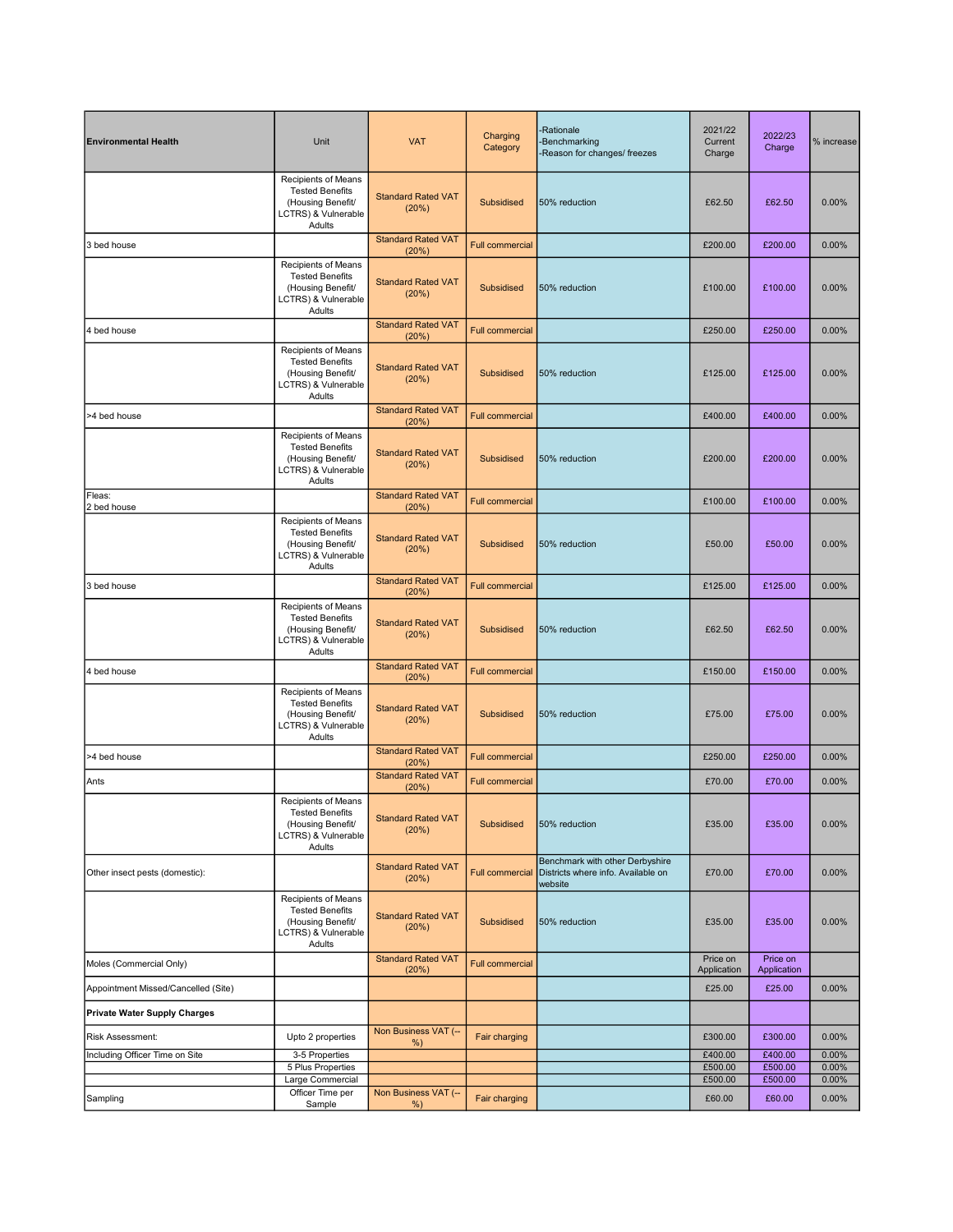| <b>Environmental Health</b>         | Unit                                                                                                           | <b>VAT</b>                         | Charging<br>Category   | <b>Rationale</b><br>-Benchmarking<br>-Reason for changes/ freezes                | 2021/22<br>Current<br>Charge | 2022/23<br>Charge       | % increase        |
|-------------------------------------|----------------------------------------------------------------------------------------------------------------|------------------------------------|------------------------|----------------------------------------------------------------------------------|------------------------------|-------------------------|-------------------|
|                                     | Recipients of Means<br><b>Tested Benefits</b><br>(Housing Benefit/<br>LCTRS) & Vulnerable<br>Adults            | <b>Standard Rated VAT</b><br>(20%) | Subsidised             | 50% reduction                                                                    | £62.50                       | £62.50                  | 0.00%             |
| 3 bed house                         |                                                                                                                | <b>Standard Rated VAT</b><br>(20%) | <b>Full commercial</b> |                                                                                  | £200.00                      | £200.00                 | 0.00%             |
|                                     | Recipients of Means<br><b>Tested Benefits</b><br>(Housing Benefit/<br>LCTRS) & Vulnerable<br>Adults            | <b>Standard Rated VAT</b><br>(20%) | Subsidised             | 50% reduction                                                                    | £100.00                      | £100.00                 | 0.00%             |
| 4 bed house                         |                                                                                                                | <b>Standard Rated VAT</b><br>(20%) | <b>Full commercial</b> |                                                                                  | £250.00                      | £250.00                 | 0.00%             |
|                                     | Recipients of Means<br><b>Tested Benefits</b><br>(Housing Benefit/<br>LCTRS) & Vulnerable<br>Adults            | <b>Standard Rated VAT</b><br>(20%) | Subsidised             | 50% reduction                                                                    | £125.00                      | £125.00                 | 0.00%             |
| >4 bed house                        |                                                                                                                | <b>Standard Rated VAT</b><br>(20%) | <b>Full commercial</b> |                                                                                  | £400.00                      | £400.00                 | 0.00%             |
|                                     | Recipients of Means<br><b>Tested Benefits</b><br>(Housing Benefit/<br>LCTRS) & Vulnerable<br>Adults            | <b>Standard Rated VAT</b><br>(20%) | <b>Subsidised</b>      | 50% reduction                                                                    | £200.00                      | £200.00                 | 0.00%             |
| Fleas:<br>2 bed house               |                                                                                                                | <b>Standard Rated VAT</b><br>(20%) | <b>Full commercial</b> |                                                                                  | £100.00                      | £100.00                 | 0.00%             |
|                                     | Recipients of Means<br><b>Tested Benefits</b><br>(Housing Benefit/<br>LCTRS) & Vulnerable<br>Adults            | <b>Standard Rated VAT</b><br>(20%) | Subsidised             | 50% reduction                                                                    | £50.00                       | £50.00                  | 0.00%             |
| 3 bed house                         |                                                                                                                | <b>Standard Rated VAT</b><br>(20%) | <b>Full commercial</b> |                                                                                  | £125.00                      | £125.00                 | 0.00%             |
|                                     | Recipients of Means<br><b>Tested Benefits</b><br>(Housing Benefit/<br><b>LCTRS) &amp; Vulnerable</b><br>Adults | <b>Standard Rated VAT</b><br>(20%) | <b>Subsidised</b>      | 50% reduction                                                                    | £62.50                       | £62.50                  | 0.00%             |
| 4 bed house                         |                                                                                                                | <b>Standard Rated VAT</b><br>(20%) | <b>Full commercial</b> |                                                                                  | £150.00                      | £150.00                 | 0.00%             |
|                                     | Recipients of Means<br><b>Tested Benefits</b><br>(Housing Benefit/<br><b>LCTRS) &amp; Vulnerable</b><br>Adults | <b>Standard Rated VAT</b><br>(20%) | <b>Subsidised</b>      | 50% reduction                                                                    | £75.00                       | £75.00                  | 0.00%             |
| >4 bed house                        |                                                                                                                | <b>Standard Rated VAT</b><br>(20%) | <b>Full commercial</b> |                                                                                  | £250.00                      | £250.00                 | 0.00%             |
| Ants                                |                                                                                                                | <b>Standard Rated VAT</b><br>(20%) | <b>Full commercial</b> |                                                                                  | £70.00                       | £70.00                  | 0.00%             |
|                                     | Recipients of Means<br><b>Tested Benefits</b><br>(Housing Benefit/<br><b>LCTRS) &amp; Vulnerable</b><br>Adults | <b>Standard Rated VAT</b><br>(20%) | Subsidised             | 50% reduction                                                                    | £35.00                       | £35.00                  | 0.00%             |
| Other insect pests (domestic):      |                                                                                                                | <b>Standard Rated VAT</b><br>(20%) | <b>Full commercial</b> | Benchmark with other Derbyshire<br>Districts where info. Available on<br>website | £70.00                       | £70.00                  | 0.00%             |
|                                     | Recipients of Means<br><b>Tested Benefits</b><br>(Housing Benefit/<br>LCTRS) & Vulnerable<br>Adults            | <b>Standard Rated VAT</b><br>(20%) | Subsidised             | 50% reduction                                                                    | £35.00                       | £35.00                  | 0.00%             |
| Moles (Commercial Only)             |                                                                                                                | <b>Standard Rated VAT</b><br>(20%) | <b>Full commercial</b> |                                                                                  | Price on<br>Application      | Price on<br>Application |                   |
| Appointment Missed/Cancelled (Site) |                                                                                                                |                                    |                        |                                                                                  | £25.00                       | £25.00                  | 0.00%             |
| <b>Private Water Supply Charges</b> |                                                                                                                |                                    |                        |                                                                                  |                              |                         |                   |
| Risk Assessment:                    | Upto 2 properties                                                                                              | Non Business VAT (--<br>%)         | Fair charging          |                                                                                  | £300.00                      | £300.00                 | 0.00%             |
| Including Officer Time on Site      | 3-5 Properties                                                                                                 |                                    |                        |                                                                                  | £400.00                      | £400.00                 | 0.00%             |
|                                     | 5 Plus Properties<br>Large Commercial                                                                          |                                    |                        |                                                                                  | £500.00<br>£500.00           | £500.00<br>£500.00      | 0.00%<br>$0.00\%$ |
| Sampling                            | Officer Time per<br>Sample                                                                                     | Non Business VAT (--<br>%          | Fair charging          |                                                                                  | £60.00                       | £60.00                  | 0.00%             |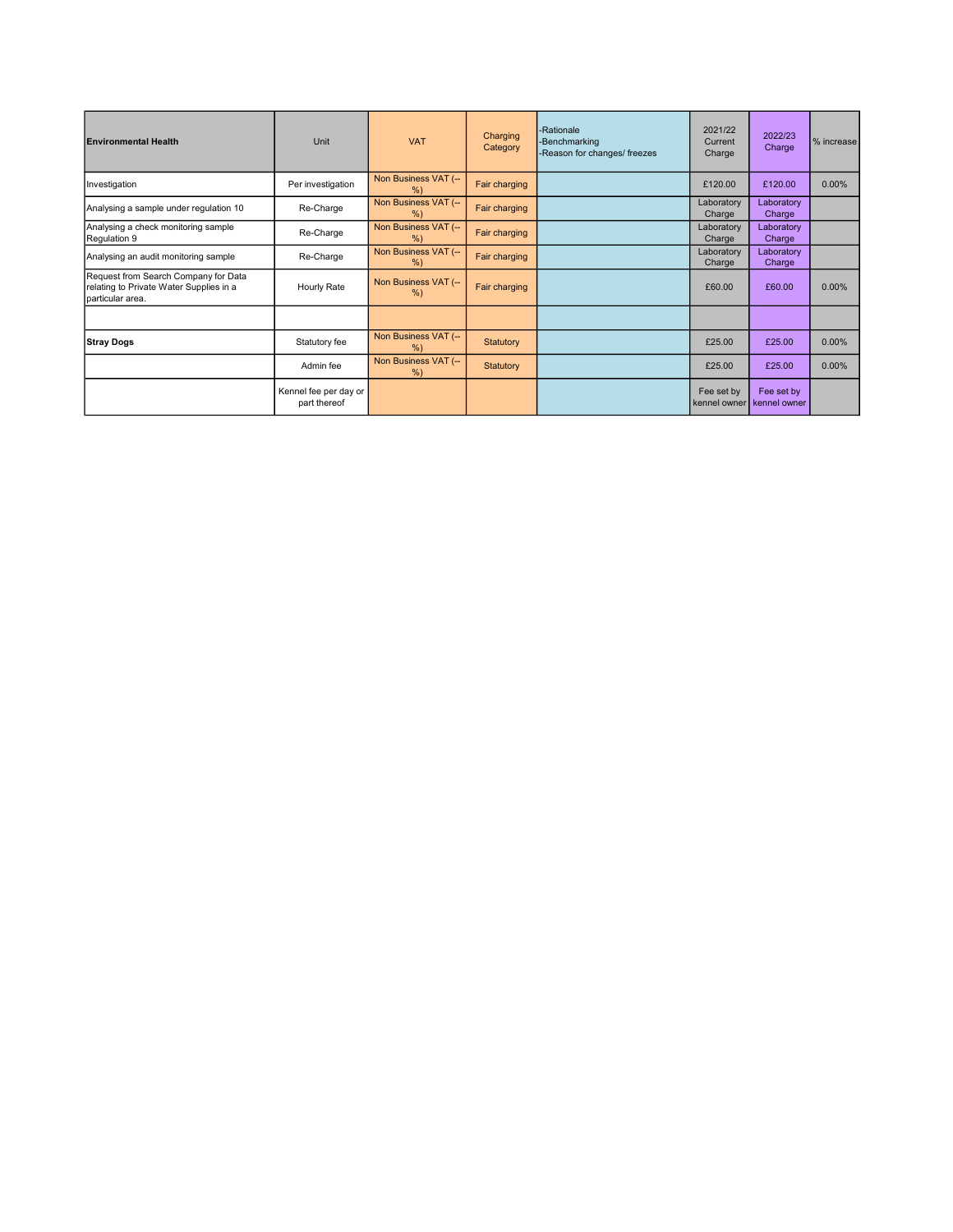| <b>Environmental Health</b>                                                                         | Unit                                  | <b>VAT</b>                | Charging<br>Category | -Rationale<br>-Benchmarking<br>-Reason for changes/ freezes | 2021/22<br>Current<br>Charge | 2022/23<br>Charge          | % increase |
|-----------------------------------------------------------------------------------------------------|---------------------------------------|---------------------------|----------------------|-------------------------------------------------------------|------------------------------|----------------------------|------------|
| Investigation                                                                                       | Per investigation                     | Non Business VAT (--<br>% | Fair charging        |                                                             | £120.00                      | £120.00                    | $0.00\%$   |
| Analysing a sample under regulation 10                                                              | Re-Charge                             | Non Business VAT (--<br>% | Fair charging        |                                                             | Laboratory<br>Charge         | Laboratory<br>Charge       |            |
| Analysing a check monitoring sample<br>Regulation 9                                                 | Re-Charge                             | Non Business VAT (--<br>% | Fair charging        |                                                             | Laboratory<br>Charge         | Laboratory<br>Charge       |            |
| Analysing an audit monitoring sample                                                                | Re-Charge                             | Non Business VAT (--<br>% | Fair charging        |                                                             | Laboratory<br>Charge         | Laboratory<br>Charge       |            |
| Request from Search Company for Data<br>relating to Private Water Supplies in a<br>particular area. | Hourly Rate                           | Non Business VAT (--<br>% | Fair charging        |                                                             | £60.00                       | £60.00                     | $0.00\%$   |
|                                                                                                     |                                       |                           |                      |                                                             |                              |                            |            |
| <b>Stray Dogs</b>                                                                                   | Statutory fee                         | Non Business VAT (--<br>% | <b>Statutory</b>     |                                                             | £25.00                       | £25.00                     | $0.00\%$   |
|                                                                                                     | Admin fee                             | Non Business VAT (--<br>% | Statutory            |                                                             | £25.00                       | £25.00                     | $0.00\%$   |
|                                                                                                     | Kennel fee per day or<br>part thereof |                           |                      |                                                             | Fee set by<br>kennel owner   | Fee set by<br>kennel owner |            |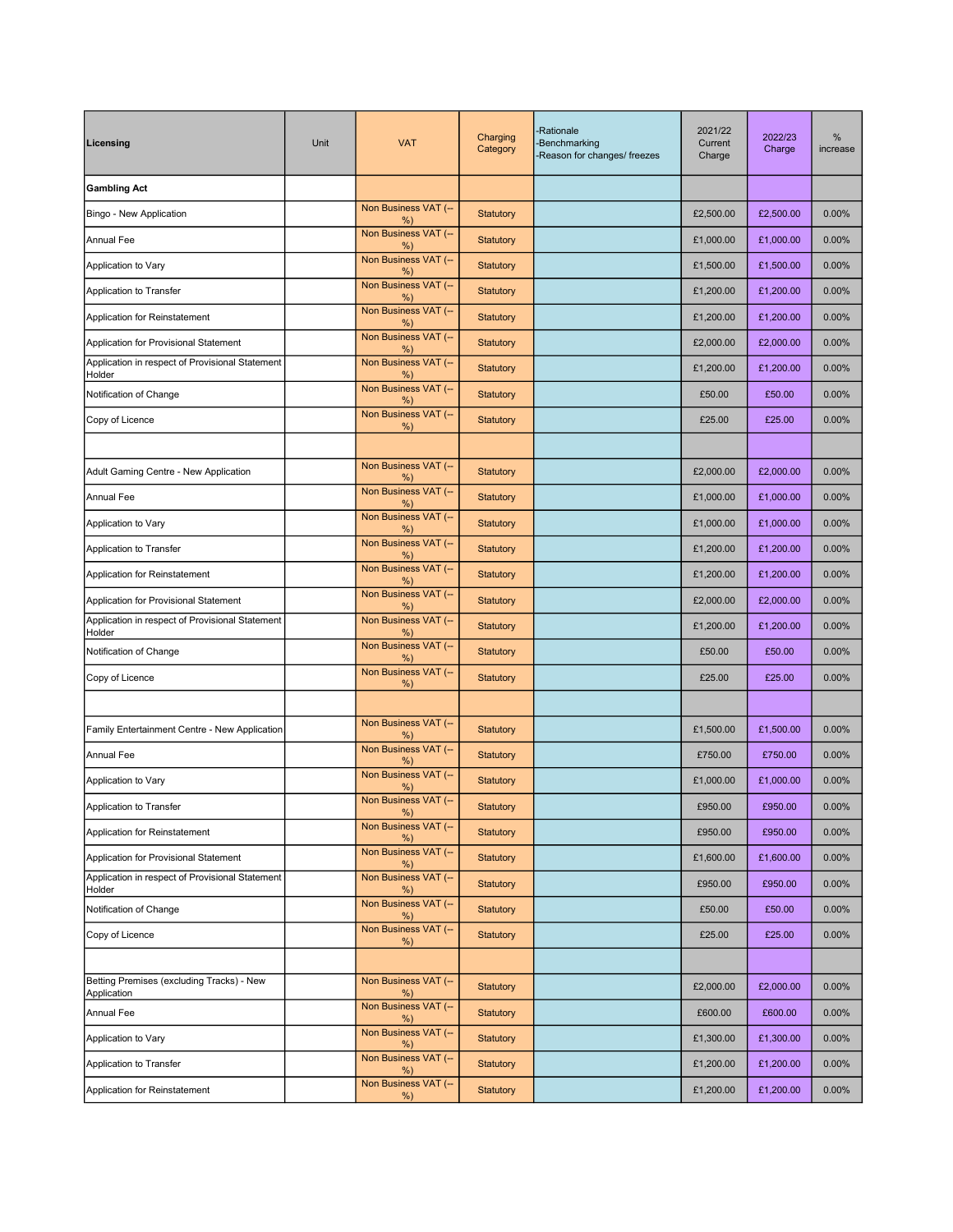| Licensing                                                 | Unit | <b>VAT</b>                    | Charging<br>Category | -Rationale<br><b>Benchmarking</b><br>Reason for changes/ freezes | 2021/22<br>Current<br>Charge | 2022/23<br>Charge | %<br>increase |
|-----------------------------------------------------------|------|-------------------------------|----------------------|------------------------------------------------------------------|------------------------------|-------------------|---------------|
| <b>Gambling Act</b>                                       |      |                               |                      |                                                                  |                              |                   |               |
| Bingo - New Application                                   |      | Non Business VAT (--<br>%     | Statutory            |                                                                  | £2,500.00                    | £2,500.00         | 0.00%         |
| <b>Annual Fee</b>                                         |      | Non Business VAT (--<br>%     | <b>Statutory</b>     |                                                                  | £1,000.00                    | £1,000.00         | 0.00%         |
| Application to Vary                                       |      | Non Business VAT (--<br>%     | <b>Statutory</b>     |                                                                  | £1,500.00                    | £1,500.00         | 0.00%         |
| Application to Transfer                                   |      | Non Business VAT (--<br>%     | <b>Statutory</b>     |                                                                  | £1,200.00                    | £1,200.00         | 0.00%         |
| Application for Reinstatement                             |      | Non Business VAT (--<br>%     | Statutory            |                                                                  | £1,200.00                    | £1,200.00         | 0.00%         |
| Application for Provisional Statement                     |      | Non Business VAT (--<br>%     | Statutory            |                                                                  | £2,000.00                    | £2,000.00         | 0.00%         |
| Application in respect of Provisional Statement<br>Holder |      | Non Business VAT (--<br>%)    | Statutory            |                                                                  | £1,200.00                    | £1,200.00         | 0.00%         |
| Notification of Change                                    |      | Non Business VAT (--<br>%     | Statutory            |                                                                  | £50.00                       | £50.00            | 0.00%         |
| Copy of Licence                                           |      | Non Business VAT (--<br>%)    | Statutory            |                                                                  | £25.00                       | £25.00            | 0.00%         |
|                                                           |      |                               |                      |                                                                  |                              |                   |               |
| Adult Gaming Centre - New Application                     |      | Non Business VAT (--<br>%)    | Statutory            |                                                                  | £2,000.00                    | £2,000.00         | 0.00%         |
| Annual Fee                                                |      | Non Business VAT (--<br>%     | Statutory            |                                                                  | £1,000.00                    | £1,000.00         | 0.00%         |
| Application to Vary                                       |      | Non Business VAT (--<br>$%$ ) | Statutory            |                                                                  | £1,000.00                    | £1,000.00         | 0.00%         |
| Application to Transfer                                   |      | Non Business VAT (--<br>%     | Statutory            |                                                                  | £1,200.00                    | £1,200.00         | 0.00%         |
| Application for Reinstatement                             |      | Non Business VAT (--<br>%)    | <b>Statutory</b>     |                                                                  | £1,200.00                    | £1,200.00         | 0.00%         |
| Application for Provisional Statement                     |      | Non Business VAT (--<br>%     | Statutory            |                                                                  | £2,000.00                    | £2,000.00         | 0.00%         |
| Application in respect of Provisional Statement<br>Holder |      | Non Business VAT (--<br>$%$ ) | Statutory            |                                                                  | £1,200.00                    | £1,200.00         | 0.00%         |
| Notification of Change                                    |      | Non Business VAT (--<br>%     | Statutory            |                                                                  | £50.00                       | £50.00            | 0.00%         |
| Copy of Licence                                           |      | Non Business VAT (--<br>%)    | <b>Statutory</b>     |                                                                  | £25.00                       | £25.00            | 0.00%         |
|                                                           |      |                               |                      |                                                                  |                              |                   |               |
| Family Entertainment Centre - New Application             |      | Non Business VAT (--<br>%     | Statutory            |                                                                  | £1,500.00                    | £1,500.00         | 0.00%         |
| <b>Annual Fee</b>                                         |      | Non Business VAT (--<br>%     | Statutory            |                                                                  | £750.00                      | £750.00           | 0.00%         |
| Application to Vary                                       |      | Non Business VAT (--<br>%     | <b>Statutory</b>     |                                                                  | £1,000.00                    | £1,000.00         | 0.00%         |
| Application to Transfer                                   |      | Non Business VAT (--<br>%)    | <b>Statutory</b>     |                                                                  | £950.00                      | £950.00           | $0.00\%$      |
| Application for Reinstatement                             |      | Non Business VAT (--<br>%)    | Statutory            |                                                                  | £950.00                      | £950.00           | 0.00%         |
| Application for Provisional Statement                     |      | Non Business VAT (--<br>$%$ ) | Statutory            |                                                                  | £1,600.00                    | £1,600.00         | $0.00\%$      |
| Application in respect of Provisional Statement<br>Holder |      | Non Business VAT (--<br>%     | Statutory            |                                                                  | £950.00                      | £950.00           | 0.00%         |
| Notification of Change                                    |      | Non Business VAT (--<br>%     | <b>Statutory</b>     |                                                                  | £50.00                       | £50.00            | 0.00%         |
| Copy of Licence                                           |      | Non Business VAT (--<br>%     | <b>Statutory</b>     |                                                                  | £25.00                       | £25.00            | 0.00%         |
|                                                           |      |                               |                      |                                                                  |                              |                   |               |
| Betting Premises (excluding Tracks) - New<br>Application  |      | Non Business VAT (--<br>%     | Statutory            |                                                                  | £2,000.00                    | £2,000.00         | 0.00%         |
| Annual Fee                                                |      | Non Business VAT (--<br>%     | Statutory            |                                                                  | £600.00                      | £600.00           | 0.00%         |
| Application to Vary                                       |      | Non Business VAT (--<br>%     | Statutory            |                                                                  | £1,300.00                    | £1,300.00         | 0.00%         |
| Application to Transfer                                   |      | Non Business VAT (--<br>$%$ ) | Statutory            |                                                                  | £1,200.00                    | £1,200.00         | $0.00\%$      |
| Application for Reinstatement                             |      | Non Business VAT (--<br>$%$ ) | Statutory            |                                                                  | £1,200.00                    | £1,200.00         | 0.00%         |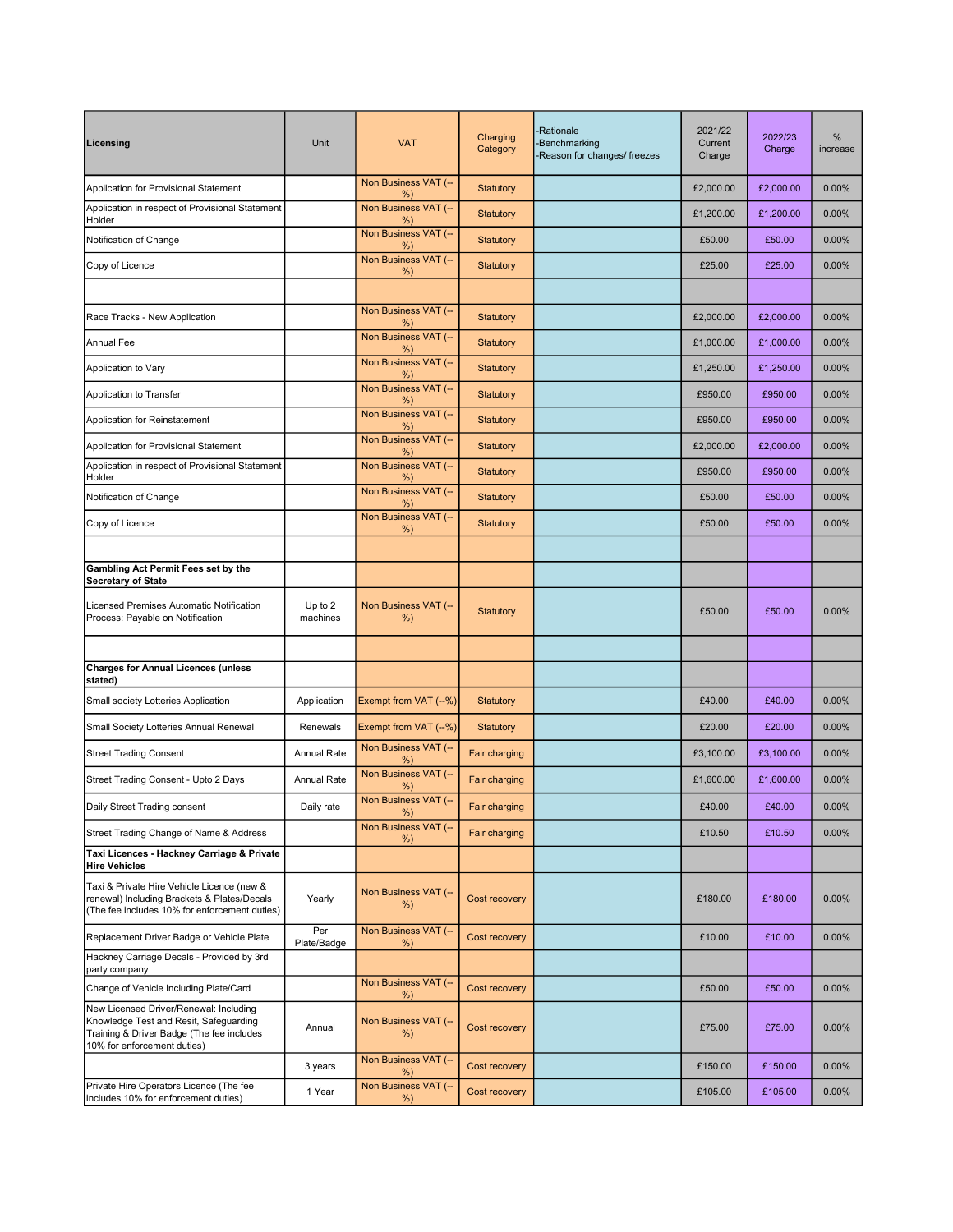| Licensing                                                                                                                                                    | Unit                | <b>VAT</b>                    | Charging<br>Category | -Rationale<br>-Benchmarking<br>Reason for changes/ freezes | 2021/22<br>Current<br>Charge | 2022/23<br>Charge | %<br>increase |
|--------------------------------------------------------------------------------------------------------------------------------------------------------------|---------------------|-------------------------------|----------------------|------------------------------------------------------------|------------------------------|-------------------|---------------|
| Application for Provisional Statement                                                                                                                        |                     | Non Business VAT (--<br>$%$ ) | Statutory            |                                                            | £2,000.00                    | £2,000.00         | 0.00%         |
| Application in respect of Provisional Statement<br>Holder                                                                                                    |                     | Non Business VAT (--<br>%)    | Statutory            |                                                            | £1,200.00                    | £1,200.00         | 0.00%         |
| Notification of Change                                                                                                                                       |                     | Non Business VAT (--<br>%)    | Statutory            |                                                            | £50.00                       | £50.00            | 0.00%         |
| Copy of Licence                                                                                                                                              |                     | Non Business VAT (--<br>%)    | Statutory            |                                                            | £25.00                       | £25.00            | 0.00%         |
|                                                                                                                                                              |                     |                               |                      |                                                            |                              |                   |               |
| Race Tracks - New Application                                                                                                                                |                     | Non Business VAT (--<br>%)    | Statutory            |                                                            | £2,000.00                    | £2,000.00         | 0.00%         |
| <b>Annual Fee</b>                                                                                                                                            |                     | Non Business VAT (--<br>%)    | Statutory            |                                                            | £1,000.00                    | £1,000.00         | 0.00%         |
| Application to Vary                                                                                                                                          |                     | Non Business VAT (--<br>%)    | <b>Statutory</b>     |                                                            | £1,250.00                    | £1,250.00         | 0.00%         |
| Application to Transfer                                                                                                                                      |                     | Non Business VAT (--<br>%)    | Statutory            |                                                            | £950.00                      | £950.00           | 0.00%         |
| Application for Reinstatement                                                                                                                                |                     | Non Business VAT (--<br>%)    | <b>Statutory</b>     |                                                            | £950.00                      | £950.00           | 0.00%         |
| Application for Provisional Statement                                                                                                                        |                     | Non Business VAT (--<br>%)    | Statutory            |                                                            | £2,000.00                    | £2,000.00         | 0.00%         |
| Application in respect of Provisional Statement<br>Holder                                                                                                    |                     | Non Business VAT (--<br>%)    | Statutory            |                                                            | £950.00                      | £950.00           | 0.00%         |
| Notification of Change                                                                                                                                       |                     | Non Business VAT (--<br>%)    | Statutory            |                                                            | £50.00                       | £50.00            | 0.00%         |
| Copy of Licence                                                                                                                                              |                     | Non Business VAT (--<br>%)    | Statutory            |                                                            | £50.00                       | £50.00            | 0.00%         |
|                                                                                                                                                              |                     |                               |                      |                                                            |                              |                   |               |
| Gambling Act Permit Fees set by the<br><b>Secretary of State</b>                                                                                             |                     |                               |                      |                                                            |                              |                   |               |
| Licensed Premises Automatic Notification<br>Process: Payable on Notification                                                                                 | Up to 2<br>machines | Non Business VAT (--<br>%)    | Statutory            |                                                            | £50.00                       | £50.00            | 0.00%         |
|                                                                                                                                                              |                     |                               |                      |                                                            |                              |                   |               |
| <b>Charges for Annual Licences (unless</b><br>stated)                                                                                                        |                     |                               |                      |                                                            |                              |                   |               |
| Small society Lotteries Application                                                                                                                          | Application         | Exempt from VAT (--%)         | Statutory            |                                                            | £40.00                       | £40.00            | 0.00%         |
| Small Society Lotteries Annual Renewal                                                                                                                       | Renewals            | Exempt from VAT (--%)         | Statutory            |                                                            | £20.00                       | £20.00            | 0.00%         |
| <b>Street Trading Consent</b>                                                                                                                                | Annual Rate         | Non Business VAT (--<br>%)    | Fair charging        |                                                            | £3,100.00                    | £3,100.00         | 0.00%         |
| Street Trading Consent - Upto 2 Days                                                                                                                         | <b>Annual Rate</b>  | Non Business VAT (--<br>%)    | Fair charging        |                                                            | £1,600.00                    | £1,600.00         | 0.00%         |
| Daily Street Trading consent                                                                                                                                 | Daily rate          | Non Business VAT (--<br>%)    | Fair charging        |                                                            | £40.00                       | £40.00            | $0.00\%$      |
| Street Trading Change of Name & Address                                                                                                                      |                     | Non Business VAT (--<br>%)    | Fair charging        |                                                            | £10.50                       | £10.50            | 0.00%         |
| Taxi Licences - Hackney Carriage & Private<br><b>Hire Vehicles</b>                                                                                           |                     |                               |                      |                                                            |                              |                   |               |
| Taxi & Private Hire Vehicle Licence (new &<br>renewal) Including Brackets & Plates/Decals<br>(The fee includes 10% for enforcement duties)                   | Yearly              | Non Business VAT (--<br>%     | Cost recovery        |                                                            | £180.00                      | £180.00           | 0.00%         |
| Replacement Driver Badge or Vehicle Plate                                                                                                                    | Per<br>Plate/Badge  | Non Business VAT (--<br>%)    | Cost recovery        |                                                            | £10.00                       | £10.00            | 0.00%         |
| Hackney Carriage Decals - Provided by 3rd<br>party company                                                                                                   |                     |                               |                      |                                                            |                              |                   |               |
| Change of Vehicle Including Plate/Card                                                                                                                       |                     | Non Business VAT (--<br>%)    | Cost recovery        |                                                            | £50.00                       | £50.00            | 0.00%         |
| New Licensed Driver/Renewal: Including<br>Knowledge Test and Resit, Safeguarding<br>Training & Driver Badge (The fee includes<br>10% for enforcement duties) | Annual              | Non Business VAT (--<br>%     | Cost recovery        |                                                            | £75.00                       | £75.00            | 0.00%         |
|                                                                                                                                                              | 3 years             | Non Business VAT (--<br>%     | Cost recovery        |                                                            | £150.00                      | £150.00           | $0.00\%$      |
| Private Hire Operators Licence (The fee<br>includes 10% for enforcement duties)                                                                              | 1 Year              | Non Business VAT (--<br>%)    | Cost recovery        |                                                            | £105.00                      | £105.00           | $0.00\%$      |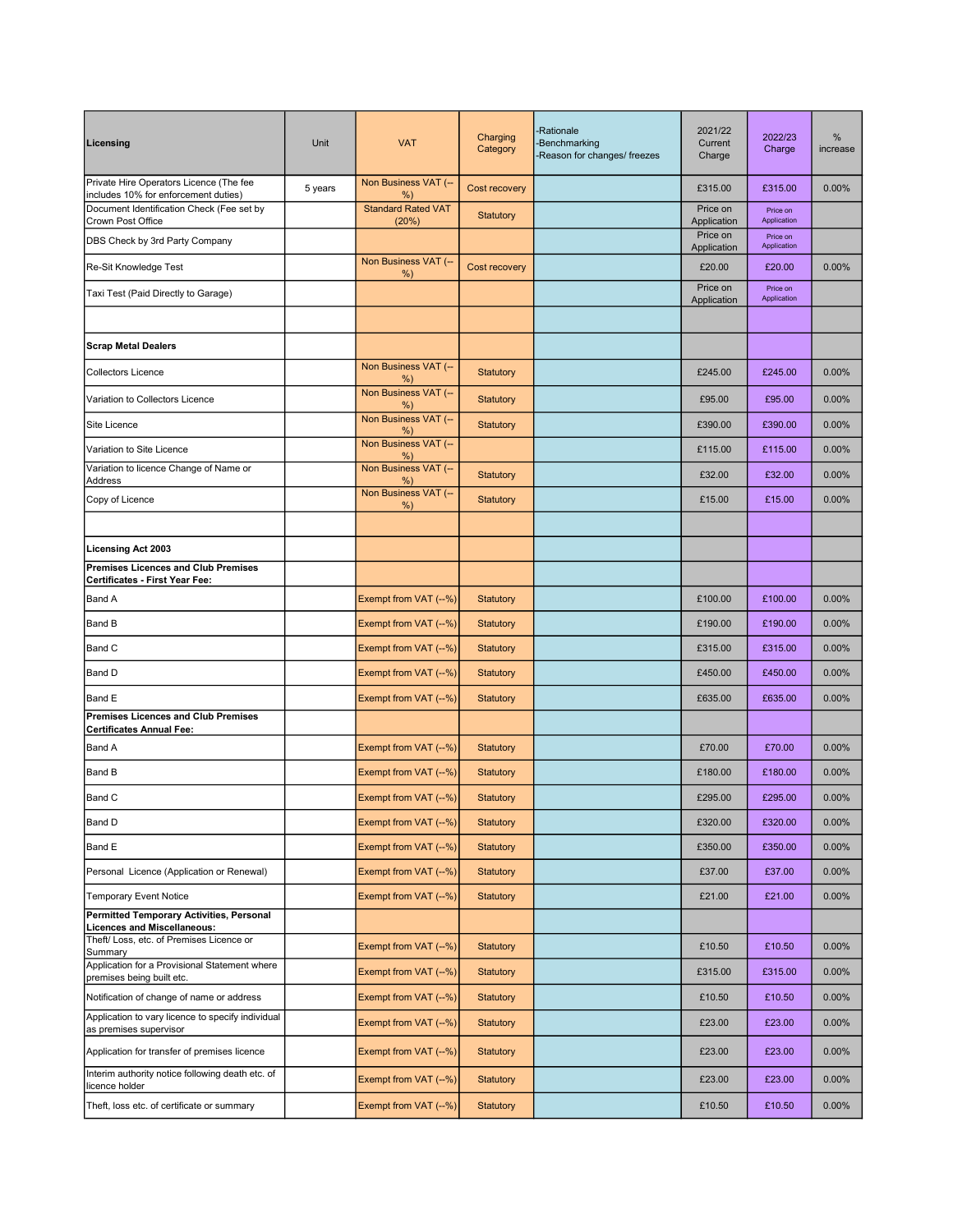| Licensing                                                                       | Unit    | <b>VAT</b>                         | Charging<br>Category | <b>Rationale</b><br><b>Benchmarking</b><br>Reason for changes/ freezes | 2021/22<br>Current<br>Charge | 2022/23<br>Charge       | %<br>increase |
|---------------------------------------------------------------------------------|---------|------------------------------------|----------------------|------------------------------------------------------------------------|------------------------------|-------------------------|---------------|
| Private Hire Operators Licence (The fee<br>includes 10% for enforcement duties) | 5 years | Non Business VAT (--<br>%)         | Cost recovery        |                                                                        | £315.00                      | £315.00                 | 0.00%         |
| Document Identification Check (Fee set by<br><b>Crown Post Office</b>           |         | <b>Standard Rated VAT</b><br>(20%) | Statutory            |                                                                        | Price on<br>Application      | Price on<br>Application |               |
| DBS Check by 3rd Party Company                                                  |         |                                    |                      |                                                                        | Price on<br>Application      | Price on<br>Application |               |
| Re-Sit Knowledge Test                                                           |         | Non Business VAT (--               | Cost recovery        |                                                                        | £20.00                       | £20.00                  | 0.00%         |
| Taxi Test (Paid Directly to Garage)                                             |         | %)                                 |                      |                                                                        | Price on                     | Price on                |               |
|                                                                                 |         |                                    |                      |                                                                        | Application                  | Application             |               |
| <b>Scrap Metal Dealers</b>                                                      |         |                                    |                      |                                                                        |                              |                         |               |
| <b>Collectors Licence</b>                                                       |         | Non Business VAT (--<br>%)         | Statutory            |                                                                        | £245.00                      | £245.00                 | 0.00%         |
| Variation to Collectors Licence                                                 |         | Non Business VAT (--<br>%)         | Statutory            |                                                                        | £95.00                       | £95.00                  | 0.00%         |
| Site Licence                                                                    |         | Non Business VAT (--<br>%)         | Statutory            |                                                                        | £390.00                      | £390.00                 | 0.00%         |
| Variation to Site Licence                                                       |         | Non Business VAT (--<br>%)         |                      |                                                                        | £115.00                      | £115.00                 | 0.00%         |
| Variation to licence Change of Name or<br>Address                               |         | Non Business VAT (--<br>%)         | Statutory            |                                                                        | £32.00                       | £32.00                  | 0.00%         |
| Copy of Licence                                                                 |         | Non Business VAT (--<br>%)         | Statutory            |                                                                        | £15.00                       | £15.00                  | 0.00%         |
|                                                                                 |         |                                    |                      |                                                                        |                              |                         |               |
| <b>Licensing Act 2003</b>                                                       |         |                                    |                      |                                                                        |                              |                         |               |
| Premises Licences and Club Premises<br>Certificates - First Year Fee:           |         |                                    |                      |                                                                        |                              |                         |               |
| <b>Band A</b>                                                                   |         | Exempt from VAT (--%)              | Statutory            |                                                                        | £100.00                      | £100.00                 | 0.00%         |
| <b>Band B</b>                                                                   |         | Exempt from VAT (--%)              | <b>Statutory</b>     |                                                                        | £190.00                      | £190.00                 | 0.00%         |
| <b>Band C</b>                                                                   |         | Exempt from VAT (--%)              | <b>Statutory</b>     |                                                                        | £315.00                      | £315.00                 | 0.00%         |
| <b>Band D</b>                                                                   |         | Exempt from VAT (--%)              | Statutory            |                                                                        | £450.00                      | £450.00                 | 0.00%         |
| <b>Band E</b>                                                                   |         | Exempt from VAT (--%)              | <b>Statutory</b>     |                                                                        | £635.00                      | £635.00                 | 0.00%         |
| <b>Premises Licences and Club Premises</b><br>Certificates Annual Fee:          |         |                                    |                      |                                                                        |                              |                         |               |
| <b>Band A</b>                                                                   |         | Exempt from VAT (--%)              | <b>Statutory</b>     |                                                                        | £70.00                       | £70.00                  | 0.00%         |
| <b>Band B</b>                                                                   |         | Exempt from VAT (--%)              | <b>Statutory</b>     |                                                                        | £180.00                      | £180.00                 | 0.00%         |
| <b>Band C</b>                                                                   |         | Exempt from VAT (--%)              | <b>Statutory</b>     |                                                                        | £295.00                      | £295.00                 | 0.00%         |
| <b>Band D</b>                                                                   |         | Exempt from VAT (--%)              | Statutory            |                                                                        | £320.00                      | £320.00                 | 0.00%         |
| <b>Band E</b>                                                                   |         | Exempt from VAT (--%)              | Statutory            |                                                                        | £350.00                      | £350.00                 | 0.00%         |
| Personal Licence (Application or Renewal)                                       |         | Exempt from VAT (--%)              | Statutory            |                                                                        | £37.00                       | £37.00                  | 0.00%         |
| <b>Temporary Event Notice</b>                                                   |         | Exempt from VAT (--%)              | Statutory            |                                                                        | £21.00                       | £21.00                  | 0.00%         |
| Permitted Temporary Activities, Personal<br><b>Licences and Miscellaneous:</b>  |         |                                    |                      |                                                                        |                              |                         |               |
| Theft/ Loss, etc. of Premises Licence or<br>Summary                             |         | Exempt from VAT (--%)              | Statutory            |                                                                        | £10.50                       | £10.50                  | 0.00%         |
| Application for a Provisional Statement where<br>premises being built etc.      |         | Exempt from VAT (--%)              | Statutory            |                                                                        | £315.00                      | £315.00                 | 0.00%         |
| Notification of change of name or address                                       |         | Exempt from VAT (--%)              | Statutory            |                                                                        | £10.50                       | £10.50                  | 0.00%         |
| Application to vary licence to specify individual<br>as premises supervisor     |         | Exempt from VAT (--%)              | Statutory            |                                                                        | £23.00                       | £23.00                  | 0.00%         |
| Application for transfer of premises licence                                    |         | Exempt from VAT (--%)              | Statutory            |                                                                        | £23.00                       | £23.00                  | 0.00%         |
| Interim authority notice following death etc. of<br>licence holder              |         | Exempt from VAT (--%)              | Statutory            |                                                                        | £23.00                       | £23.00                  | 0.00%         |
| Theft, loss etc. of certificate or summary                                      |         | Exempt from VAT (--%)              | Statutory            |                                                                        | £10.50                       | £10.50                  | 0.00%         |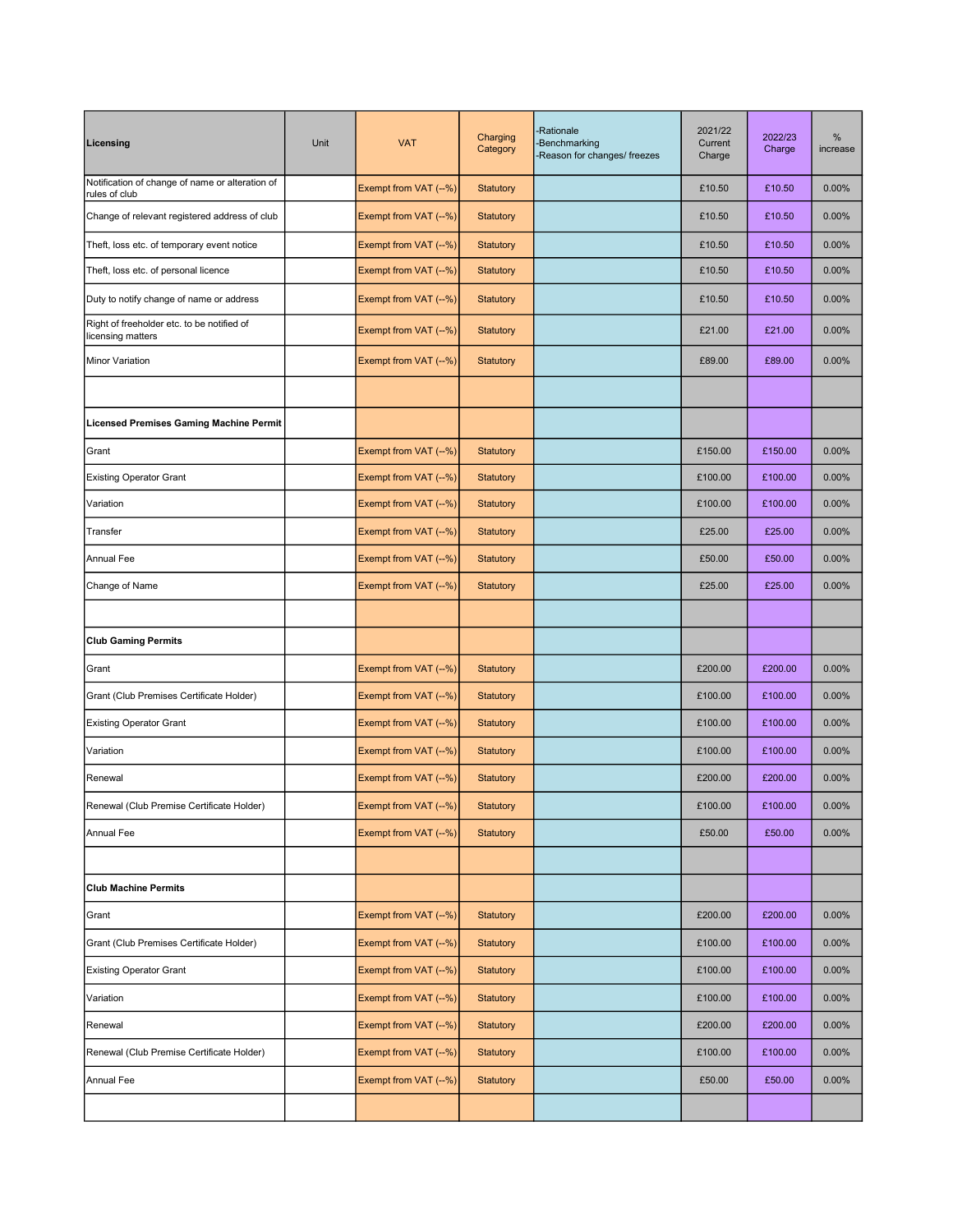| Licensing                                                        | Unit | <b>VAT</b>            | Charging<br>Category | -Rationale<br>-Benchmarking<br>Reason for changes/ freezes | 2021/22<br>Current<br>Charge | 2022/23<br>Charge | %<br>increase |
|------------------------------------------------------------------|------|-----------------------|----------------------|------------------------------------------------------------|------------------------------|-------------------|---------------|
| Notification of change of name or alteration of<br>rules of club |      | Exempt from VAT (--%) | Statutory            |                                                            | £10.50                       | £10.50            | 0.00%         |
| Change of relevant registered address of club                    |      | Exempt from VAT (--%) | Statutory            |                                                            | £10.50                       | £10.50            | 0.00%         |
| Theft, loss etc. of temporary event notice                       |      | Exempt from VAT (--%) | Statutory            |                                                            | £10.50                       | £10.50            | 0.00%         |
| Theft, loss etc. of personal licence                             |      | Exempt from VAT (--%) | Statutory            |                                                            | £10.50                       | £10.50            | 0.00%         |
| Duty to notify change of name or address                         |      | Exempt from VAT (--%) | Statutory            |                                                            | £10.50                       | £10.50            | 0.00%         |
| Right of freeholder etc. to be notified of<br>licensing matters  |      | Exempt from VAT (--%) | <b>Statutory</b>     |                                                            | £21.00                       | £21.00            | 0.00%         |
| Minor Variation                                                  |      | Exempt from VAT (--%) | <b>Statutory</b>     |                                                            | £89.00                       | £89.00            | 0.00%         |
|                                                                  |      |                       |                      |                                                            |                              |                   |               |
| Licensed Premises Gaming Machine Permit                          |      |                       |                      |                                                            |                              |                   |               |
| Grant                                                            |      | Exempt from VAT (--%) | <b>Statutory</b>     |                                                            | £150.00                      | £150.00           | 0.00%         |
| <b>Existing Operator Grant</b>                                   |      | Exempt from VAT (--%) | Statutory            |                                                            | £100.00                      | £100.00           | 0.00%         |
| Variation                                                        |      | Exempt from VAT (--%) | <b>Statutory</b>     |                                                            | £100.00                      | £100.00           | 0.00%         |
| Transfer                                                         |      | Exempt from VAT (--%) | Statutory            |                                                            | £25.00                       | £25.00            | 0.00%         |
| <b>Annual Fee</b>                                                |      | Exempt from VAT (--%) | Statutory            |                                                            | £50.00                       | £50.00            | 0.00%         |
| Change of Name                                                   |      | Exempt from VAT (--%) | <b>Statutory</b>     |                                                            | £25.00                       | £25.00            | 0.00%         |
|                                                                  |      |                       |                      |                                                            |                              |                   |               |
| <b>Club Gaming Permits</b>                                       |      |                       |                      |                                                            |                              |                   |               |
| Grant                                                            |      | Exempt from VAT (--%) | <b>Statutory</b>     |                                                            | £200.00                      | £200.00           | 0.00%         |
| Grant (Club Premises Certificate Holder)                         |      | Exempt from VAT (--%) | Statutory            |                                                            | £100.00                      | £100.00           | 0.00%         |
| <b>Existing Operator Grant</b>                                   |      | Exempt from VAT (--%) | Statutory            |                                                            | £100.00                      | £100.00           | 0.00%         |
| Variation                                                        |      | Exempt from VAT (--%) | Statutory            |                                                            | £100.00                      | £100.00           | 0.00%         |
| Renewal                                                          |      | Exempt from VAT (--%) | <b>Statutory</b>     |                                                            | £200.00                      | £200.00           | 0.00%         |
| Renewal (Club Premise Certificate Holder)                        |      | Exempt from VAT (--%) | Statutory            |                                                            | £100.00                      | £100.00           | 0.00%         |
| Annual Fee                                                       |      | Exempt from VAT (--%) | Statutory            |                                                            | £50.00                       | £50.00            | 0.00%         |
|                                                                  |      |                       |                      |                                                            |                              |                   |               |
| <b>Club Machine Permits</b>                                      |      |                       |                      |                                                            |                              |                   |               |
| Grant                                                            |      | Exempt from VAT (--%) | Statutory            |                                                            | £200.00                      | £200.00           | 0.00%         |
| Grant (Club Premises Certificate Holder)                         |      | Exempt from VAT (--%) | Statutory            |                                                            | £100.00                      | £100.00           | 0.00%         |
| <b>Existing Operator Grant</b>                                   |      | Exempt from VAT (--%) | Statutory            |                                                            | £100.00                      | £100.00           | 0.00%         |
| Variation                                                        |      | Exempt from VAT (--%) | Statutory            |                                                            | £100.00                      | £100.00           | 0.00%         |
| Renewal                                                          |      | Exempt from VAT (--%) | <b>Statutory</b>     |                                                            | £200.00                      | £200.00           | 0.00%         |
| Renewal (Club Premise Certificate Holder)                        |      | Exempt from VAT (--%) | Statutory            |                                                            | £100.00                      | £100.00           | 0.00%         |
| Annual Fee                                                       |      | Exempt from VAT (--%) | <b>Statutory</b>     |                                                            | £50.00                       | £50.00            | 0.00%         |
|                                                                  |      |                       |                      |                                                            |                              |                   |               |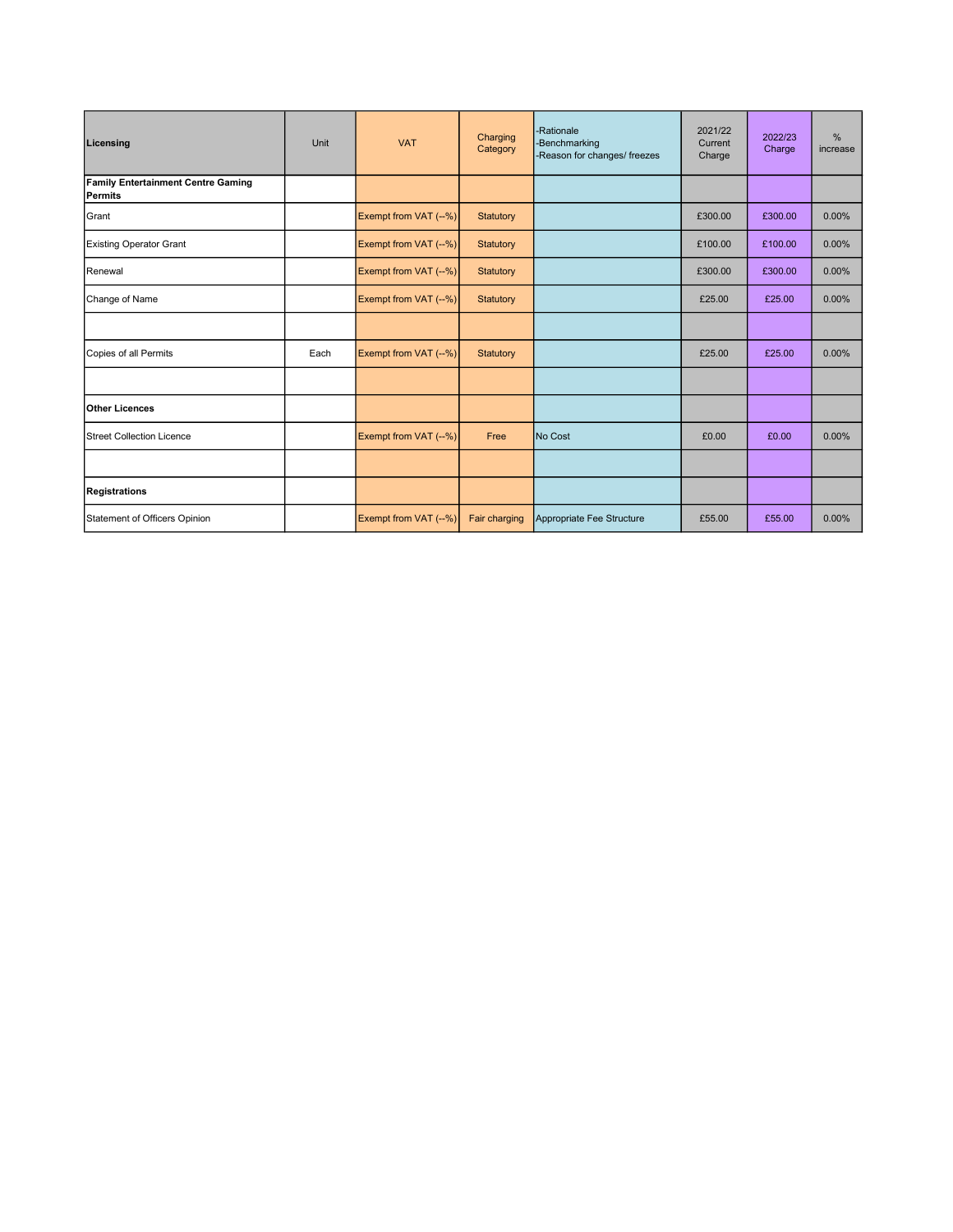| Licensing                                            | Unit | <b>VAT</b>            | Charging<br>Category | -Rationale<br>-Benchmarking<br>-Reason for changes/ freezes | 2021/22<br>Current<br>Charge | 2022/23<br>Charge | %<br>increase |
|------------------------------------------------------|------|-----------------------|----------------------|-------------------------------------------------------------|------------------------------|-------------------|---------------|
| <b>Family Entertainment Centre Gaming</b><br>Permits |      |                       |                      |                                                             |                              |                   |               |
| Grant                                                |      | Exempt from VAT (--%) | Statutory            |                                                             | £300.00                      | £300.00           | 0.00%         |
| <b>Existing Operator Grant</b>                       |      | Exempt from VAT (--%) | Statutory            |                                                             | £100.00                      | £100.00           | 0.00%         |
| <b>Renewal</b>                                       |      | Exempt from VAT (--%) | Statutory            |                                                             | £300.00                      | £300.00           | 0.00%         |
| Change of Name                                       |      | Exempt from VAT (--%) | Statutory            |                                                             | £25.00                       | £25.00            | 0.00%         |
|                                                      |      |                       |                      |                                                             |                              |                   |               |
| Copies of all Permits                                | Each | Exempt from VAT (--%) | Statutory            |                                                             | £25.00                       | £25.00            | $0.00\%$      |
|                                                      |      |                       |                      |                                                             |                              |                   |               |
| <b>Other Licences</b>                                |      |                       |                      |                                                             |                              |                   |               |
| <b>Street Collection Licence</b>                     |      | Exempt from VAT (--%) | Free                 | No Cost                                                     | £0.00                        | £0.00             | 0.00%         |
|                                                      |      |                       |                      |                                                             |                              |                   |               |
| Registrations                                        |      |                       |                      |                                                             |                              |                   |               |
| Statement of Officers Opinion                        |      | Exempt from VAT (--%) | Fair charging        | Appropriate Fee Structure                                   | £55.00                       | £55.00            | 0.00%         |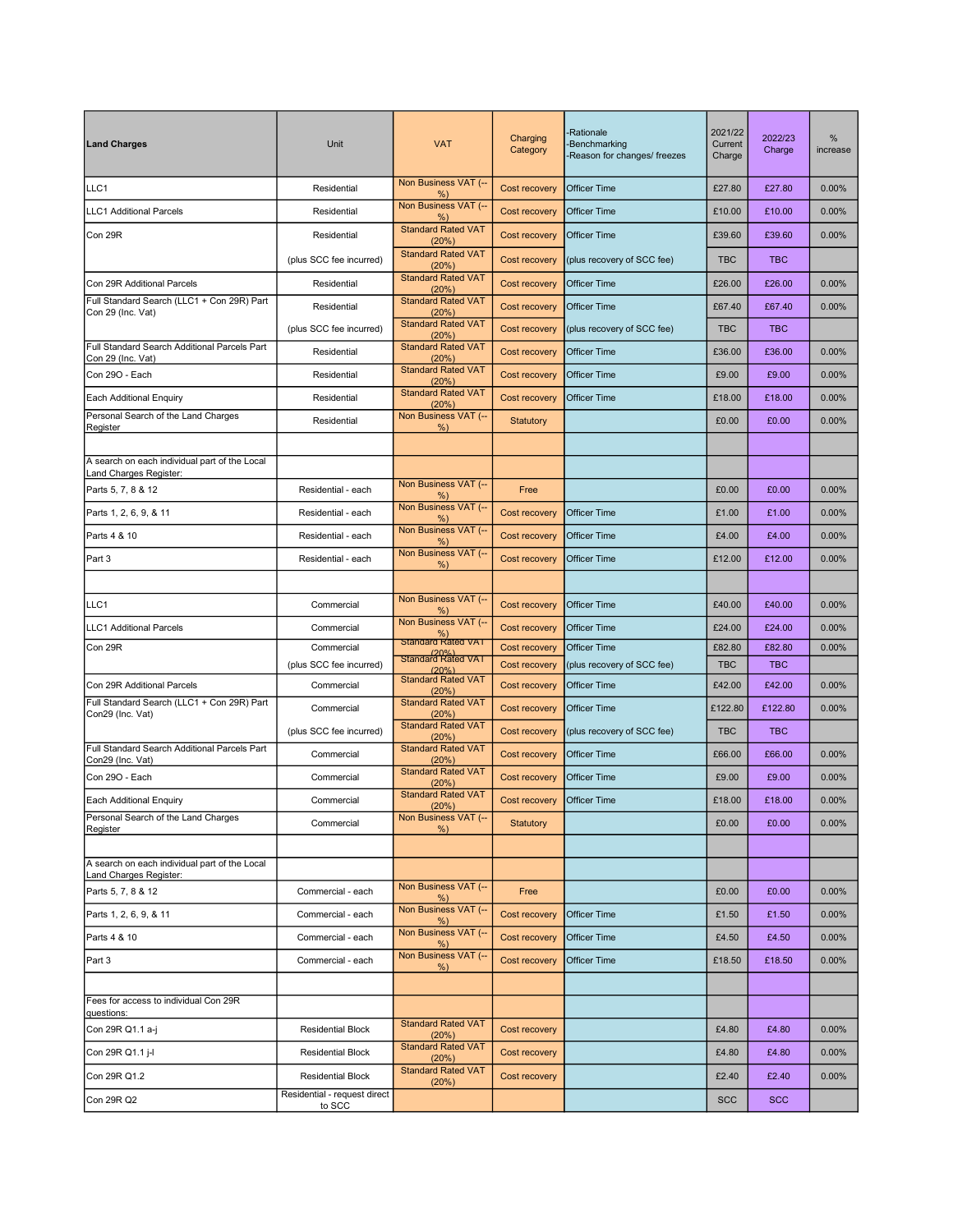| <b>Land Charges</b>                                                     | Unit                                   | <b>VAT</b>                                                  | Charging<br>Category           | <b>Rationale</b><br><b>Benchmarking</b><br>Reason for changes/ freezes | 2021/22<br>Current<br>Charge | 2022/23<br>Charge    | %<br>increase |
|-------------------------------------------------------------------------|----------------------------------------|-------------------------------------------------------------|--------------------------------|------------------------------------------------------------------------|------------------------------|----------------------|---------------|
| LLC1                                                                    | Residential                            | Non Business VAT (--<br>%                                   | Cost recovery                  | <b>Officer Time</b>                                                    | £27.80                       | £27.80               | 0.00%         |
| <b>LLC1</b> Additional Parcels                                          | Residential                            | Non Business VAT (--<br>%                                   | Cost recovery                  | <b>Officer Time</b>                                                    | £10.00                       | £10.00               | 0.00%         |
| Con 29R                                                                 | Residential                            | <b>Standard Rated VAT</b><br>(20%)                          | Cost recovery                  | <b>Officer Time</b>                                                    | £39.60                       | £39.60               | 0.00%         |
|                                                                         | (plus SCC fee incurred)                | <b>Standard Rated VAT</b><br>(20%)                          | Cost recovery                  | (plus recovery of SCC fee)                                             | <b>TBC</b>                   | <b>TBC</b>           |               |
| Con 29R Additional Parcels                                              | Residential                            | <b>Standard Rated VAT</b><br>(20%)                          | Cost recovery                  | <b>Officer Time</b>                                                    | £26.00                       | £26.00               | 0.00%         |
| Full Standard Search (LLC1 + Con 29R) Part<br>Con 29 (Inc. Vat)         | Residential                            | <b>Standard Rated VAT</b><br>(20%)                          | Cost recovery                  | <b>Officer Time</b>                                                    | £67.40                       | £67.40               | 0.00%         |
|                                                                         | (plus SCC fee incurred)                | <b>Standard Rated VAT</b><br>(20%)                          | Cost recovery                  | (plus recovery of SCC fee)                                             | <b>TBC</b>                   | <b>TBC</b>           |               |
| Full Standard Search Additional Parcels Part<br>Con 29 (Inc. Vat)       | Residential                            | <b>Standard Rated VAT</b><br>(20%)                          | Cost recovery                  | <b>Officer Time</b>                                                    | £36.00                       | £36.00               | 0.00%         |
| Con 290 - Each                                                          | Residential                            | <b>Standard Rated VAT</b><br>(20%)                          | Cost recovery                  | <b>Officer Time</b>                                                    | £9.00                        | £9.00                | 0.00%         |
| Each Additional Enquiry                                                 | Residential                            | <b>Standard Rated VAT</b><br>(20%)                          | Cost recovery                  | <b>Officer Time</b>                                                    | £18.00                       | £18.00               | 0.00%         |
| Personal Search of the Land Charges<br>Register                         | Residential                            | Non Business VAT (--<br>%                                   | Statutory                      |                                                                        | £0.00                        | £0.00                | 0.00%         |
|                                                                         |                                        |                                                             |                                |                                                                        |                              |                      |               |
| A search on each individual part of the Local<br>Land Charges Register: |                                        |                                                             |                                |                                                                        |                              |                      |               |
| Parts 5, 7, 8 & 12                                                      | Residential - each                     | Non Business VAT (--<br>%                                   | Free                           |                                                                        | £0.00                        | £0.00                | 0.00%         |
| Parts 1, 2, 6, 9, & 11                                                  | Residential - each                     | Non Business VAT (--<br>%                                   | Cost recovery                  | <b>Officer Time</b>                                                    | £1.00                        | £1.00                | 0.00%         |
| Parts 4 & 10                                                            | Residential - each                     | Non Business VAT (--<br>$%$ )                               | Cost recovery                  | <b>Officer Time</b>                                                    | £4.00                        | £4.00                | 0.00%         |
| Part 3                                                                  | Residential - each                     | Non Business VAT (--<br>%                                   | Cost recovery                  | <b>Officer Time</b>                                                    | £12.00                       | £12.00               | 0.00%         |
|                                                                         |                                        |                                                             |                                |                                                                        |                              |                      |               |
| LLC1                                                                    | Commercial                             | Non Business VAT (--<br>%                                   | Cost recovery                  | <b>Officer Time</b>                                                    | £40.00                       | £40.00               | 0.00%         |
| <b>LLC1 Additional Parcels</b>                                          | Commercial                             | Non Business VAT (--<br><sup>%)</sup><br>Standard Rated VAT | Cost recovery                  | <b>Officer Time</b>                                                    | £24.00                       | £24.00               | 0.00%         |
| Con 29R                                                                 | Commercial                             | Standard Rated VAT                                          | Cost recovery                  | <b>Officer Time</b>                                                    | £82.80                       | £82.80               | 0.00%         |
| Con 29R Additional Parcels                                              | (plus SCC fee incurred)<br>Commercial  | (20%<br><b>Standard Rated VAT</b>                           | Cost recovery                  | (plus recovery of SCC fee)<br><b>Officer Time</b>                      | <b>TBC</b>                   | <b>TBC</b><br>£42.00 | 0.00%         |
| Full Standard Search (LLC1 + Con 29R) Part                              |                                        | (20%)<br><b>Standard Rated VAT</b>                          | Cost recovery                  |                                                                        | £42.00                       |                      |               |
| Con29 (Inc. Vat)                                                        | Commercial                             | (20%)<br><b>Standard Rated VAT</b>                          | Cost recovery<br>Cost recovery | <b>Officer Time</b>                                                    | £122.80<br><b>TBC</b>        | £122.80              | 0.00%         |
| Full Standard Search Additional Parcels Part                            | (plus SCC fee incurred)                | (20%)<br><b>Standard Rated VAT</b>                          |                                | (plus recovery of SCC fee)                                             |                              | <b>TBC</b>           |               |
| Con29 (Inc. Vat)<br>Con 290 - Each                                      | Commercial                             | (20%)<br><b>Standard Rated VAT</b>                          | Cost recovery                  | <b>Officer Time</b>                                                    | £66.00                       | £66.00               | 0.00%         |
|                                                                         | Commercial                             | (20%)<br><b>Standard Rated VAT</b>                          | Cost recovery                  | <b>Officer Time</b>                                                    | £9.00                        | £9.00                | 0.00%         |
| Each Additional Enquiry<br>Personal Search of the Land Charges          | Commercial                             | (20%)<br>Non Business VAT (--                               | Cost recovery                  | <b>Officer Time</b>                                                    | £18.00                       | £18.00               | 0.00%         |
| Register                                                                | Commercial                             | %                                                           | Statutory                      |                                                                        | £0.00                        | £0.00                | 0.00%         |
| A search on each individual part of the Local                           |                                        |                                                             |                                |                                                                        |                              |                      |               |
| Land Charges Register:                                                  |                                        | Non Business VAT (--                                        |                                |                                                                        |                              |                      |               |
| Parts 5, 7, 8 & 12                                                      | Commercial - each                      | $%$ )<br>Non Business VAT (--                               | Free                           |                                                                        | £0.00                        | £0.00                | 0.00%         |
| Parts 1, 2, 6, 9, & 11                                                  | Commercial - each                      | %<br>Non Business VAT (--                                   | Cost recovery                  | <b>Officer Time</b>                                                    | £1.50                        | £1.50                | 0.00%         |
| Parts 4 & 10                                                            | Commercial - each                      | $%$ )<br>Non Business VAT (--                               | Cost recovery                  | <b>Officer Time</b>                                                    | £4.50                        | £4.50                | 0.00%         |
| Part 3                                                                  | Commercial - each                      | %                                                           | Cost recovery                  | <b>Officer Time</b>                                                    | £18.50                       | £18.50               | 0.00%         |
| Fees for access to individual Con 29R                                   |                                        |                                                             |                                |                                                                        |                              |                      |               |
| questions:                                                              |                                        | <b>Standard Rated VAT</b>                                   |                                |                                                                        |                              |                      |               |
| Con 29R Q1.1 a-j                                                        | <b>Residential Block</b>               | (20%)<br><b>Standard Rated VAT</b>                          | Cost recovery                  |                                                                        | £4.80                        | £4.80                | 0.00%         |
| Con 29R Q1.1 j-l                                                        | Residential Block                      | (20%)<br><b>Standard Rated VAT</b>                          | Cost recovery                  |                                                                        | £4.80                        | £4.80                | 0.00%         |
| Con 29R Q1.2                                                            | <b>Residential Block</b>               | (20%)                                                       | Cost recovery                  |                                                                        | £2.40                        | £2.40                | 0.00%         |
| Con 29R Q2                                                              | Residential - request direct<br>to SCC |                                                             |                                |                                                                        | <b>SCC</b>                   | <b>SCC</b>           |               |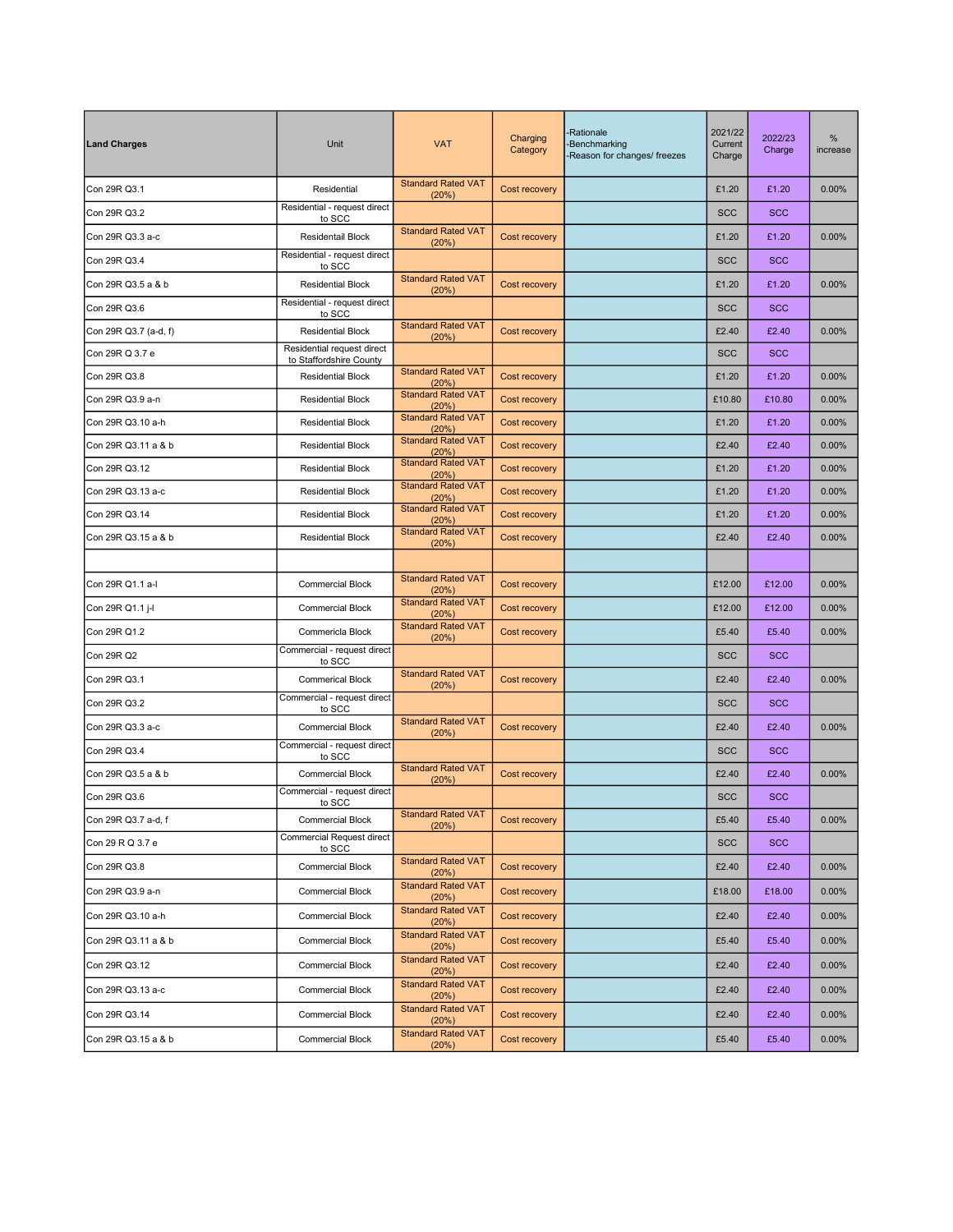| <b>Land Charges</b>   | <b>Unit</b>                                           | <b>VAT</b>                         | Charging<br>Category | <b>Rationale</b><br>-Benchmarking<br>Reason for changes/ freezes | 2021/22<br>Current<br>Charge | 2022/23<br>Charge | $\%$<br>increase |
|-----------------------|-------------------------------------------------------|------------------------------------|----------------------|------------------------------------------------------------------|------------------------------|-------------------|------------------|
| Con 29R Q3.1          | Residential                                           | <b>Standard Rated VAT</b><br>(20%) | Cost recovery        |                                                                  | £1.20                        | £1.20             | 0.00%            |
| Con 29R Q3.2          | Residential - request direct<br>to SCC                |                                    |                      |                                                                  | <b>SCC</b>                   | <b>SCC</b>        |                  |
| Con 29R Q3.3 a-c      | Residentail Block                                     | <b>Standard Rated VAT</b><br>(20%) | Cost recovery        |                                                                  | £1.20                        | £1.20             | 0.00%            |
| Con 29R Q3.4          | Residential - request direct<br>to SCC                |                                    |                      |                                                                  | <b>SCC</b>                   | <b>SCC</b>        |                  |
| Con 29R Q3.5 a & b    | <b>Residential Block</b>                              | <b>Standard Rated VAT</b><br>(20%) | Cost recovery        |                                                                  | £1.20                        | £1.20             | 0.00%            |
| Con 29R Q3.6          | Residential - request direct<br>to SCC                |                                    |                      |                                                                  | <b>SCC</b>                   | <b>SCC</b>        |                  |
| Con 29R Q3.7 (a-d, f) | <b>Residential Block</b>                              | <b>Standard Rated VAT</b><br>(20%) | Cost recovery        |                                                                  | £2.40                        | £2.40             | 0.00%            |
| Con 29R Q 3.7 e       | Residential request direct<br>to Staffordshire County |                                    |                      |                                                                  | <b>SCC</b>                   | <b>SCC</b>        |                  |
| Con 29R Q3.8          | <b>Residential Block</b>                              | <b>Standard Rated VAT</b><br>(20%) | Cost recovery        |                                                                  | £1.20                        | £1.20             | 0.00%            |
| Con 29R Q3.9 a-n      | <b>Residential Block</b>                              | <b>Standard Rated VAT</b><br>(20%) | Cost recovery        |                                                                  | £10.80                       | £10.80            | 0.00%            |
| Con 29R Q3.10 a-h     | <b>Residential Block</b>                              | <b>Standard Rated VAT</b><br>(20%) | Cost recovery        |                                                                  | £1.20                        | £1.20             | 0.00%            |
| Con 29R Q3.11 a & b   | <b>Residential Block</b>                              | <b>Standard Rated VAT</b><br>(20%) | Cost recovery        |                                                                  | £2.40                        | £2.40             | 0.00%            |
| Con 29R Q3.12         | <b>Residential Block</b>                              | <b>Standard Rated VAT</b><br>(20%) | Cost recovery        |                                                                  | £1.20                        | £1.20             | 0.00%            |
| Con 29R Q3.13 a-c     | <b>Residential Block</b>                              | <b>Standard Rated VAT</b><br>(20%) | Cost recovery        |                                                                  | £1.20                        | £1.20             | 0.00%            |
| Con 29R Q3.14         | <b>Residential Block</b>                              | <b>Standard Rated VAT</b><br>(20%) | Cost recovery        |                                                                  | £1.20                        | £1.20             | 0.00%            |
| Con 29R Q3.15 a & b   | <b>Residential Block</b>                              | <b>Standard Rated VAT</b><br>(20%) | Cost recovery        |                                                                  | £2.40                        | £2.40             | 0.00%            |
|                       |                                                       |                                    |                      |                                                                  |                              |                   |                  |
| Con 29R Q1.1 a-l      | <b>Commercial Block</b>                               | <b>Standard Rated VAT</b><br>(20%) | Cost recovery        |                                                                  | £12.00                       | £12.00            | 0.00%            |
| Con 29R Q1.1 j-l      | <b>Commercial Block</b>                               | <b>Standard Rated VAT</b><br>(20%) | Cost recovery        |                                                                  | £12.00                       | £12.00            | 0.00%            |
| Con 29R Q1.2          | Commericla Block                                      | <b>Standard Rated VAT</b><br>(20%) | Cost recovery        |                                                                  | £5.40                        | £5.40             | 0.00%            |
| Con 29R Q2            | Commercial - request direct<br>to SCC                 |                                    |                      |                                                                  | <b>SCC</b>                   | <b>SCC</b>        |                  |
| Con 29R Q3.1          | <b>Commerical Block</b>                               | <b>Standard Rated VAT</b><br>(20%) | Cost recovery        |                                                                  | £2.40                        | £2.40             | 0.00%            |
| Con 29R Q3.2          | Commercial - request direct<br>to SCC                 |                                    |                      |                                                                  | <b>SCC</b>                   | <b>SCC</b>        |                  |
| Con 29R Q3.3 a-c      | <b>Commercial Block</b>                               | <b>Standard Rated VAT</b><br>(20%) | Cost recovery        |                                                                  | £2.40                        | £2.40             | 0.00%            |
| Con 29R Q3.4          | Commercial - request direct<br>to SCC                 |                                    |                      |                                                                  | <b>SCC</b>                   | <b>SCC</b>        |                  |
| Con 29R Q3.5 a & b    | <b>Commercial Block</b>                               | <b>Standard Rated VAT</b><br>(20%) | Cost recovery        |                                                                  | £2.40                        | £2.40             | 0.00%            |
| Con 29R Q3.6          | Commercial - request direct<br>to SCC                 |                                    |                      |                                                                  | <b>SCC</b>                   | <b>SCC</b>        |                  |
| Con 29R Q3.7 a-d, f   | <b>Commercial Block</b>                               | <b>Standard Rated VAT</b><br>(20%) | Cost recovery        |                                                                  | £5.40                        | £5.40             | 0.00%            |
| Con 29 R Q 3.7 e      | <b>Commercial Request direct</b><br>to SCC            |                                    |                      |                                                                  | <b>SCC</b>                   | <b>SCC</b>        |                  |
| Con 29R Q3.8          | <b>Commercial Block</b>                               | <b>Standard Rated VAT</b><br>(20%) | Cost recovery        |                                                                  | £2.40                        | £2.40             | 0.00%            |
| Con 29R Q3.9 a-n      | <b>Commercial Block</b>                               | <b>Standard Rated VAT</b><br>(20%) | Cost recovery        |                                                                  | £18.00                       | £18.00            | 0.00%            |
| Con 29R Q3.10 a-h     | <b>Commercial Block</b>                               | <b>Standard Rated VAT</b><br>(20%) | Cost recovery        |                                                                  | £2.40                        | £2.40             | 0.00%            |
| Con 29R Q3.11 a & b   | <b>Commercial Block</b>                               | <b>Standard Rated VAT</b><br>(20%) | Cost recovery        |                                                                  | £5.40                        | £5.40             | $0.00\%$         |
| Con 29R Q3.12         | <b>Commercial Block</b>                               | <b>Standard Rated VAT</b><br>(20%) | Cost recovery        |                                                                  | £2.40                        | £2.40             | 0.00%            |
| Con 29R Q3.13 a-c     | <b>Commercial Block</b>                               | <b>Standard Rated VAT</b><br>(20%) | Cost recovery        |                                                                  | £2.40                        | £2.40             | $0.00\%$         |
| Con 29R Q3.14         | <b>Commercial Block</b>                               | <b>Standard Rated VAT</b><br>(20%) | Cost recovery        |                                                                  | £2.40                        | £2.40             | $0.00\%$         |
| Con 29R Q3.15 a & b   | <b>Commercial Block</b>                               | <b>Standard Rated VAT</b><br>(20%) | Cost recovery        |                                                                  | £5.40                        | £5.40             | $0.00\%$         |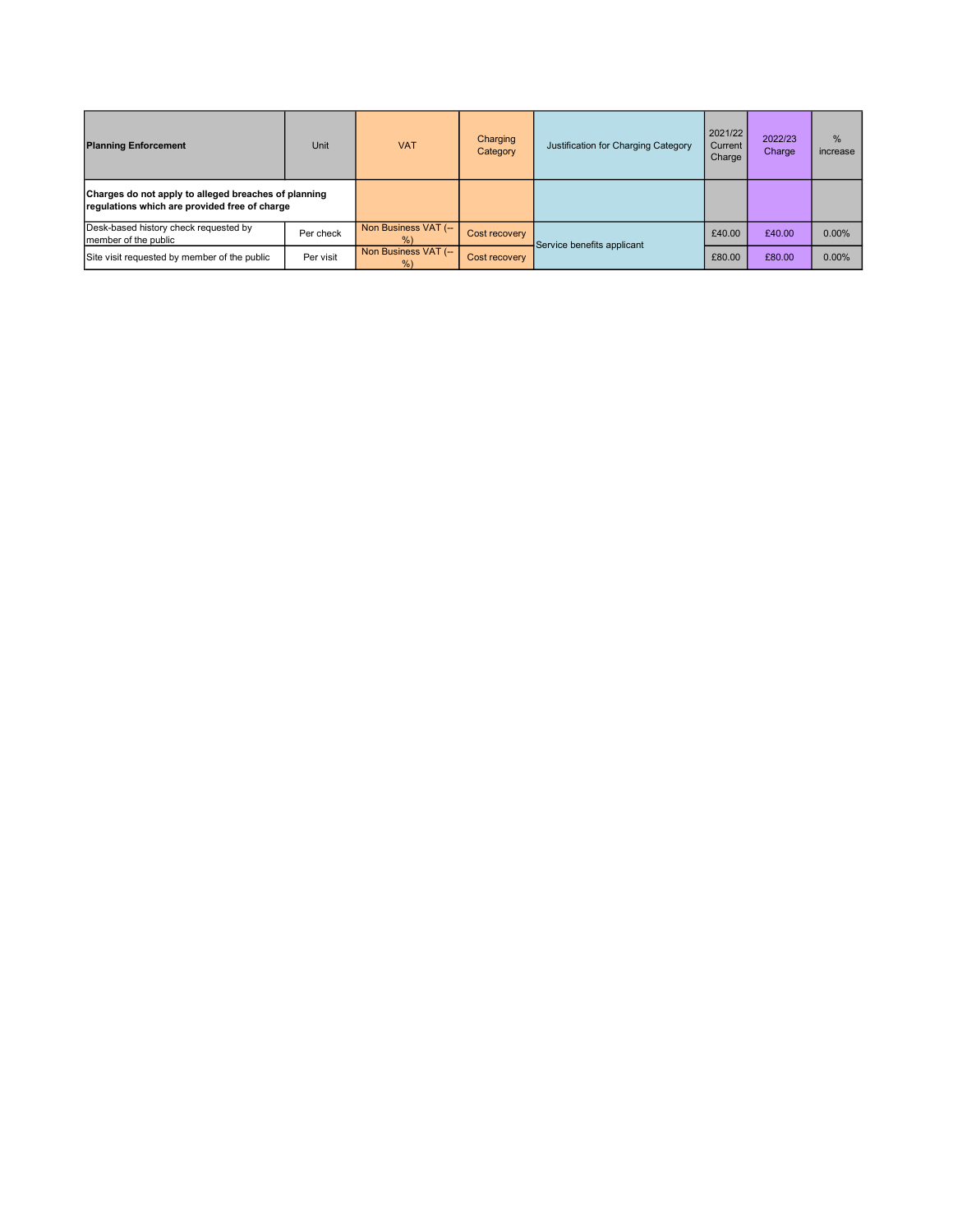| <b>Planning Enforcement</b>                                                                           | Unit      | <b>VAT</b>                | Charging<br>Category | Justification for Charging Category | 2021/22<br>Current<br>Charge | 2022/23<br>Charge | %<br>increase |
|-------------------------------------------------------------------------------------------------------|-----------|---------------------------|----------------------|-------------------------------------|------------------------------|-------------------|---------------|
| Charges do not apply to alleged breaches of planning<br>regulations which are provided free of charge |           |                           |                      |                                     |                              |                   |               |
| Desk-based history check requested by<br>member of the public                                         | Per check | Non Business VAT (--<br>% | <b>Cost recovery</b> | Service benefits applicant          | £40.00                       | £40.00            | 0.00%         |
| Site visit requested by member of the public                                                          | Per visit | Non Business VAT (--<br>% | Cost recovery        |                                     | £80.00                       | £80.00            | 0.00%         |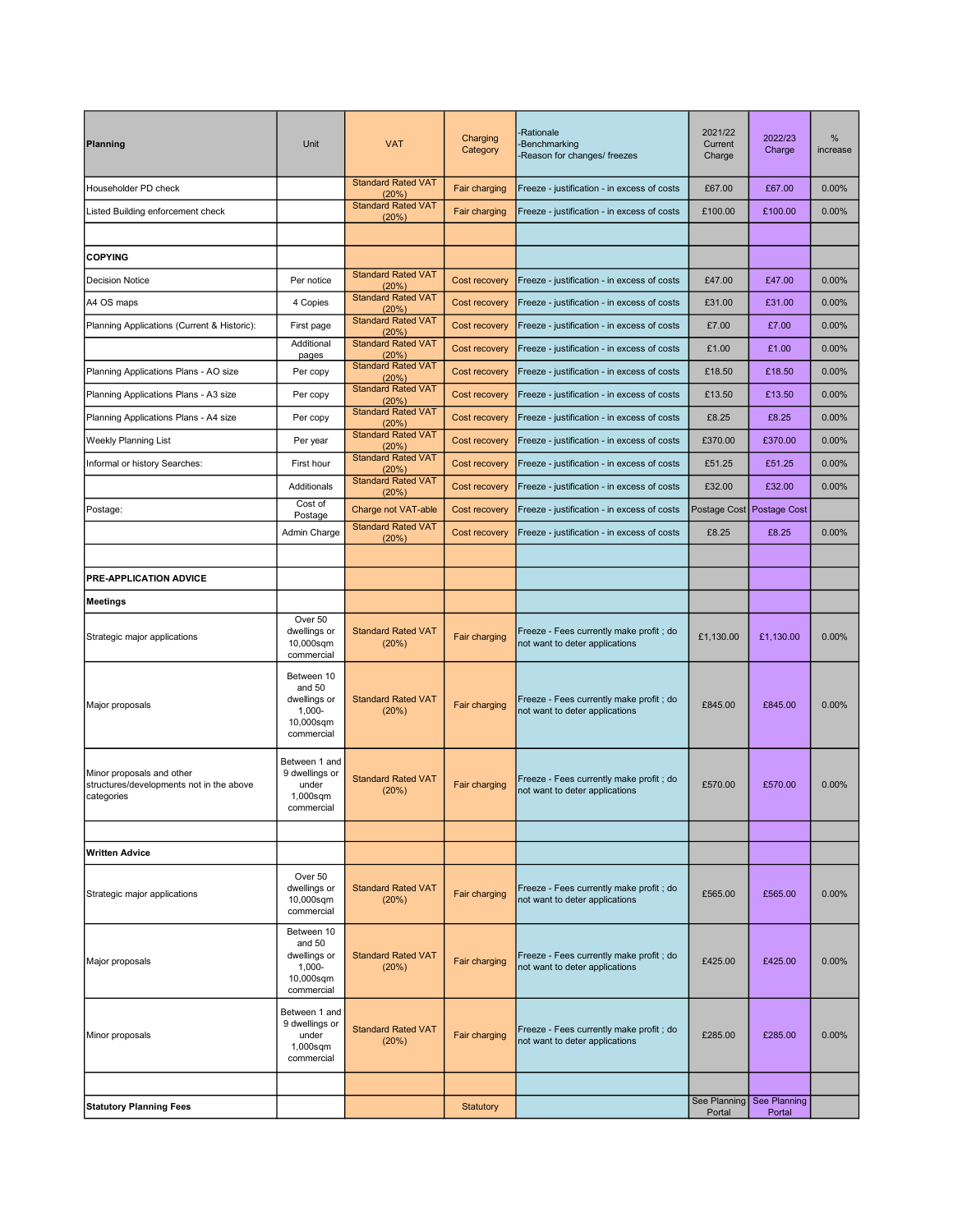| Planning                                                                            | Unit                                                                         | <b>VAT</b>                         | Charging<br>Category | <b>Rationale</b><br><b>Benchmarking</b><br>Reason for changes/ freezes     | 2021/22<br>Current<br>Charge | 2022/23<br>Charge                   | %<br>increase |
|-------------------------------------------------------------------------------------|------------------------------------------------------------------------------|------------------------------------|----------------------|----------------------------------------------------------------------------|------------------------------|-------------------------------------|---------------|
| Householder PD check                                                                |                                                                              | <b>Standard Rated VAT</b><br>(20%) | Fair charging        | Freeze - justification - in excess of costs                                | £67.00                       | £67.00                              | 0.00%         |
| Listed Building enforcement check                                                   |                                                                              | <b>Standard Rated VAT</b><br>(20%) | Fair charging        | Freeze - justification - in excess of costs                                | £100.00                      | £100.00                             | 0.00%         |
|                                                                                     |                                                                              |                                    |                      |                                                                            |                              |                                     |               |
| <b>COPYING</b>                                                                      |                                                                              |                                    |                      |                                                                            |                              |                                     |               |
| <b>Decision Notice</b>                                                              | Per notice                                                                   | <b>Standard Rated VAT</b><br>(20%) | Cost recovery        | Freeze - justification - in excess of costs                                | £47.00                       | £47.00                              | 0.00%         |
| A4 OS maps                                                                          | 4 Copies                                                                     | <b>Standard Rated VAT</b><br>(20%) | Cost recovery        | Freeze - justification - in excess of costs                                | £31.00                       | £31.00                              | 0.00%         |
| Planning Applications (Current & Historic):                                         | First page                                                                   | <b>Standard Rated VAT</b><br>(20%) | Cost recovery        | Freeze - justification - in excess of costs                                | £7.00                        | £7.00                               | 0.00%         |
|                                                                                     | Additional<br>pages                                                          | <b>Standard Rated VAT</b><br>(20%) | Cost recovery        | Freeze - justification - in excess of costs                                | £1.00                        | £1.00                               | 0.00%         |
| Planning Applications Plans - AO size                                               | Per copy                                                                     | <b>Standard Rated VAT</b><br>(20%) | Cost recovery        | Freeze - justification - in excess of costs                                | £18.50                       | £18.50                              | 0.00%         |
| Planning Applications Plans - A3 size                                               | Per copy                                                                     | <b>Standard Rated VAT</b><br>(20%) | Cost recovery        | Freeze - justification - in excess of costs                                | £13.50                       | £13.50                              | 0.00%         |
| Planning Applications Plans - A4 size                                               | Per copy                                                                     | <b>Standard Rated VAT</b><br>(20%) | Cost recovery        | Freeze - justification - in excess of costs                                | £8.25                        | £8.25                               | 0.00%         |
| <b>Weekly Planning List</b>                                                         | Per year                                                                     | <b>Standard Rated VAT</b><br>(20%) | Cost recovery        | Freeze - justification - in excess of costs                                | £370.00                      | £370.00                             | 0.00%         |
| Informal or history Searches:                                                       | First hour                                                                   | <b>Standard Rated VAT</b><br>(20%) | Cost recovery        | Freeze - justification - in excess of costs                                | £51.25                       | £51.25                              | 0.00%         |
|                                                                                     | Additionals                                                                  | <b>Standard Rated VAT</b><br>(20%) | Cost recovery        | Freeze - justification - in excess of costs                                | £32.00                       | £32.00                              | 0.00%         |
| Postage:                                                                            | Cost of<br>Postage                                                           | Charge not VAT-able                | Cost recovery        | Freeze - justification - in excess of costs                                | Postage Cost                 | <b>Postage Cost</b>                 |               |
|                                                                                     | Admin Charge                                                                 | <b>Standard Rated VAT</b><br>(20%) | Cost recovery        | Freeze - justification - in excess of costs                                | £8.25                        | £8.25                               | 0.00%         |
|                                                                                     |                                                                              |                                    |                      |                                                                            |                              |                                     |               |
| PRE-APPLICATION ADVICE                                                              |                                                                              |                                    |                      |                                                                            |                              |                                     |               |
| Meetings                                                                            |                                                                              |                                    |                      |                                                                            |                              |                                     |               |
| Strategic major applications                                                        | Over 50<br>dwellings or<br>10,000sqm<br>commercial                           | <b>Standard Rated VAT</b><br>(20%) | Fair charging        | Freeze - Fees currently make profit; do<br>not want to deter applications  | £1,130.00                    | £1,130.00                           | 0.00%         |
| Major proposals                                                                     | Between 10<br>and 50<br>dwellings or<br>$1,000 -$<br>10,000sqm<br>commercial | <b>Standard Rated VAT</b><br>(20%) | Fair charging        | Freeze - Fees currently make profit; do<br>not want to deter applications  | £845.00                      | £845.00                             | 0.00%         |
| Minor proposals and other<br>structures/developments not in the above<br>categories | Between 1 and<br>9 dwellings or<br>under<br>1,000sqm<br>commercial           | <b>Standard Rated VAT</b><br>(20%) | Fair charging        | Freeze - Fees currently make profit; do<br>not want to deter applications  | £570.00                      | £570.00                             | 0.00%         |
|                                                                                     |                                                                              |                                    |                      |                                                                            |                              |                                     |               |
| <b>Written Advice</b>                                                               |                                                                              |                                    |                      |                                                                            |                              |                                     |               |
| Strategic major applications                                                        | Over 50<br>dwellings or<br>10,000sqm<br>commercial                           | <b>Standard Rated VAT</b><br>(20%) | Fair charging        | Freeze - Fees currently make profit ; do<br>not want to deter applications | £565.00                      | £565.00                             | 0.00%         |
| Major proposals                                                                     | Between 10<br>and 50<br>dwellings or<br>$1,000 -$<br>10,000sqm<br>commercial | <b>Standard Rated VAT</b><br>(20%) | Fair charging        | Freeze - Fees currently make profit ; do<br>not want to deter applications | £425.00                      | £425.00                             | 0.00%         |
| Minor proposals                                                                     | Between 1 and<br>9 dwellings or<br>under<br>1,000sqm<br>commercial           | <b>Standard Rated VAT</b><br>(20%) | Fair charging        | Freeze - Fees currently make profit; do<br>not want to deter applications  | £285.00                      | £285.00                             | 0.00%         |
|                                                                                     |                                                                              |                                    |                      |                                                                            |                              |                                     |               |
| <b>Statutory Planning Fees</b>                                                      |                                                                              |                                    | Statutory            |                                                                            | Portal                       | See Planning See Planning<br>Portal |               |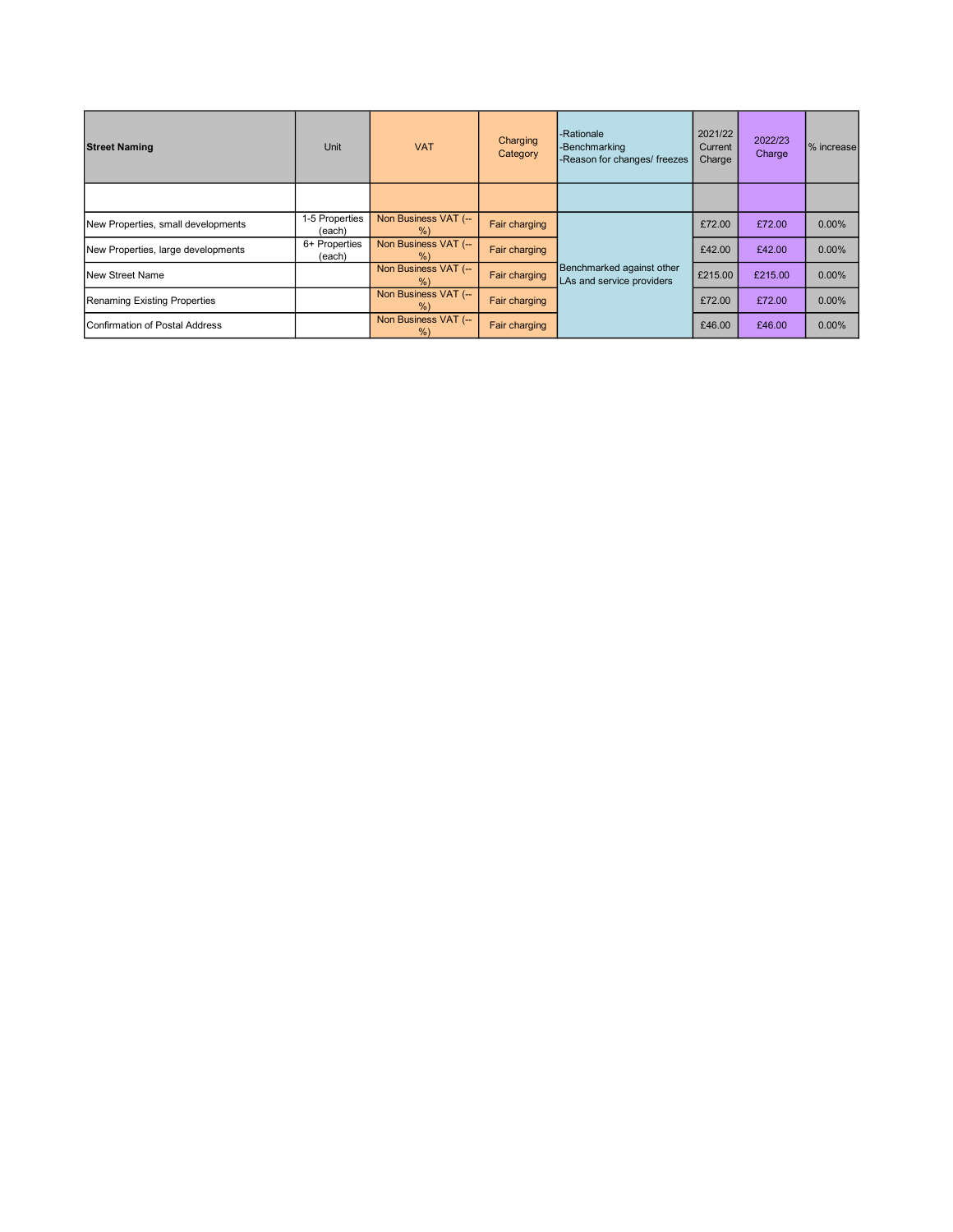| <b>Street Naming</b>                   | Unit                     | <b>VAT</b>                   | Charging<br>Category | -Rationale<br>-Benchmarking<br>-Reason for changes/ freezes | 2021/22<br>Current<br>Charge | 2022/23<br>Charge | % increase |
|----------------------------------------|--------------------------|------------------------------|----------------------|-------------------------------------------------------------|------------------------------|-------------------|------------|
|                                        |                          |                              |                      |                                                             |                              |                   |            |
| New Properties, small developments     | 1-5 Properties<br>(each) | Non Business VAT (--<br>%    | Fair charging        |                                                             | £72.00                       | £72.00            | $0.00\%$   |
| New Properties, large developments     | 6+ Properties<br>(each)  | Non Business VAT (--<br>%    | <b>Fair charging</b> |                                                             | £42.00                       | £42.00            | 0.00%      |
| <b>New Street Name</b>                 |                          | Non Business VAT (--<br>$\%$ | Fair charging        | Benchmarked against other<br>LAs and service providers      | £215.00                      | £215.00           | $0.00\%$   |
| Renaming Existing Properties           |                          | Non Business VAT (--<br>$\%$ | Fair charging        |                                                             | £72.00                       | £72.00            | 0.00%      |
| <b>IConfirmation of Postal Address</b> |                          | Non Business VAT (--<br>%    | Fair charging        |                                                             | £46.00                       | £46.00            | 0.00%      |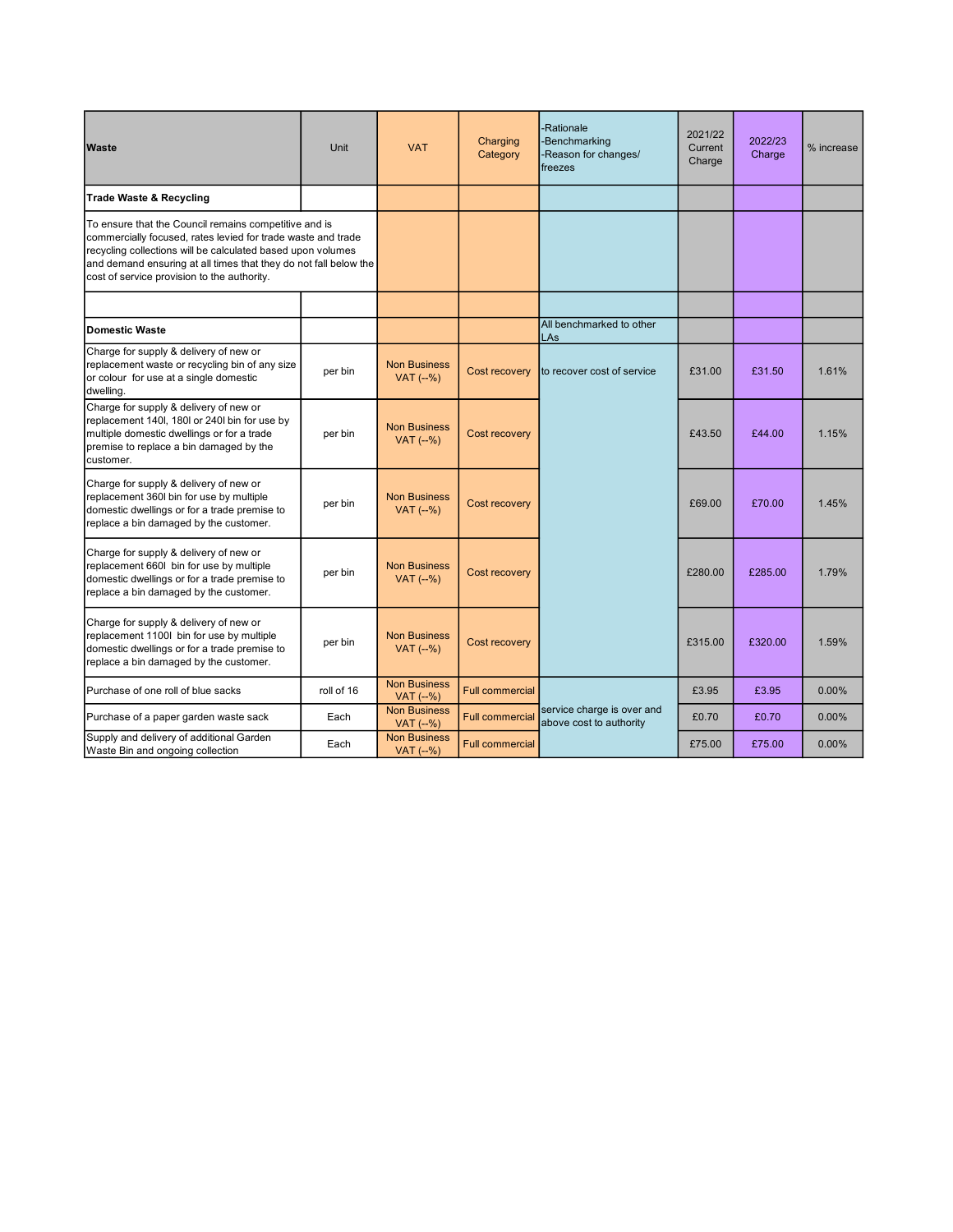| <b>Waste</b>                                                                                                                                                                                                                                                                                            | Unit       | <b>VAT</b>                         | Charging<br>Category   | -Rationale<br><b>Benchmarking</b><br>Reason for changes/<br>freezes | 2021/22<br>Current<br>Charge | 2022/23<br>Charge | % increase |
|---------------------------------------------------------------------------------------------------------------------------------------------------------------------------------------------------------------------------------------------------------------------------------------------------------|------------|------------------------------------|------------------------|---------------------------------------------------------------------|------------------------------|-------------------|------------|
| <b>Trade Waste &amp; Recycling</b>                                                                                                                                                                                                                                                                      |            |                                    |                        |                                                                     |                              |                   |            |
| To ensure that the Council remains competitive and is<br>commercially focused, rates levied for trade waste and trade<br>recycling collections will be calculated based upon volumes<br>and demand ensuring at all times that they do not fall below the<br>cost of service provision to the authority. |            |                                    |                        |                                                                     |                              |                   |            |
|                                                                                                                                                                                                                                                                                                         |            |                                    |                        |                                                                     |                              |                   |            |
| <b>Domestic Waste</b>                                                                                                                                                                                                                                                                                   |            |                                    |                        | All benchmarked to other<br>LAs                                     |                              |                   |            |
| Charge for supply & delivery of new or<br>replacement waste or recycling bin of any size<br>or colour for use at a single domestic<br>dwelling.                                                                                                                                                         | per bin    | <b>Non Business</b><br>$VAT$ (--%) | Cost recovery          | to recover cost of service                                          | £31.00                       | £31.50            | 1.61%      |
| Charge for supply & delivery of new or<br>replacement 140l, 180l or 240l bin for use by<br>multiple domestic dwellings or for a trade<br>premise to replace a bin damaged by the<br>customer.                                                                                                           | per bin    | <b>Non Business</b><br>$VAT$ (--%) | Cost recovery          |                                                                     | £43.50                       | £44.00            | 1.15%      |
| Charge for supply & delivery of new or<br>replacement 360l bin for use by multiple<br>domestic dwellings or for a trade premise to<br>replace a bin damaged by the customer.                                                                                                                            | per bin    | <b>Non Business</b><br>$VAT$ (--%) | Cost recovery          |                                                                     | £69.00                       | £70.00            | 1.45%      |
| Charge for supply & delivery of new or<br>replacement 660I bin for use by multiple<br>domestic dwellings or for a trade premise to<br>replace a bin damaged by the customer.                                                                                                                            | per bin    | <b>Non Business</b><br>$VAT$ (--%) | Cost recovery          |                                                                     | £280.00                      | £285.00           | 1.79%      |
| Charge for supply & delivery of new or<br>replacement 1100l bin for use by multiple<br>domestic dwellings or for a trade premise to<br>replace a bin damaged by the customer.                                                                                                                           | per bin    | <b>Non Business</b><br>VAT (--%)   | Cost recovery          |                                                                     | £315.00                      | £320.00           | 1.59%      |
| Purchase of one roll of blue sacks                                                                                                                                                                                                                                                                      | roll of 16 | <b>Non Business</b><br>VAT (--%)   | <b>Full commercial</b> |                                                                     | £3.95                        | £3.95             | $0.00\%$   |
| Purchase of a paper garden waste sack                                                                                                                                                                                                                                                                   | Each       | <b>Non Business</b><br>$VAT$ (--%) | <b>Full commercial</b> | service charge is over and<br>above cost to authority               | £0.70                        | £0.70             | $0.00\%$   |
| Supply and delivery of additional Garden<br>Waste Bin and ongoing collection                                                                                                                                                                                                                            | Each       | <b>Non Business</b><br>VAT (--%)   | <b>Full commercial</b> |                                                                     | £75.00                       | £75.00            | $0.00\%$   |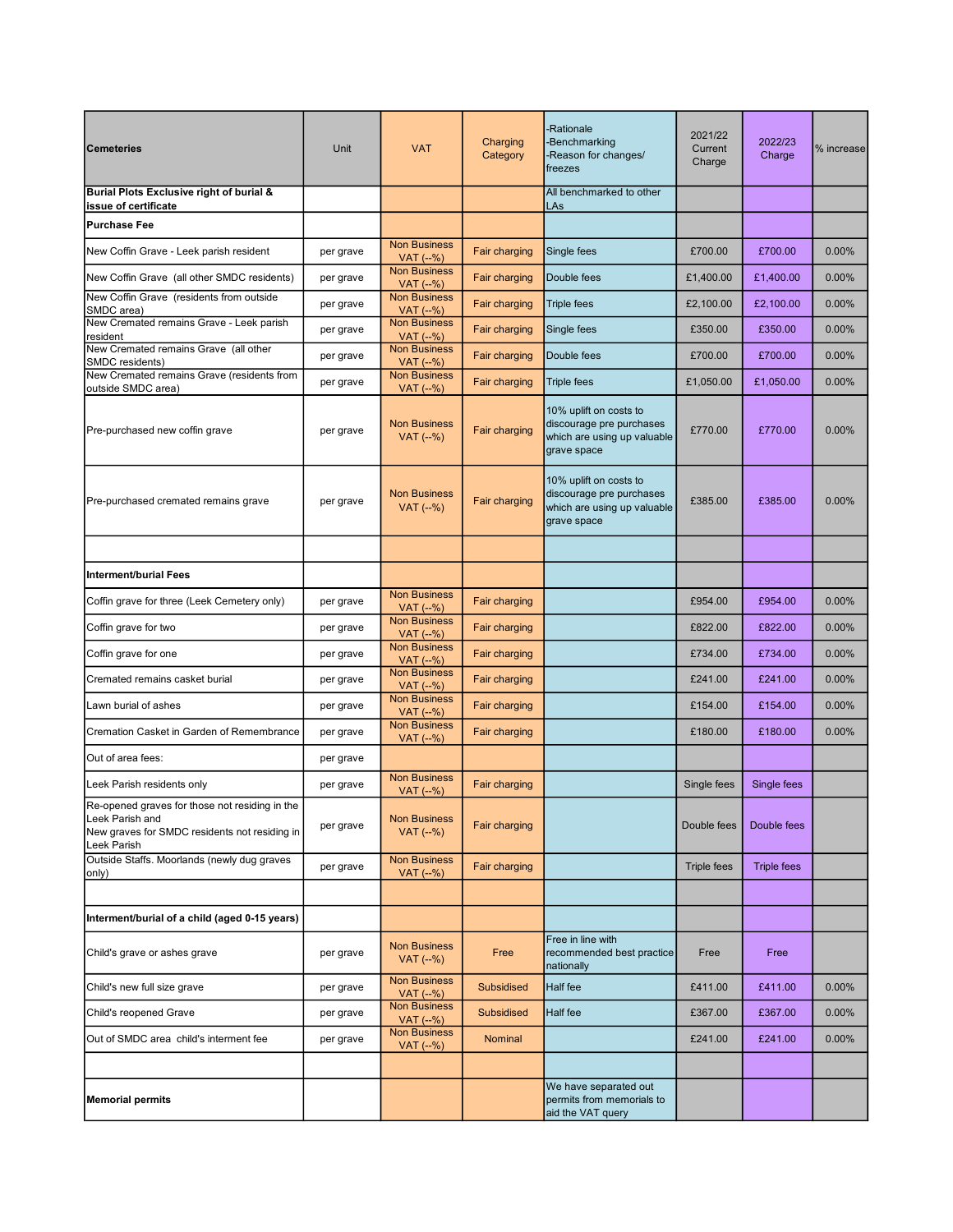| <b>Cemeteries</b>                                                                                                                 | Unit      | <b>VAT</b>                           | Charging<br>Category | -Rationale<br><b>Benchmarking</b><br>-Reason for changes/<br>freezes                             | 2021/22<br>Current<br>Charge | 2022/23<br>Charge  | % increase |
|-----------------------------------------------------------------------------------------------------------------------------------|-----------|--------------------------------------|----------------------|--------------------------------------------------------------------------------------------------|------------------------------|--------------------|------------|
| Burial Plots Exclusive right of burial &<br>issue of certificate                                                                  |           |                                      |                      | All benchmarked to other<br>LAs                                                                  |                              |                    |            |
| <b>Purchase Fee</b>                                                                                                               |           |                                      |                      |                                                                                                  |                              |                    |            |
| New Coffin Grave - Leek parish resident                                                                                           | per grave | <b>Non Business</b><br>VAT (--%)     | Fair charging        | Single fees                                                                                      | £700.00                      | £700.00            | 0.00%      |
| New Coffin Grave (all other SMDC residents)                                                                                       | per grave | <b>Non Business</b><br>$VAT$ $(-% )$ | <b>Fair charging</b> | Double fees                                                                                      | £1,400.00                    | £1,400.00          | $0.00\%$   |
| New Coffin Grave (residents from outside<br>SMDC area)                                                                            | per grave | <b>Non Business</b><br>VAT (--%)     | <b>Fair charging</b> | <b>Triple fees</b>                                                                               | £2,100.00                    | £2,100.00          | 0.00%      |
| New Cremated remains Grave - Leek parish<br>resident                                                                              | per grave | <b>Non Business</b><br>VAT (--%)     | Fair charging        | Single fees                                                                                      | £350.00                      | £350.00            | 0.00%      |
| New Cremated remains Grave (all other<br>SMDC residents)                                                                          | per grave | <b>Non Business</b><br>VAT (--%)     | Fair charging        | Double fees                                                                                      | £700.00                      | £700.00            | 0.00%      |
| New Cremated remains Grave (residents from<br>outside SMDC area)                                                                  | per grave | <b>Non Business</b><br>VAT (--%)     | Fair charging        | <b>Triple fees</b>                                                                               | £1,050.00                    | £1,050.00          | 0.00%      |
| Pre-purchased new coffin grave                                                                                                    | per grave | <b>Non Business</b><br>VAT (--%)     | Fair charging        | 10% uplift on costs to<br>discourage pre purchases<br>which are using up valuable<br>grave space | £770.00                      | £770.00            | 0.00%      |
| Pre-purchased cremated remains grave                                                                                              | per grave | <b>Non Business</b><br>$VAT$ (--%)   | <b>Fair charging</b> | 10% uplift on costs to<br>discourage pre purchases<br>which are using up valuable<br>grave space | £385.00                      | £385.00            | 0.00%      |
|                                                                                                                                   |           |                                      |                      |                                                                                                  |                              |                    |            |
| Interment/burial Fees                                                                                                             |           |                                      |                      |                                                                                                  |                              |                    |            |
| Coffin grave for three (Leek Cemetery only)                                                                                       | per grave | <b>Non Business</b><br>VAT (--%)     | Fair charging        |                                                                                                  | £954.00                      | £954.00            | 0.00%      |
| Coffin grave for two                                                                                                              | per grave | <b>Non Business</b><br>$VAT$ (--%)   | <b>Fair charging</b> |                                                                                                  | £822.00                      | £822.00            | 0.00%      |
| Coffin grave for one                                                                                                              | per grave | <b>Non Business</b><br>$VAT$ (--%)   | Fair charging        |                                                                                                  | £734.00                      | £734.00            | 0.00%      |
| Cremated remains casket burial                                                                                                    | per grave | <b>Non Business</b><br>VAT (--%)     | Fair charging        |                                                                                                  | £241.00                      | £241.00            | 0.00%      |
| Lawn burial of ashes                                                                                                              | per grave | <b>Non Business</b><br>VAT (--%)     | <b>Fair charging</b> |                                                                                                  | £154.00                      | £154.00            | 0.00%      |
| Cremation Casket in Garden of Remembrance                                                                                         | per grave | <b>Non Business</b><br>VAT (--%)     | Fair charging        |                                                                                                  | £180.00                      | £180.00            | 0.00%      |
| Out of area fees:                                                                                                                 | per grave |                                      |                      |                                                                                                  |                              |                    |            |
| Leek Parish residents only                                                                                                        | per grave | <b>Non Business</b><br>VAT (--%)     | Fair charging        |                                                                                                  | Single fees                  | Single fees        |            |
| Re-opened graves for those not residing in the<br>Leek Parish and<br>New graves for SMDC residents not residing in<br>Leek Parish | per grave | <b>Non Business</b><br>VAT (--%)     | Fair charging        |                                                                                                  | Double fees                  | Double fees        |            |
| Outside Staffs. Moorlands (newly dug graves<br>only)                                                                              | per grave | <b>Non Business</b><br>$VAT$ (--%)   | Fair charging        |                                                                                                  | <b>Triple fees</b>           | <b>Triple fees</b> |            |
|                                                                                                                                   |           |                                      |                      |                                                                                                  |                              |                    |            |
| Interment/burial of a child (aged 0-15 years)                                                                                     |           |                                      |                      |                                                                                                  |                              |                    |            |
| Child's grave or ashes grave                                                                                                      | per grave | <b>Non Business</b><br>VAT (--%)     | Free                 | Free in line with<br>recommended best practice<br>nationally                                     | Free                         | Free               |            |
| Child's new full size grave                                                                                                       | per grave | <b>Non Business</b><br>VAT (--%)     | <b>Subsidised</b>    | Half fee                                                                                         | £411.00                      | £411.00            | 0.00%      |
| Child's reopened Grave                                                                                                            | per grave | <b>Non Business</b><br>VAT (--%)     | <b>Subsidised</b>    | Half fee                                                                                         | £367.00                      | £367.00            | 0.00%      |
| Out of SMDC area child's interment fee                                                                                            | per grave | <b>Non Business</b><br>VAT (--%)     | Nominal              |                                                                                                  | £241.00                      | £241.00            | 0.00%      |
|                                                                                                                                   |           |                                      |                      |                                                                                                  |                              |                    |            |
| <b>Memorial permits</b>                                                                                                           |           |                                      |                      | We have separated out<br>permits from memorials to<br>aid the VAT query                          |                              |                    |            |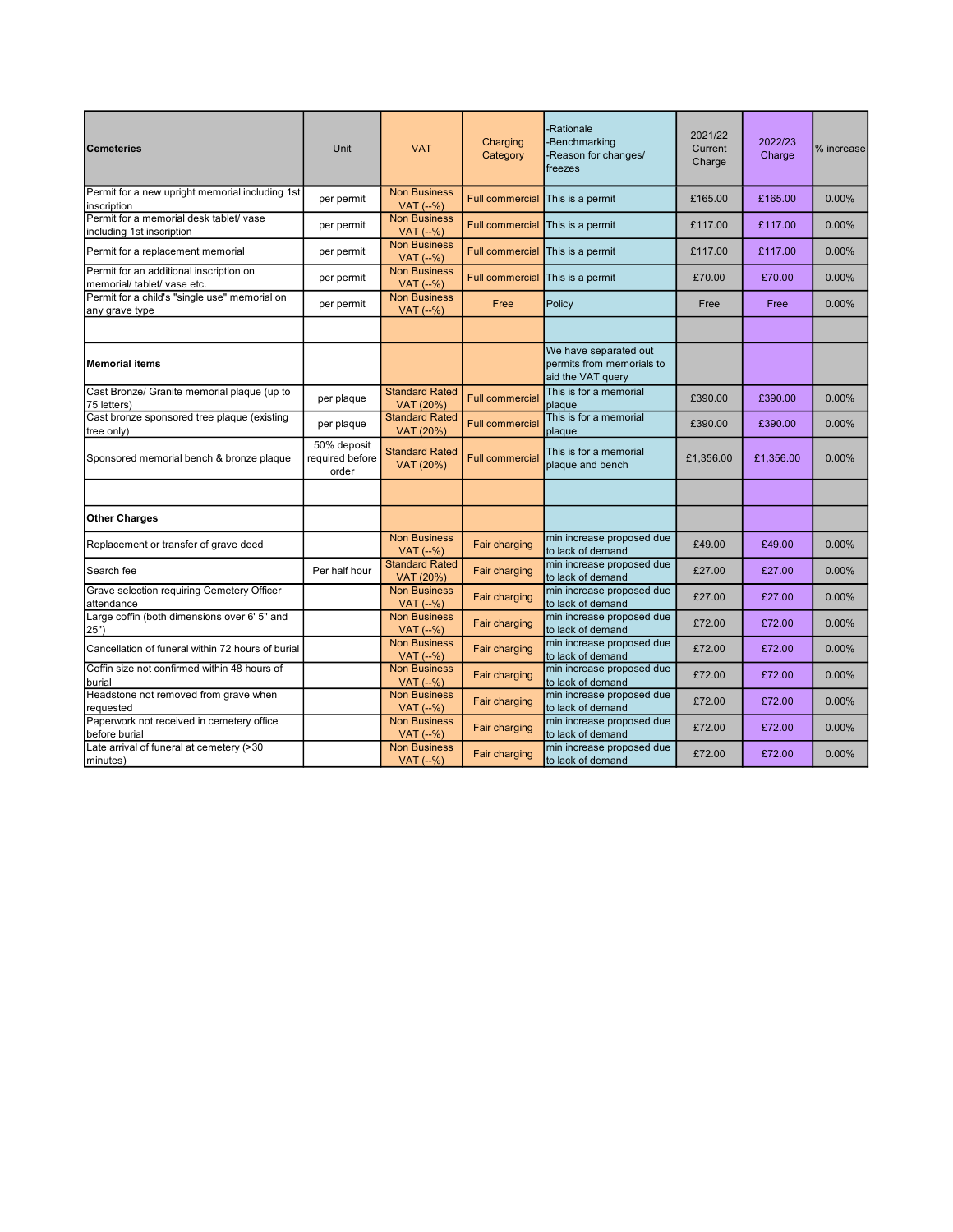| <b>Cemeteries</b>                                                      | Unit                                    | <b>VAT</b>                         | Charging<br>Category   | -Rationale<br><b>Benchmarking</b><br>-Reason for changes/<br>freezes    | 2021/22<br>Current<br>Charge | 2022/23<br>Charge | % increase |
|------------------------------------------------------------------------|-----------------------------------------|------------------------------------|------------------------|-------------------------------------------------------------------------|------------------------------|-------------------|------------|
| Permit for a new upright memorial including 1st<br>inscription         | per permit                              | <b>Non Business</b><br>VAT (--%)   | <b>Full commercial</b> | This is a permit                                                        | £165.00                      | £165.00           | 0.00%      |
| Permit for a memorial desk tablet/ vase<br>including 1st inscription   | per permit                              | <b>Non Business</b><br>VAT (--%)   | <b>Full commercial</b> | This is a permit                                                        | £117.00                      | £117.00           | 0.00%      |
| Permit for a replacement memorial                                      | per permit                              | <b>Non Business</b><br>$VAT$ (--%) | <b>Full commercial</b> | This is a permit                                                        | £117.00                      | £117.00           | $0.00\%$   |
| Permit for an additional inscription on<br>memorial/ tablet/ vase etc. | per permit                              | <b>Non Business</b><br>$VAT$ (--%) | <b>Full commercial</b> | This is a permit                                                        | £70.00                       | £70.00            | 0.00%      |
| Permit for a child's "single use" memorial on<br>any grave type        | per permit                              | <b>Non Business</b><br>VAT (--%)   | Free                   | Policy                                                                  | Free                         | Free              | 0.00%      |
|                                                                        |                                         |                                    |                        |                                                                         |                              |                   |            |
| <b>Memorial items</b>                                                  |                                         |                                    |                        | We have separated out<br>permits from memorials to<br>aid the VAT query |                              |                   |            |
| Cast Bronze/ Granite memorial plaque (up to<br>75 letters)             | per plaque                              | <b>Standard Rated</b><br>VAT (20%) | <b>Full commercia</b>  | This is for a memorial<br>plaque                                        | £390.00                      | £390.00           | 0.00%      |
| Cast bronze sponsored tree plaque (existing<br>tree only)              | per plaque                              | <b>Standard Rated</b><br>VAT (20%) | <b>Full commercial</b> | This is for a memorial<br>plaque                                        | £390.00                      | £390.00           | 0.00%      |
| Sponsored memorial bench & bronze plaque                               | 50% deposit<br>required before<br>order | <b>Standard Rated</b><br>VAT (20%) | <b>Full commercial</b> | This is for a memorial<br>plaque and bench                              | £1,356.00                    | £1,356.00         | 0.00%      |
|                                                                        |                                         |                                    |                        |                                                                         |                              |                   |            |
| <b>Other Charges</b>                                                   |                                         |                                    |                        |                                                                         |                              |                   |            |
| Replacement or transfer of grave deed                                  |                                         | <b>Non Business</b><br>VAT (--%)   | Fair charging          | min increase proposed due<br>to lack of demand                          | £49.00                       | £49.00            | 0.00%      |
| Search fee                                                             | Per half hour                           | <b>Standard Rated</b><br>VAT (20%) | Fair charging          | min increase proposed due<br>to lack of demand                          | £27.00                       | £27.00            | 0.00%      |
| Grave selection requiring Cemetery Officer<br>attendance               |                                         | <b>Non Business</b><br>VAT (--%)   | Fair charging          | min increase proposed due<br>to lack of demand                          | £27.00                       | £27.00            | 0.00%      |
| Large coffin (both dimensions over 6' 5" and<br>25")                   |                                         | <b>Non Business</b><br>VAT (--%)   | <b>Fair charging</b>   | min increase proposed due<br>to lack of demand                          | £72.00                       | £72.00            | 0.00%      |
| Cancellation of funeral within 72 hours of burial                      |                                         | <b>Non Business</b><br>VAT (--%)   | Fair charging          | min increase proposed due<br>to lack of demand                          | £72.00                       | £72.00            | 0.00%      |
| Coffin size not confirmed within 48 hours of<br>burial                 |                                         | <b>Non Business</b><br>VAT (--%)   | Fair charging          | min increase proposed due<br>to lack of demand                          | £72.00                       | £72.00            | 0.00%      |
| Headstone not removed from grave when<br>requested                     |                                         | <b>Non Business</b><br>$VAT$ (--%) | Fair charging          | min increase proposed due<br>to lack of demand                          | £72.00                       | £72.00            | 0.00%      |
| Paperwork not received in cemetery office<br>before burial             |                                         | <b>Non Business</b><br>VAT (--%)   | Fair charging          | min increase proposed due<br>to lack of demand                          | £72.00                       | £72.00            | 0.00%      |
| Late arrival of funeral at cemetery (>30<br>minutes)                   |                                         | <b>Non Business</b><br>VAT (--%)   | Fair charging          | min increase proposed due<br>to lack of demand                          | £72.00                       | £72.00            | 0.00%      |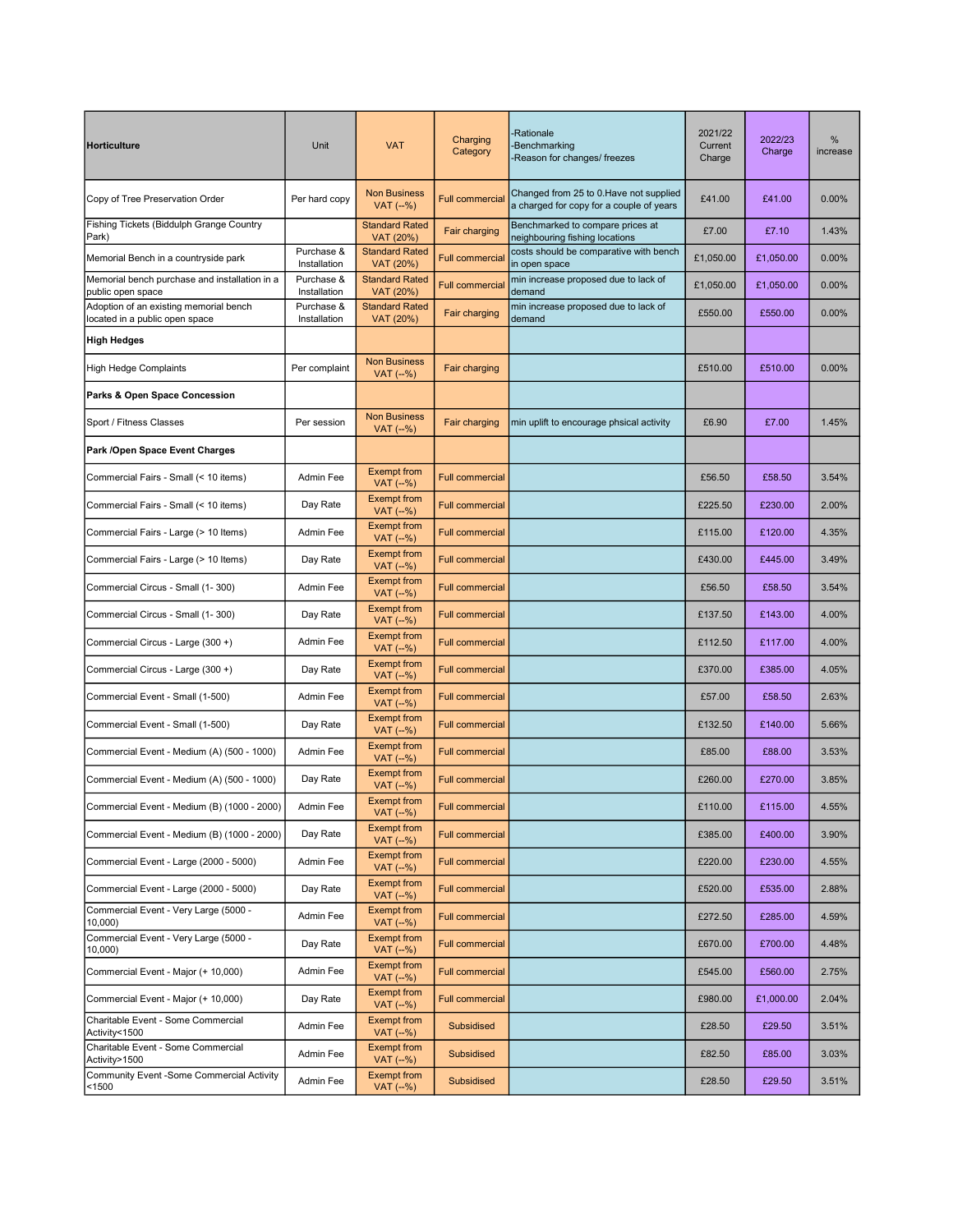| <b>Horticulture</b>                                                      | Unit                       | <b>VAT</b>                         | Charging<br>Category   | -Rationale<br>-Benchmarking<br>-Reason for changes/ freezes                         | 2021/22<br>Current<br>Charge | 2022/23<br>Charge | %<br>increase |
|--------------------------------------------------------------------------|----------------------------|------------------------------------|------------------------|-------------------------------------------------------------------------------------|------------------------------|-------------------|---------------|
| Copy of Tree Preservation Order                                          | Per hard copy              | <b>Non Business</b><br>$VAT$ (--%) | <b>Full commercia</b>  | Changed from 25 to 0. Have not supplied<br>a charged for copy for a couple of years | £41.00                       | £41.00            | 0.00%         |
| Fishing Tickets (Biddulph Grange Country<br>Park)                        |                            | <b>Standard Rated</b><br>VAT (20%) | Fair charging          | Benchmarked to compare prices at<br>neighbouring fishing locations                  | £7.00                        | £7.10             | 1.43%         |
| Memorial Bench in a countryside park                                     | Purchase &<br>Installation | <b>Standard Rated</b><br>VAT (20%) | <b>Full commercia</b>  | costs should be comparative with bench<br>in open space                             | £1,050.00                    | £1,050.00         | 0.00%         |
| Memorial bench purchase and installation in a<br>public open space       | Purchase &<br>Installation | <b>Standard Rated</b><br>VAT (20%) | <b>Full commercia</b>  | min increase proposed due to lack of<br>demand                                      | £1,050.00                    | £1,050.00         | 0.00%         |
| Adoption of an existing memorial bench<br>located in a public open space | Purchase &<br>Installation | <b>Standard Rated</b><br>VAT (20%) | <b>Fair charging</b>   | min increase proposed due to lack of<br>demand                                      | £550.00                      | £550.00           | 0.00%         |
| <b>High Hedges</b>                                                       |                            |                                    |                        |                                                                                     |                              |                   |               |
| <b>High Hedge Complaints</b>                                             | Per complaint              | <b>Non Business</b><br>$VAT$ (--%) | <b>Fair charging</b>   |                                                                                     | £510.00                      | £510.00           | 0.00%         |
| Parks & Open Space Concession                                            |                            |                                    |                        |                                                                                     |                              |                   |               |
| Sport / Fitness Classes                                                  | Per session                | <b>Non Business</b><br>$VAT$ (--%) | Fair charging          | min uplift to encourage phsical activity                                            | £6.90                        | £7.00             | 1.45%         |
| Park /Open Space Event Charges                                           |                            |                                    |                        |                                                                                     |                              |                   |               |
| Commercial Fairs - Small (< 10 items)                                    | Admin Fee                  | <b>Exempt from</b><br>$VAT$ (--%)  | <b>Full commercial</b> |                                                                                     | £56.50                       | £58.50            | 3.54%         |
| Commercial Fairs - Small (< 10 items)                                    | Day Rate                   | <b>Exempt from</b><br>VAT (--%)    | <b>Full commercial</b> |                                                                                     | £225.50                      | £230.00           | 2.00%         |
| Commercial Fairs - Large (> 10 Items)                                    | Admin Fee                  | <b>Exempt from</b><br>VAT (--%)    | <b>Full commercial</b> |                                                                                     | £115.00                      | £120.00           | 4.35%         |
| Commercial Fairs - Large (> 10 Items)                                    | Day Rate                   | <b>Exempt from</b><br>VAT (--%)    | <b>Full commercial</b> |                                                                                     | £430.00                      | £445.00           | 3.49%         |
| Commercial Circus - Small (1-300)                                        | Admin Fee                  | <b>Exempt from</b><br>VAT (--%)    | <b>Full commercial</b> |                                                                                     | £56.50                       | £58.50            | 3.54%         |
| Commercial Circus - Small (1-300)                                        | Day Rate                   | <b>Exempt from</b><br>VAT (--%)    | <b>Full commercial</b> |                                                                                     | £137.50                      | £143.00           | 4.00%         |
| Commercial Circus - Large (300 +)                                        | Admin Fee                  | <b>Exempt from</b><br>VAT (--%)    | <b>Full commercial</b> |                                                                                     | £112.50                      | £117.00           | 4.00%         |
| Commercial Circus - Large (300 +)                                        | Day Rate                   | <b>Exempt from</b><br>$VAT$ (--%)  | <b>Full commercial</b> |                                                                                     | £370.00                      | £385.00           | 4.05%         |
| Commercial Event - Small (1-500)                                         | Admin Fee                  | <b>Exempt from</b><br>$VAT$ (--%)  | <b>Full commercial</b> |                                                                                     | £57.00                       | £58.50            | 2.63%         |
| Commercial Event - Small (1-500)                                         | Day Rate                   | <b>Exempt from</b><br>$VAT$ (--%)  | <b>Full commercial</b> |                                                                                     | £132.50                      | £140.00           | 5.66%         |
| Commercial Event - Medium (A) (500 - 1000)                               | Admin Fee                  | <b>Exempt from</b><br>VAT (--%)    | <b>Full commercial</b> |                                                                                     | £85.00                       | £88.00            | 3.53%         |
| Commercial Event - Medium (A) (500 - 1000)                               | Day Rate                   | <b>Exempt from</b><br>VAT (--%)    | <b>Full commercial</b> |                                                                                     | £260.00                      | £270.00           | 3.85%         |
| Commercial Event - Medium (B) (1000 - 2000)                              | Admin Fee                  | <b>Exempt from</b><br>VAT (--%)    | <b>Full commercial</b> |                                                                                     | £110.00                      | £115.00           | 4.55%         |
| Commercial Event - Medium (B) (1000 - 2000)                              | Day Rate                   | <b>Exempt from</b><br>$VAT$ (--%)  | <b>Full commercial</b> |                                                                                     | £385.00                      | £400.00           | 3.90%         |
| Commercial Event - Large (2000 - 5000)                                   | Admin Fee                  | <b>Exempt from</b><br>VAT (--%)    | <b>Full commercial</b> |                                                                                     | £220.00                      | £230.00           | 4.55%         |
| Commercial Event - Large (2000 - 5000)                                   | Day Rate                   | <b>Exempt from</b><br>$VAT$ (--%)  | <b>Full commercial</b> |                                                                                     | £520.00                      | £535.00           | 2.88%         |
| Commercial Event - Very Large (5000 -<br>10,000)                         | Admin Fee                  | <b>Exempt from</b><br>VAT (--%)    | <b>Full commercial</b> |                                                                                     | £272.50                      | £285.00           | 4.59%         |
| Commercial Event - Very Large (5000 -<br>10,000)                         | Day Rate                   | <b>Exempt from</b><br>VAT (--%)    | <b>Full commercial</b> |                                                                                     | £670.00                      | £700.00           | 4.48%         |
| Commercial Event - Major (+ 10,000)                                      | Admin Fee                  | <b>Exempt from</b><br>VAT (--%)    | <b>Full commercial</b> |                                                                                     | £545.00                      | £560.00           | 2.75%         |
| Commercial Event - Major (+ 10,000)                                      | Day Rate                   | <b>Exempt from</b><br>VAT (--%)    | <b>Full commercial</b> |                                                                                     | £980.00                      | £1,000.00         | 2.04%         |
| Charitable Event - Some Commercial<br>Activity<1500                      | Admin Fee                  | <b>Exempt from</b><br>VAT (-%)     | <b>Subsidised</b>      |                                                                                     | £28.50                       | £29.50            | 3.51%         |
| Charitable Event - Some Commercial<br>Activity>1500                      | Admin Fee                  | <b>Exempt from</b><br>VAT (--%)    | <b>Subsidised</b>      |                                                                                     | £82.50                       | £85.00            | 3.03%         |
| <b>Community Event -Some Commercial Activity</b><br>< 1500               | Admin Fee                  | <b>Exempt from</b><br>VAT (-%)     | Subsidised             |                                                                                     | £28.50                       | £29.50            | 3.51%         |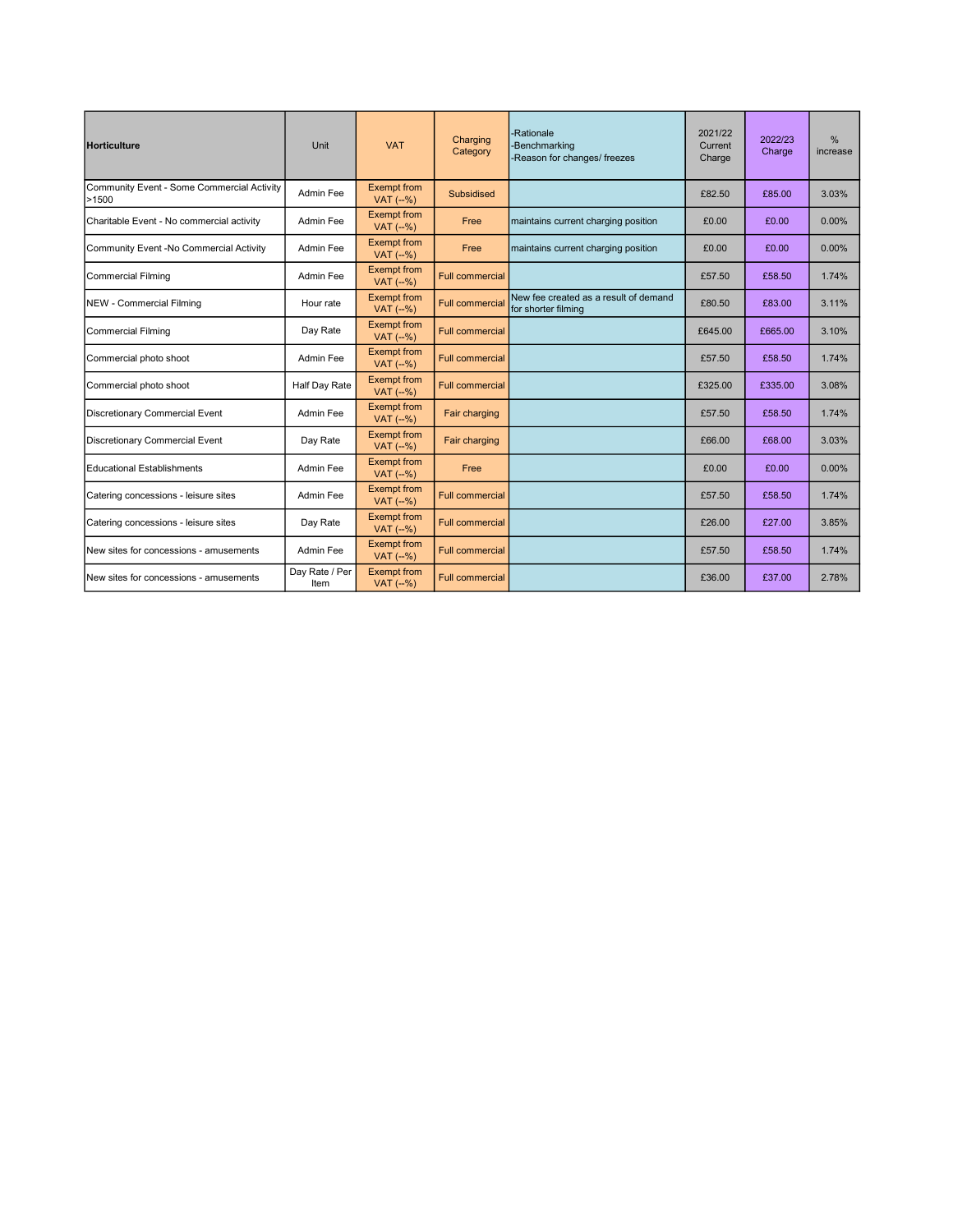| <b>Horticulture</b>                                 | Unit                   | <b>VAT</b>                        | Charging<br>Category   | -Rationale<br>-Benchmarking<br>-Reason for changes/ freezes  | 2021/22<br>Current<br>Charge | 2022/23<br>Charge | %<br>increase |
|-----------------------------------------------------|------------------------|-----------------------------------|------------------------|--------------------------------------------------------------|------------------------------|-------------------|---------------|
| Community Event - Some Commercial Activity<br>>1500 | Admin Fee              | <b>Exempt from</b><br>$VAT$ (--%) | <b>Subsidised</b>      |                                                              | £82.50                       | £85.00            | 3.03%         |
| Charitable Event - No commercial activity           | Admin Fee              | <b>Exempt from</b><br>$VAT$ (--%) | Free                   | maintains current charging position                          | £0.00                        | £0.00             | 0.00%         |
| Community Event -No Commercial Activity             | Admin Fee              | <b>Exempt from</b><br>$VAT$ (--%) | Free                   | maintains current charging position                          | £0.00                        | £0.00             | 0.00%         |
| <b>Commercial Filming</b>                           | Admin Fee              | <b>Exempt from</b><br>$VAT$ (--%) | <b>Full commercial</b> |                                                              | £57.50                       | £58.50            | 1.74%         |
| <b>NEW - Commercial Filming</b>                     | Hour rate              | <b>Exempt from</b><br>$VAT$ (--%) | <b>Full commercia</b>  | New fee created as a result of demand<br>for shorter filming | £80.50                       | £83.00            | 3.11%         |
| <b>Commercial Filming</b>                           | Day Rate               | <b>Exempt from</b><br>$VAT$ (--%) | <b>Full commercial</b> |                                                              | £645.00                      | £665.00           | 3.10%         |
| Commercial photo shoot                              | Admin Fee              | <b>Exempt from</b><br>$VAT$ (--%) | <b>Full commercial</b> |                                                              | £57.50                       | £58.50            | 1.74%         |
| Commercial photo shoot                              | Half Day Rate          | <b>Exempt from</b><br>$VAT$ (--%) | <b>Full commercial</b> |                                                              | £325.00                      | £335.00           | 3.08%         |
| <b>Discretionary Commercial Event</b>               | Admin Fee              | <b>Exempt from</b><br>$VAT$ (--%) | Fair charging          |                                                              | £57.50                       | £58.50            | 1.74%         |
| <b>Discretionary Commercial Event</b>               | Day Rate               | <b>Exempt from</b><br>$VAT$ (--%) | Fair charging          |                                                              | £66.00                       | £68.00            | 3.03%         |
| <b>Educational Establishments</b>                   | Admin Fee              | <b>Exempt from</b><br>$VAT$ (--%) | Free                   |                                                              | £0.00                        | £0.00             | 0.00%         |
| Catering concessions - leisure sites                | Admin Fee              | <b>Exempt from</b><br>$VAT$ (--%) | <b>Full commercial</b> |                                                              | £57.50                       | £58.50            | 1.74%         |
| Catering concessions - leisure sites                | Day Rate               | <b>Exempt from</b><br>$VAT$ (--%) | <b>Full commercial</b> |                                                              | £26.00                       | £27.00            | 3.85%         |
| New sites for concessions - amusements              | Admin Fee              | <b>Exempt from</b><br>$VAT$ (--%) | <b>Full commercial</b> |                                                              | £57.50                       | £58.50            | 1.74%         |
| New sites for concessions - amusements              | Day Rate / Per<br>Item | <b>Exempt from</b><br>$VAT$ (--%) | <b>Full commercial</b> |                                                              | £36.00                       | £37.00            | 2.78%         |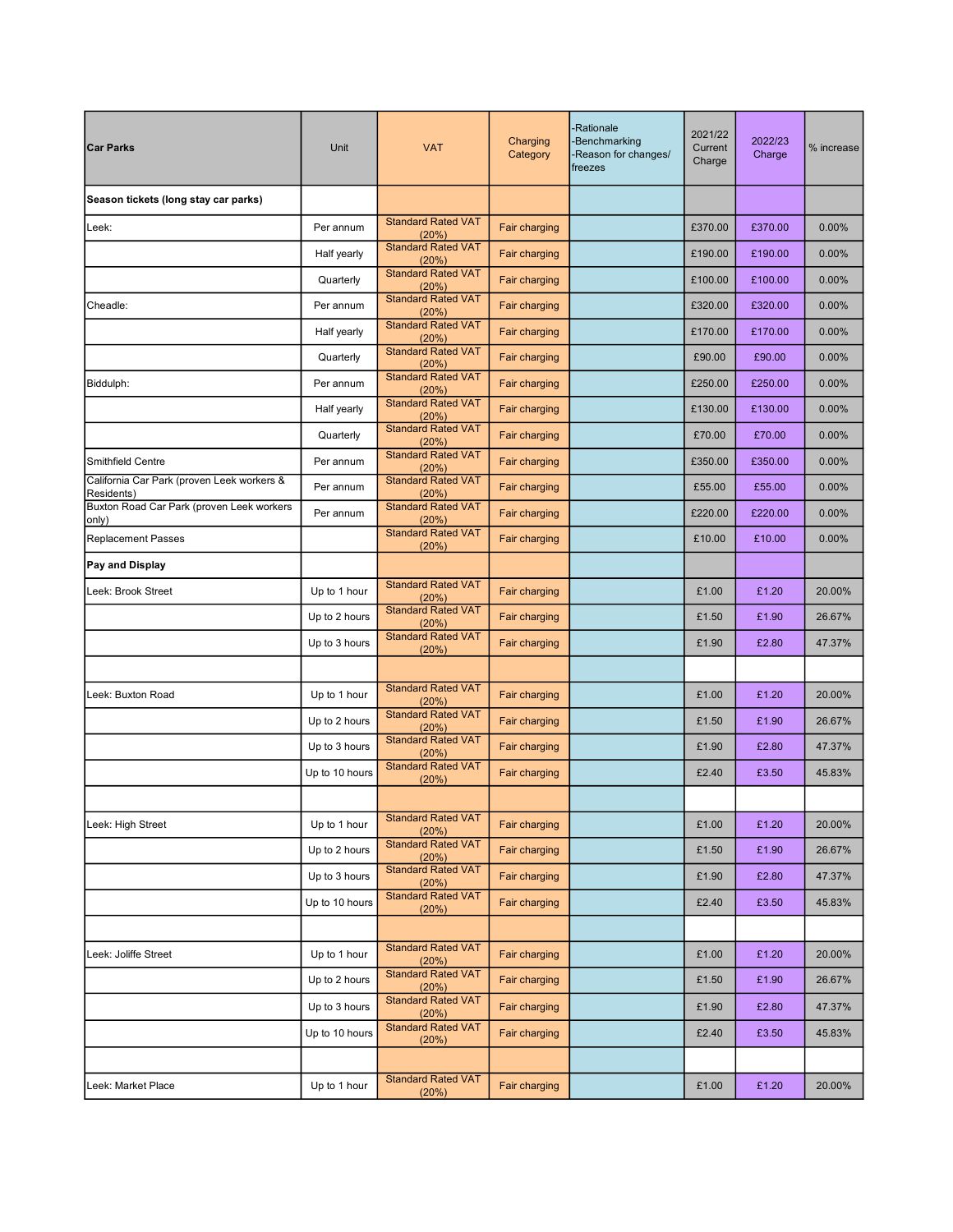| <b>Car Parks</b>                                         | Unit           | <b>VAT</b>                         | Charging<br>Category | Rationale<br>Benchmarking<br>Reason for changes/<br>freezes | 2021/22<br>Current<br>Charge | 2022/23<br>Charge | % increase |
|----------------------------------------------------------|----------------|------------------------------------|----------------------|-------------------------------------------------------------|------------------------------|-------------------|------------|
| Season tickets (long stay car parks)                     |                |                                    |                      |                                                             |                              |                   |            |
| Leek:                                                    | Per annum      | <b>Standard Rated VAT</b><br>(20%) | Fair charging        |                                                             | £370.00                      | £370.00           | 0.00%      |
|                                                          | Half yearly    | <b>Standard Rated VAT</b><br>(20%) | Fair charging        |                                                             | £190.00                      | £190.00           | 0.00%      |
|                                                          | Quarterly      | <b>Standard Rated VAT</b><br>(20%) | Fair charging        |                                                             | £100.00                      | £100.00           | 0.00%      |
| Cheadle:                                                 | Per annum      | <b>Standard Rated VAT</b><br>(20%) | Fair charging        |                                                             | £320.00                      | £320.00           | 0.00%      |
|                                                          | Half yearly    | <b>Standard Rated VAT</b><br>(20%) | Fair charging        |                                                             | £170.00                      | £170.00           | 0.00%      |
|                                                          | Quarterly      | <b>Standard Rated VAT</b><br>(20%) | Fair charging        |                                                             | £90.00                       | £90.00            | 0.00%      |
| Biddulph:                                                | Per annum      | <b>Standard Rated VAT</b><br>(20%) | Fair charging        |                                                             | £250.00                      | £250.00           | 0.00%      |
|                                                          | Half yearly    | <b>Standard Rated VAT</b><br>(20%) | Fair charging        |                                                             | £130.00                      | £130.00           | 0.00%      |
|                                                          | Quarterly      | <b>Standard Rated VAT</b><br>(20%) | Fair charging        |                                                             | £70.00                       | £70.00            | 0.00%      |
| <b>Smithfield Centre</b>                                 | Per annum      | <b>Standard Rated VAT</b><br>(20%) | Fair charging        |                                                             | £350.00                      | £350.00           | 0.00%      |
| California Car Park (proven Leek workers &<br>Residents) | Per annum      | <b>Standard Rated VAT</b><br>(20%) | Fair charging        |                                                             | £55.00                       | £55.00            | 0.00%      |
| Buxton Road Car Park (proven Leek workers<br>only)       | Per annum      | <b>Standard Rated VAT</b><br>(20%) | Fair charging        |                                                             | £220.00                      | £220.00           | 0.00%      |
| <b>Replacement Passes</b>                                |                | <b>Standard Rated VAT</b><br>(20%) | Fair charging        |                                                             | £10.00                       | £10.00            | 0.00%      |
| Pay and Display                                          |                |                                    |                      |                                                             |                              |                   |            |
| Leek: Brook Street                                       | Up to 1 hour   | <b>Standard Rated VAT</b><br>(20%) | Fair charging        |                                                             | £1.00                        | £1.20             | 20.00%     |
|                                                          | Up to 2 hours  | <b>Standard Rated VAT</b><br>(20%) | Fair charging        |                                                             | £1.50                        | £1.90             | 26.67%     |
|                                                          | Up to 3 hours  | <b>Standard Rated VAT</b><br>(20%) | Fair charging        |                                                             | £1.90                        | £2.80             | 47.37%     |
|                                                          |                |                                    |                      |                                                             |                              |                   |            |
| Leek: Buxton Road                                        | Up to 1 hour   | <b>Standard Rated VAT</b><br>(20%) | Fair charging        |                                                             | £1.00                        | £1.20             | 20.00%     |
|                                                          | Up to 2 hours  | <b>Standard Rated VAT</b><br>(20%) | Fair charging        |                                                             | £1.50                        | £1.90             | 26.67%     |
|                                                          | Up to 3 hours  | <b>Standard Rated VAT</b><br>(20%) | Fair charging        |                                                             | £1.90                        | £2.80             | 47.37%     |
|                                                          | Up to 10 hours | <b>Standard Rated VAT</b><br>(20%) | Fair charging        |                                                             | £2.40                        | £3.50             | 45.83%     |
|                                                          |                |                                    |                      |                                                             |                              |                   |            |
| Leek: High Street                                        | Up to 1 hour   | <b>Standard Rated VAT</b><br>(20%) | Fair charging        |                                                             | £1.00                        | £1.20             | 20.00%     |
|                                                          | Up to 2 hours  | <b>Standard Rated VAT</b><br>(20%) | Fair charging        |                                                             | £1.50                        | £1.90             | 26.67%     |
|                                                          | Up to 3 hours  | <b>Standard Rated VAT</b><br>(20%) | Fair charging        |                                                             | £1.90                        | £2.80             | 47.37%     |
|                                                          | Up to 10 hours | <b>Standard Rated VAT</b><br>(20%) | Fair charging        |                                                             | £2.40                        | £3.50             | 45.83%     |
|                                                          |                |                                    |                      |                                                             |                              |                   |            |
| Leek: Joliffe Street                                     | Up to 1 hour   | <b>Standard Rated VAT</b><br>(20%) | Fair charging        |                                                             | £1.00                        | £1.20             | 20.00%     |
|                                                          | Up to 2 hours  | <b>Standard Rated VAT</b><br>(20%) | Fair charging        |                                                             | £1.50                        | £1.90             | 26.67%     |
|                                                          | Up to 3 hours  | <b>Standard Rated VAT</b><br>(20%) | Fair charging        |                                                             | £1.90                        | £2.80             | 47.37%     |
|                                                          | Up to 10 hours | <b>Standard Rated VAT</b><br>(20%) | Fair charging        |                                                             | £2.40                        | £3.50             | 45.83%     |
|                                                          |                |                                    |                      |                                                             |                              |                   |            |
| Leek: Market Place                                       | Up to 1 hour   | <b>Standard Rated VAT</b><br>(20%) | Fair charging        |                                                             | £1.00                        | £1.20             | 20.00%     |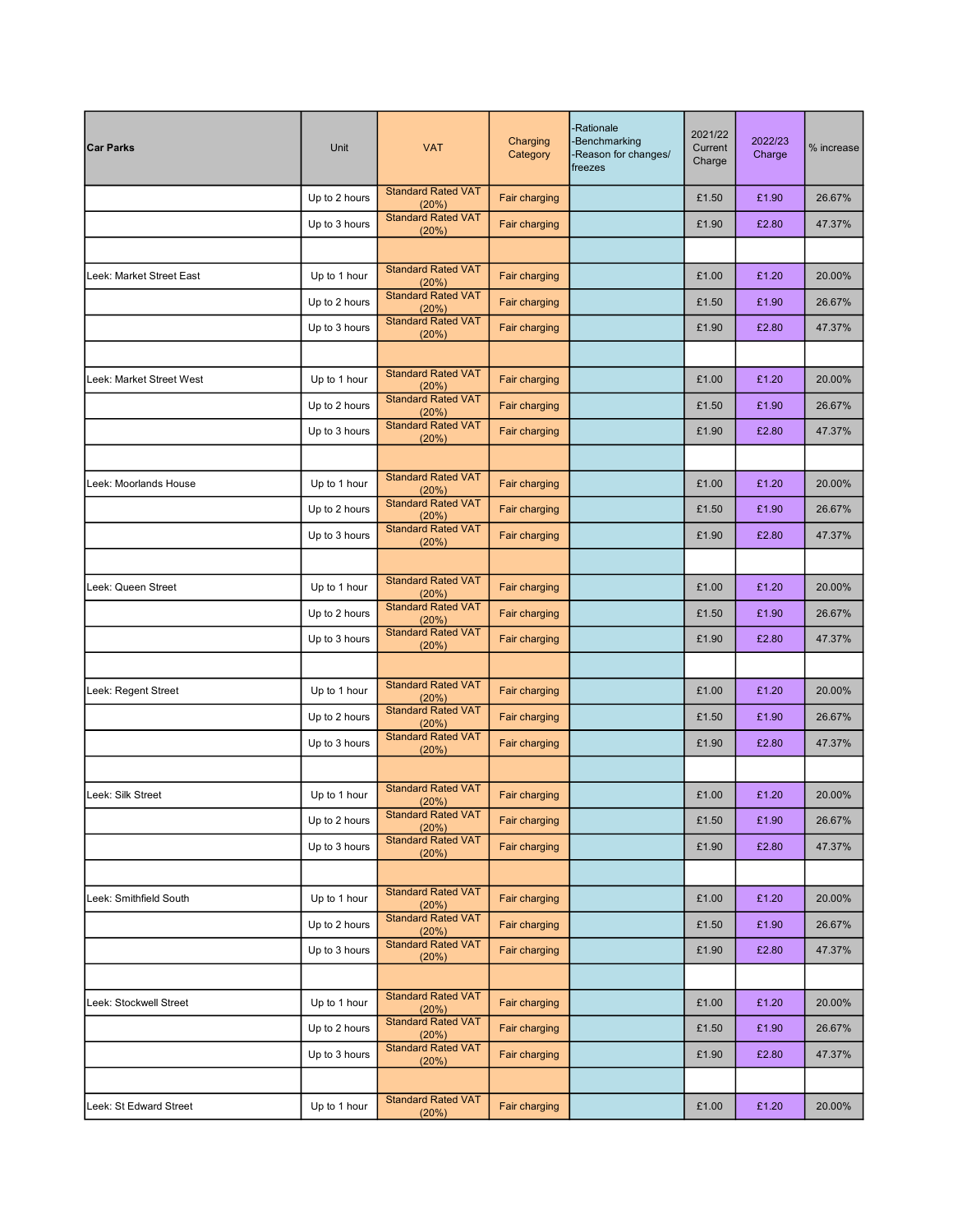| <b>Car Parks</b>         | Unit          | <b>VAT</b>                         | Charging<br>Category | Rationale<br>Benchmarking<br>Reason for changes/<br>freezes | 2021/22<br>Current<br>Charge | 2022/23<br>Charge | % increase |
|--------------------------|---------------|------------------------------------|----------------------|-------------------------------------------------------------|------------------------------|-------------------|------------|
|                          | Up to 2 hours | <b>Standard Rated VAT</b><br>(20%) | Fair charging        |                                                             | £1.50                        | £1.90             | 26.67%     |
|                          | Up to 3 hours | <b>Standard Rated VAT</b><br>(20%) | Fair charging        |                                                             | £1.90                        | £2.80             | 47.37%     |
|                          |               |                                    |                      |                                                             |                              |                   |            |
| Leek: Market Street East | Up to 1 hour  | <b>Standard Rated VAT</b><br>(20%) | Fair charging        |                                                             | £1.00                        | £1.20             | 20.00%     |
|                          | Up to 2 hours | <b>Standard Rated VAT</b><br>(20%) | Fair charging        |                                                             | £1.50                        | £1.90             | 26.67%     |
|                          | Up to 3 hours | <b>Standard Rated VAT</b><br>(20%) | Fair charging        |                                                             | £1.90                        | £2.80             | 47.37%     |
|                          |               |                                    |                      |                                                             |                              |                   |            |
| Leek: Market Street West | Up to 1 hour  | <b>Standard Rated VAT</b><br>(20%) | Fair charging        |                                                             | £1.00                        | £1.20             | 20.00%     |
|                          | Up to 2 hours | <b>Standard Rated VAT</b><br>(20%) | Fair charging        |                                                             | £1.50                        | £1.90             | 26.67%     |
|                          | Up to 3 hours | <b>Standard Rated VAT</b><br>(20%) | Fair charging        |                                                             | £1.90                        | £2.80             | 47.37%     |
|                          |               |                                    |                      |                                                             |                              |                   |            |
| Leek: Moorlands House    | Up to 1 hour  | <b>Standard Rated VAT</b><br>(20%) | Fair charging        |                                                             | £1.00                        | £1.20             | 20.00%     |
|                          | Up to 2 hours | <b>Standard Rated VAT</b><br>(20%) | Fair charging        |                                                             | £1.50                        | £1.90             | 26.67%     |
|                          | Up to 3 hours | <b>Standard Rated VAT</b><br>(20%) | Fair charging        |                                                             | £1.90                        | £2.80             | 47.37%     |
|                          |               |                                    |                      |                                                             |                              |                   |            |
| Leek: Queen Street       | Up to 1 hour  | <b>Standard Rated VAT</b><br>(20%) | Fair charging        |                                                             | £1.00                        | £1.20             | 20.00%     |
|                          | Up to 2 hours | <b>Standard Rated VAT</b><br>(20%) | Fair charging        |                                                             | £1.50                        | £1.90             | 26.67%     |
|                          | Up to 3 hours | <b>Standard Rated VAT</b><br>(20%) | Fair charging        |                                                             | £1.90                        | £2.80             | 47.37%     |
|                          |               |                                    |                      |                                                             |                              |                   |            |
| Leek: Regent Street      | Up to 1 hour  | <b>Standard Rated VAT</b><br>(20%) | Fair charging        |                                                             | £1.00                        | £1.20             | 20.00%     |
|                          | Up to 2 hours | <b>Standard Rated VAT</b><br>(20%) | Fair charging        |                                                             | £1.50                        | £1.90             | 26.67%     |
|                          | Up to 3 hours | <b>Standard Rated VAT</b><br>(20%) | <b>Fair charging</b> |                                                             | £1.90                        | £2.80             | 47.37%     |
|                          |               |                                    |                      |                                                             |                              |                   |            |
| Leek: Silk Street        | Up to 1 hour  | <b>Standard Rated VAT</b><br>(20%) | Fair charging        |                                                             | £1.00                        | £1.20             | 20.00%     |
|                          | Up to 2 hours | <b>Standard Rated VAT</b><br>(20%) | Fair charging        |                                                             | £1.50                        | £1.90             | 26.67%     |
|                          | Up to 3 hours | <b>Standard Rated VAT</b><br>(20%) | Fair charging        |                                                             | £1.90                        | £2.80             | 47.37%     |
|                          |               |                                    |                      |                                                             |                              |                   |            |
| Leek: Smithfield South   | Up to 1 hour  | <b>Standard Rated VAT</b><br>(20%) | Fair charging        |                                                             | £1.00                        | £1.20             | 20.00%     |
|                          | Up to 2 hours | <b>Standard Rated VAT</b><br>(20%) | Fair charging        |                                                             | £1.50                        | £1.90             | 26.67%     |
|                          | Up to 3 hours | <b>Standard Rated VAT</b><br>(20%) | Fair charging        |                                                             | £1.90                        | £2.80             | 47.37%     |
|                          |               |                                    |                      |                                                             |                              |                   |            |
| Leek: Stockwell Street   | Up to 1 hour  | <b>Standard Rated VAT</b><br>(20%) | Fair charging        |                                                             | £1.00                        | £1.20             | 20.00%     |
|                          | Up to 2 hours | <b>Standard Rated VAT</b><br>(20%) | Fair charging        |                                                             | £1.50                        | £1.90             | 26.67%     |
|                          | Up to 3 hours | <b>Standard Rated VAT</b><br>(20%) | Fair charging        |                                                             | £1.90                        | £2.80             | 47.37%     |
|                          |               |                                    |                      |                                                             |                              |                   |            |
| Leek: St Edward Street   | Up to 1 hour  | <b>Standard Rated VAT</b><br>(20%) | Fair charging        |                                                             | £1.00                        | £1.20             | 20.00%     |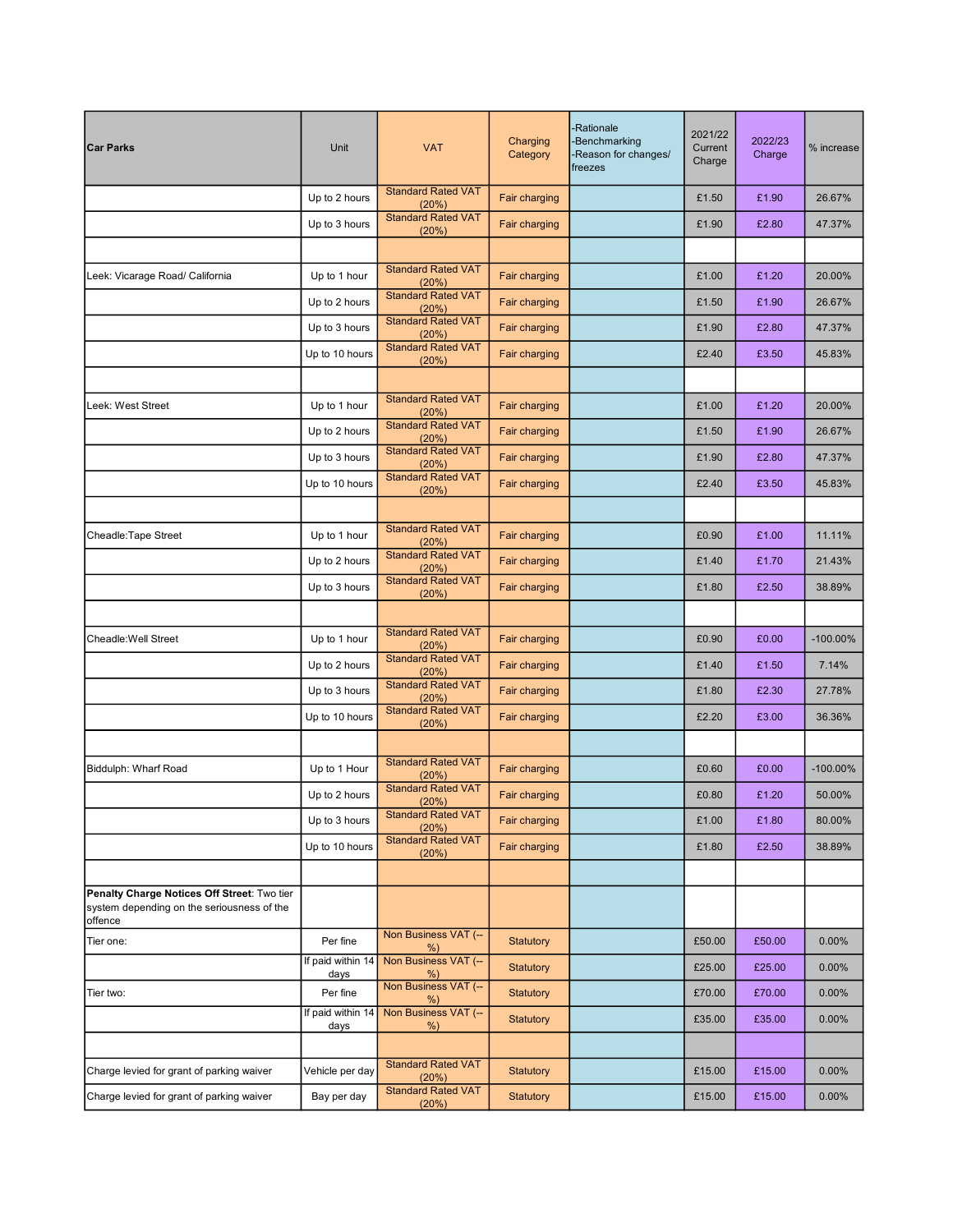| <b>Car Parks</b>                                                                                     | Unit                      | <b>VAT</b>                         | Charging<br>Category | Rationale<br>Benchmarking<br>Reason for changes/<br>freezes | 2021/22<br>Current<br>Charge | 2022/23<br>Charge | % increase  |
|------------------------------------------------------------------------------------------------------|---------------------------|------------------------------------|----------------------|-------------------------------------------------------------|------------------------------|-------------------|-------------|
|                                                                                                      | Up to 2 hours             | <b>Standard Rated VAT</b><br>(20%) | Fair charging        |                                                             | £1.50                        | £1.90             | 26.67%      |
|                                                                                                      | Up to 3 hours             | <b>Standard Rated VAT</b><br>(20%) | Fair charging        |                                                             | £1.90                        | £2.80             | 47.37%      |
|                                                                                                      |                           |                                    |                      |                                                             |                              |                   |             |
| Leek: Vicarage Road/ California                                                                      | Up to 1 hour              | <b>Standard Rated VAT</b><br>(20%) | Fair charging        |                                                             | £1.00                        | £1.20             | 20.00%      |
|                                                                                                      | Up to 2 hours             | <b>Standard Rated VAT</b><br>(20%) | Fair charging        |                                                             | £1.50                        | £1.90             | 26.67%      |
|                                                                                                      | Up to 3 hours             | <b>Standard Rated VAT</b><br>(20%) | Fair charging        |                                                             | £1.90                        | £2.80             | 47.37%      |
|                                                                                                      | Up to 10 hours            | <b>Standard Rated VAT</b><br>(20%) | Fair charging        |                                                             | £2.40                        | £3.50             | 45.83%      |
|                                                                                                      |                           |                                    |                      |                                                             |                              |                   |             |
| Leek: West Street                                                                                    | Up to 1 hour              | <b>Standard Rated VAT</b><br>(20%) | Fair charging        |                                                             | £1.00                        | £1.20             | 20.00%      |
|                                                                                                      | Up to 2 hours             | <b>Standard Rated VAT</b><br>(20%) | Fair charging        |                                                             | £1.50                        | £1.90             | 26.67%      |
|                                                                                                      | Up to 3 hours             | <b>Standard Rated VAT</b><br>(20%) | Fair charging        |                                                             | £1.90                        | £2.80             | 47.37%      |
|                                                                                                      | Up to 10 hours            | <b>Standard Rated VAT</b><br>(20%) | Fair charging        |                                                             | £2.40                        | £3.50             | 45.83%      |
|                                                                                                      |                           |                                    |                      |                                                             |                              |                   |             |
| Cheadle: Tape Street                                                                                 | Up to 1 hour              | <b>Standard Rated VAT</b><br>(20%) | Fair charging        |                                                             | £0.90                        | £1.00             | 11.11%      |
|                                                                                                      | Up to 2 hours             | <b>Standard Rated VAT</b><br>(20%) | Fair charging        |                                                             | £1.40                        | £1.70             | 21.43%      |
|                                                                                                      | Up to 3 hours             | <b>Standard Rated VAT</b><br>(20%) | Fair charging        |                                                             | £1.80                        | £2.50             | 38.89%      |
|                                                                                                      |                           |                                    |                      |                                                             |                              |                   |             |
| Cheadle: Well Street                                                                                 | Up to 1 hour              | <b>Standard Rated VAT</b><br>(20%) | Fair charging        |                                                             | £0.90                        | £0.00             | $-100.00\%$ |
|                                                                                                      | Up to 2 hours             | <b>Standard Rated VAT</b><br>(20%) | Fair charging        |                                                             | £1.40                        | £1.50             | 7.14%       |
|                                                                                                      | Up to 3 hours             | <b>Standard Rated VAT</b><br>(20%) | Fair charging        |                                                             | £1.80                        | £2.30             | 27.78%      |
|                                                                                                      | Up to 10 hours            | <b>Standard Rated VAT</b><br>(20%) | Fair charging        |                                                             | £2.20                        | £3.00             | 36.36%      |
|                                                                                                      |                           |                                    |                      |                                                             |                              |                   |             |
| Biddulph: Wharf Road                                                                                 | Up to 1 Hour              | <b>Standard Rated VAT</b><br>(20%) | Fair charging        |                                                             | £0.60                        | £0.00             | $-100.00\%$ |
|                                                                                                      | Up to 2 hours             | <b>Standard Rated VAT</b><br>(20%) | Fair charging        |                                                             | £0.80                        | £1.20             | 50.00%      |
|                                                                                                      | Up to 3 hours             | <b>Standard Rated VAT</b><br>(20%) | Fair charging        |                                                             | £1.00                        | £1.80             | 80.00%      |
|                                                                                                      | Up to 10 hours            | <b>Standard Rated VAT</b><br>(20%) | Fair charging        |                                                             | £1.80                        | £2.50             | 38.89%      |
|                                                                                                      |                           |                                    |                      |                                                             |                              |                   |             |
| Penalty Charge Notices Off Street: Two tier<br>system depending on the seriousness of the<br>offence |                           |                                    |                      |                                                             |                              |                   |             |
| Tier one:                                                                                            | Per fine                  | Non Business VAT (-<br>$%$ )       | Statutory            |                                                             | £50.00                       | £50.00            | 0.00%       |
|                                                                                                      | If paid within 14<br>days | Non Business VAT (-<br>$%$ )       | Statutory            |                                                             | £25.00                       | £25.00            | 0.00%       |
| Tier two:                                                                                            | Per fine                  | Non Business VAT (-<br>$%$ )       | <b>Statutory</b>     |                                                             | £70.00                       | £70.00            | 0.00%       |
|                                                                                                      | If paid within 14<br>days | Non Business VAT (-<br>%           | Statutory            |                                                             | £35.00                       | £35.00            | 0.00%       |
|                                                                                                      |                           |                                    |                      |                                                             |                              |                   |             |
| Charge levied for grant of parking waiver                                                            | Vehicle per day           | <b>Standard Rated VAT</b><br>(20%) | Statutory            |                                                             | £15.00                       | £15.00            | 0.00%       |
| Charge levied for grant of parking waiver                                                            | Bay per day               | <b>Standard Rated VAT</b><br>(20%) | <b>Statutory</b>     |                                                             | £15.00                       | £15.00            | $0.00\%$    |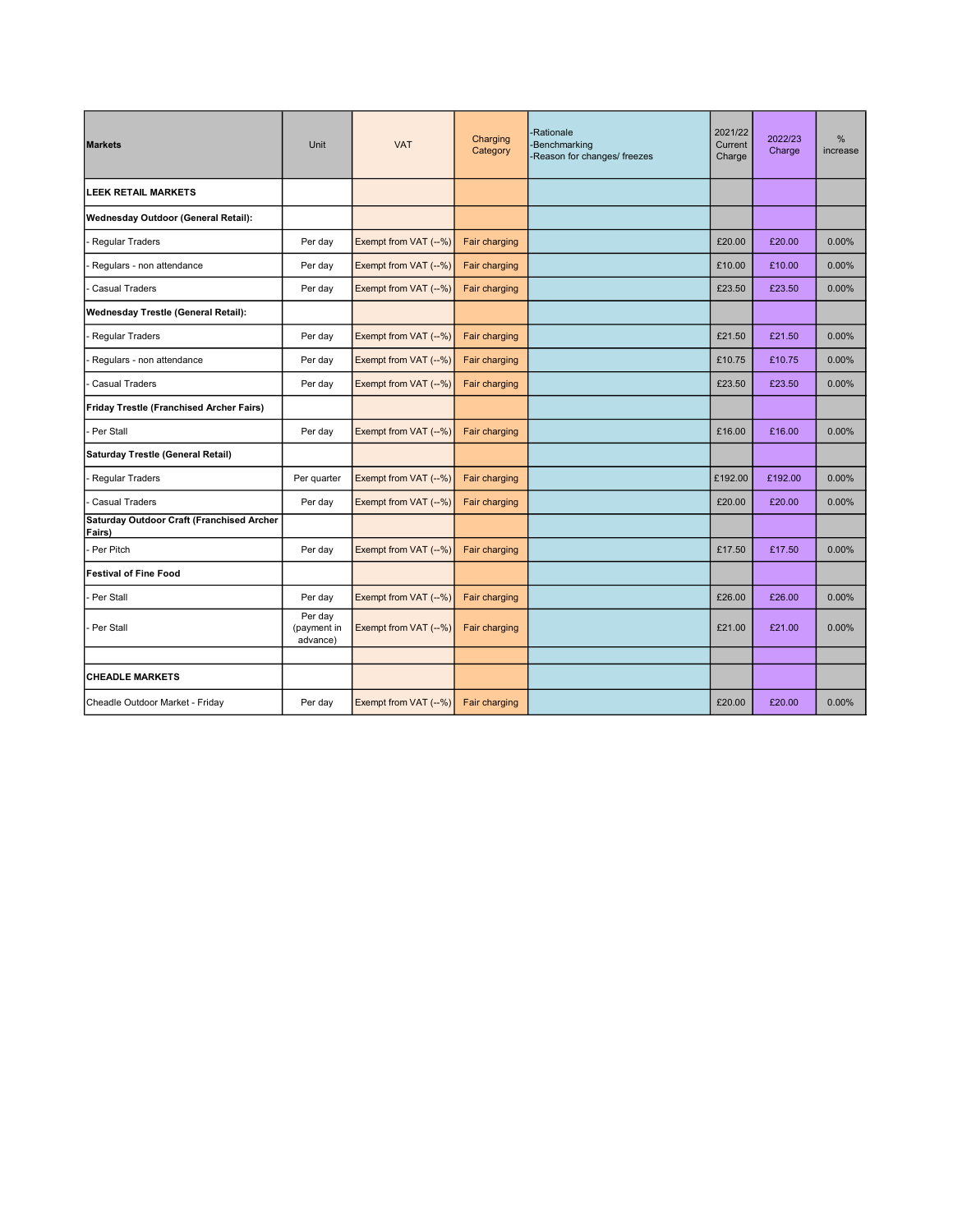| <b>Markets</b>                                      | Unit                               | <b>VAT</b>            | Charging<br>Category | -Rationale<br>-Benchmarking<br>-Reason for changes/ freezes | 2021/22<br>Current<br>Charge | 2022/23<br>Charge | %<br>increase |
|-----------------------------------------------------|------------------------------------|-----------------------|----------------------|-------------------------------------------------------------|------------------------------|-------------------|---------------|
| <b>LEEK RETAIL MARKETS</b>                          |                                    |                       |                      |                                                             |                              |                   |               |
| Wednesday Outdoor (General Retail):                 |                                    |                       |                      |                                                             |                              |                   |               |
| Regular Traders                                     | Per day                            | Exempt from VAT (--%) | Fair charging        |                                                             | £20.00                       | £20.00            | 0.00%         |
| Regulars - non attendance                           | Per day                            | Exempt from VAT (--%) | Fair charging        |                                                             | £10.00                       | £10.00            | 0.00%         |
| <b>Casual Traders</b>                               | Per day                            | Exempt from VAT (--%) | Fair charging        |                                                             | £23.50                       | £23.50            | 0.00%         |
| <b>Wednesday Trestle (General Retail):</b>          |                                    |                       |                      |                                                             |                              |                   |               |
| Regular Traders                                     | Per day                            | Exempt from VAT (--%) | Fair charging        |                                                             | £21.50                       | £21.50            | 0.00%         |
| Regulars - non attendance                           | Per day                            | Exempt from VAT (--%) | Fair charging        |                                                             | £10.75                       | £10.75            | 0.00%         |
| <b>Casual Traders</b>                               | Per day                            | Exempt from VAT (--%) | Fair charging        |                                                             | £23.50                       | £23.50            | 0.00%         |
| Friday Trestle (Franchised Archer Fairs)            |                                    |                       |                      |                                                             |                              |                   |               |
| Per Stall                                           | Per day                            | Exempt from VAT (--%) | Fair charging        |                                                             | £16.00                       | £16.00            | 0.00%         |
| Saturday Trestle (General Retail)                   |                                    |                       |                      |                                                             |                              |                   |               |
| <b>Regular Traders</b>                              | Per quarter                        | Exempt from VAT (--%) | Fair charging        |                                                             | £192.00                      | £192.00           | 0.00%         |
| <b>Casual Traders</b>                               | Per day                            | Exempt from VAT (--%) | Fair charging        |                                                             | £20.00                       | £20.00            | 0.00%         |
| Saturday Outdoor Craft (Franchised Archer<br>Fairs) |                                    |                       |                      |                                                             |                              |                   |               |
| Per Pitch                                           | Per day                            | Exempt from VAT (--%) | Fair charging        |                                                             | £17.50                       | £17.50            | 0.00%         |
| <b>Festival of Fine Food</b>                        |                                    |                       |                      |                                                             |                              |                   |               |
| Per Stall                                           | Per day                            | Exempt from VAT (--%) | Fair charging        |                                                             | £26.00                       | £26.00            | 0.00%         |
| Per Stall                                           | Per day<br>(payment in<br>advance) | Exempt from VAT (--%) | Fair charging        |                                                             | £21.00                       | £21.00            | 0.00%         |
|                                                     |                                    |                       |                      |                                                             |                              |                   |               |
| <b>CHEADLE MARKETS</b>                              |                                    |                       |                      |                                                             |                              |                   |               |
| Cheadle Outdoor Market - Friday                     | Per day                            | Exempt from VAT (--%) | Fair charging        |                                                             | £20.00                       | £20.00            | 0.00%         |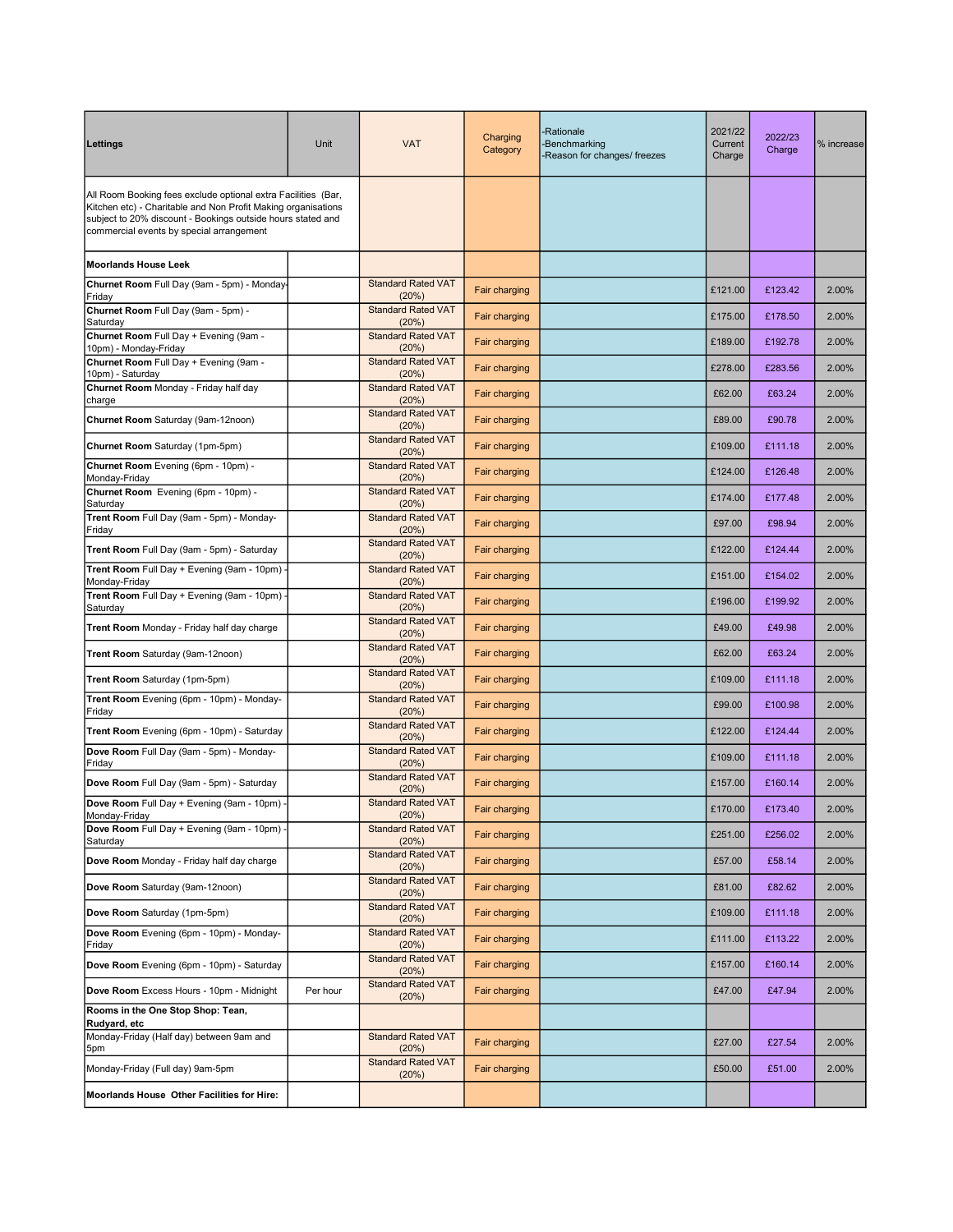| Lettings                                                                                                                                                                                                                                  | Unit     | <b>VAT</b>                         | Charging<br>Category | -Rationale<br>-Benchmarking<br>-Reason for changes/ freezes | 2021/22<br>Current<br>Charge | 2022/23<br>Charge | % increase |
|-------------------------------------------------------------------------------------------------------------------------------------------------------------------------------------------------------------------------------------------|----------|------------------------------------|----------------------|-------------------------------------------------------------|------------------------------|-------------------|------------|
| All Room Booking fees exclude optional extra Facilities (Bar,<br>Kitchen etc) - Charitable and Non Profit Making organisations<br>subject to 20% discount - Bookings outside hours stated and<br>commercial events by special arrangement |          |                                    |                      |                                                             |                              |                   |            |
| <b>Moorlands House Leek</b>                                                                                                                                                                                                               |          |                                    |                      |                                                             |                              |                   |            |
| Churnet Room Full Day (9am - 5pm) - Monday-<br>Friday                                                                                                                                                                                     |          | <b>Standard Rated VAT</b><br>(20%) | Fair charging        |                                                             | £121.00                      | £123.42           | 2.00%      |
| Churnet Room Full Day (9am - 5pm) -<br>Saturday                                                                                                                                                                                           |          | <b>Standard Rated VAT</b><br>(20%) | Fair charging        |                                                             | £175.00                      | £178.50           | 2.00%      |
| Churnet Room Full Day + Evening (9am -<br>10pm) - Monday-Friday                                                                                                                                                                           |          | <b>Standard Rated VAT</b><br>(20%) | Fair charging        |                                                             | £189.00                      | £192.78           | 2.00%      |
| Churnet Room Full Day + Evening (9am -<br>10pm) - Saturday                                                                                                                                                                                |          | <b>Standard Rated VAT</b><br>(20%) | Fair charging        |                                                             | £278.00                      | £283.56           | 2.00%      |
| Churnet Room Monday - Friday half day<br>charge                                                                                                                                                                                           |          | <b>Standard Rated VAT</b><br>(20%) | Fair charging        |                                                             | £62.00                       | £63.24            | 2.00%      |
| Churnet Room Saturday (9am-12noon)                                                                                                                                                                                                        |          | <b>Standard Rated VAT</b><br>(20%) | Fair charging        |                                                             | £89.00                       | £90.78            | 2.00%      |
| Churnet Room Saturday (1pm-5pm)                                                                                                                                                                                                           |          | <b>Standard Rated VAT</b><br>(20%) | <b>Fair charging</b> |                                                             | £109.00                      | £111.18           | 2.00%      |
| Churnet Room Evening (6pm - 10pm) -<br>Monday-Friday                                                                                                                                                                                      |          | <b>Standard Rated VAT</b><br>(20%) | Fair charging        |                                                             | £124.00                      | £126.48           | 2.00%      |
| Churnet Room Evening (6pm - 10pm) -<br>Saturday                                                                                                                                                                                           |          | <b>Standard Rated VAT</b><br>(20%) | Fair charging        |                                                             | £174.00                      | £177.48           | 2.00%      |
| Trent Room Full Day (9am - 5pm) - Monday-<br>Friday                                                                                                                                                                                       |          | <b>Standard Rated VAT</b><br>(20%) | Fair charging        |                                                             | £97.00                       | £98.94            | 2.00%      |
| Trent Room Full Day (9am - 5pm) - Saturday                                                                                                                                                                                                |          | <b>Standard Rated VAT</b><br>(20%) | Fair charging        |                                                             | £122.00                      | £124.44           | 2.00%      |
| Trent Room Full Day + Evening (9am - 10pm) -<br>Monday-Friday                                                                                                                                                                             |          | <b>Standard Rated VAT</b><br>(20%) | Fair charging        |                                                             | £151.00                      | £154.02           | 2.00%      |
| Trent Room Full Day + Evening (9am - 10pm) -<br>Saturday                                                                                                                                                                                  |          | <b>Standard Rated VAT</b><br>(20%) | Fair charging        |                                                             | £196.00                      | £199.92           | 2.00%      |
| <b>Trent Room</b> Monday - Friday half day charge                                                                                                                                                                                         |          | <b>Standard Rated VAT</b><br>(20%) | Fair charging        |                                                             | £49.00                       | £49.98            | 2.00%      |
| Trent Room Saturday (9am-12noon)                                                                                                                                                                                                          |          | <b>Standard Rated VAT</b><br>(20%) | Fair charging        |                                                             | £62.00                       | £63.24            | 2.00%      |
| Trent Room Saturday (1pm-5pm)                                                                                                                                                                                                             |          | <b>Standard Rated VAT</b><br>(20%) | Fair charging        |                                                             | £109.00                      | £111.18           | 2.00%      |
| Trent Room Evening (6pm - 10pm) - Monday-<br>Friday                                                                                                                                                                                       |          | <b>Standard Rated VAT</b><br>(20%) | Fair charging        |                                                             | £99.00                       | £100.98           | 2.00%      |
| Trent Room Evening (6pm - 10pm) - Saturday                                                                                                                                                                                                |          | <b>Standard Rated VAT</b><br>(20%) | Fair charging        |                                                             | £122.00                      | £124.44           | 2.00%      |
| Dove Room Full Day (9am - 5pm) - Monday-<br>Friday                                                                                                                                                                                        |          | <b>Standard Rated VAT</b><br>(20%) | Fair charging        |                                                             | £109.00                      | £111.18           | 2.00%      |
| Dove Room Full Day (9am - 5pm) - Saturday                                                                                                                                                                                                 |          | <b>Standard Rated VAT</b><br>(20%) | Fair charging        |                                                             | £157.00                      | £160.14           | 2.00%      |
| Dove Room Full Day + Evening (9am - 10pm) -<br>Monday-Friday                                                                                                                                                                              |          | <b>Standard Rated VAT</b><br>(20%) | Fair charging        |                                                             | £170.00                      | £173.40           | 2.00%      |
| Dove Room Full Day + Evening (9am - 10pm) -<br>Saturday                                                                                                                                                                                   |          | <b>Standard Rated VAT</b><br>(20%) | Fair charging        |                                                             | £251.00                      | £256.02           | 2.00%      |
| Dove Room Monday - Friday half day charge                                                                                                                                                                                                 |          | <b>Standard Rated VAT</b><br>(20%) | Fair charging        |                                                             | £57.00                       | £58.14            | 2.00%      |
| Dove Room Saturday (9am-12noon)                                                                                                                                                                                                           |          | <b>Standard Rated VAT</b><br>(20%) | Fair charging        |                                                             | £81.00                       | £82.62            | 2.00%      |
| Dove Room Saturday (1pm-5pm)                                                                                                                                                                                                              |          | <b>Standard Rated VAT</b><br>(20%) | Fair charging        |                                                             | £109.00                      | £111.18           | 2.00%      |
| Dove Room Evening (6pm - 10pm) - Monday-<br>Friday                                                                                                                                                                                        |          | <b>Standard Rated VAT</b><br>(20%) | Fair charging        |                                                             | £111.00                      | £113.22           | 2.00%      |
| Dove Room Evening (6pm - 10pm) - Saturday                                                                                                                                                                                                 |          | <b>Standard Rated VAT</b><br>(20%) | Fair charging        |                                                             | £157.00                      | £160.14           | 2.00%      |
| Dove Room Excess Hours - 10pm - Midnight                                                                                                                                                                                                  | Per hour | <b>Standard Rated VAT</b><br>(20%) | Fair charging        |                                                             | £47.00                       | £47.94            | 2.00%      |
| Rooms in the One Stop Shop: Tean,<br>Rudyard, etc                                                                                                                                                                                         |          |                                    |                      |                                                             |                              |                   |            |
| Monday-Friday (Half day) between 9am and<br>5pm                                                                                                                                                                                           |          | <b>Standard Rated VAT</b><br>(20%) | Fair charging        |                                                             | £27.00                       | £27.54            | 2.00%      |
| Monday-Friday (Full day) 9am-5pm                                                                                                                                                                                                          |          | <b>Standard Rated VAT</b><br>(20%) | Fair charging        |                                                             | £50.00                       | £51.00            | 2.00%      |
| Moorlands House Other Facilities for Hire:                                                                                                                                                                                                |          |                                    |                      |                                                             |                              |                   |            |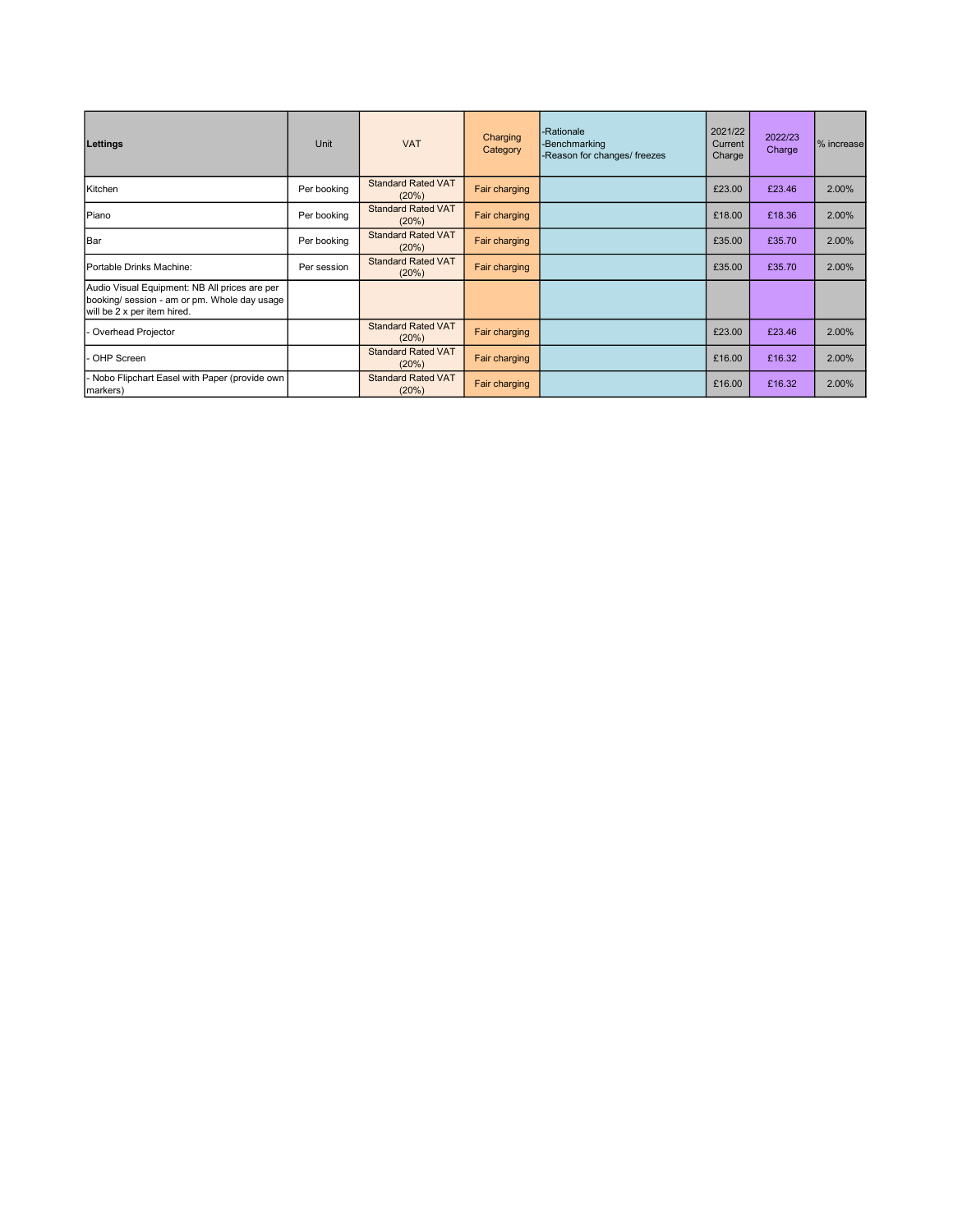| Lettings                                                                                                                     | Unit        | <b>VAT</b>                         | Charging<br>Category | -Rationale<br>-Benchmarking<br>-Reason for changes/ freezes | 2021/22<br>Current<br>Charge | 2022/23<br>Charge | % increase |
|------------------------------------------------------------------------------------------------------------------------------|-------------|------------------------------------|----------------------|-------------------------------------------------------------|------------------------------|-------------------|------------|
| Kitchen                                                                                                                      | Per booking | <b>Standard Rated VAT</b><br>(20%) | Fair charging        |                                                             | £23.00                       | £23.46            | 2.00%      |
| Piano                                                                                                                        | Per booking | <b>Standard Rated VAT</b><br>(20%) | Fair charging        |                                                             | £18.00                       | £18.36            | 2.00%      |
| Bar                                                                                                                          | Per booking | <b>Standard Rated VAT</b><br>(20%) | Fair charging        |                                                             | £35.00                       | £35.70            | 2.00%      |
| Portable Drinks Machine:                                                                                                     | Per session | <b>Standard Rated VAT</b><br>(20%) | Fair charging        |                                                             | £35.00                       | £35.70            | 2.00%      |
| Audio Visual Equipment: NB All prices are per<br>booking/ session - am or pm. Whole day usage<br>will be 2 x per item hired. |             |                                    |                      |                                                             |                              |                   |            |
| Overhead Projector                                                                                                           |             | <b>Standard Rated VAT</b><br>(20%) | Fair charging        |                                                             | £23.00                       | £23.46            | 2.00%      |
| OHP Screen                                                                                                                   |             | <b>Standard Rated VAT</b><br>(20%) | Fair charging        |                                                             | £16.00                       | £16.32            | 2.00%      |
| Nobo Flipchart Easel with Paper (provide own<br>markers)                                                                     |             | <b>Standard Rated VAT</b><br>(20%) | Fair charging        |                                                             | £16.00                       | £16.32            | 2.00%      |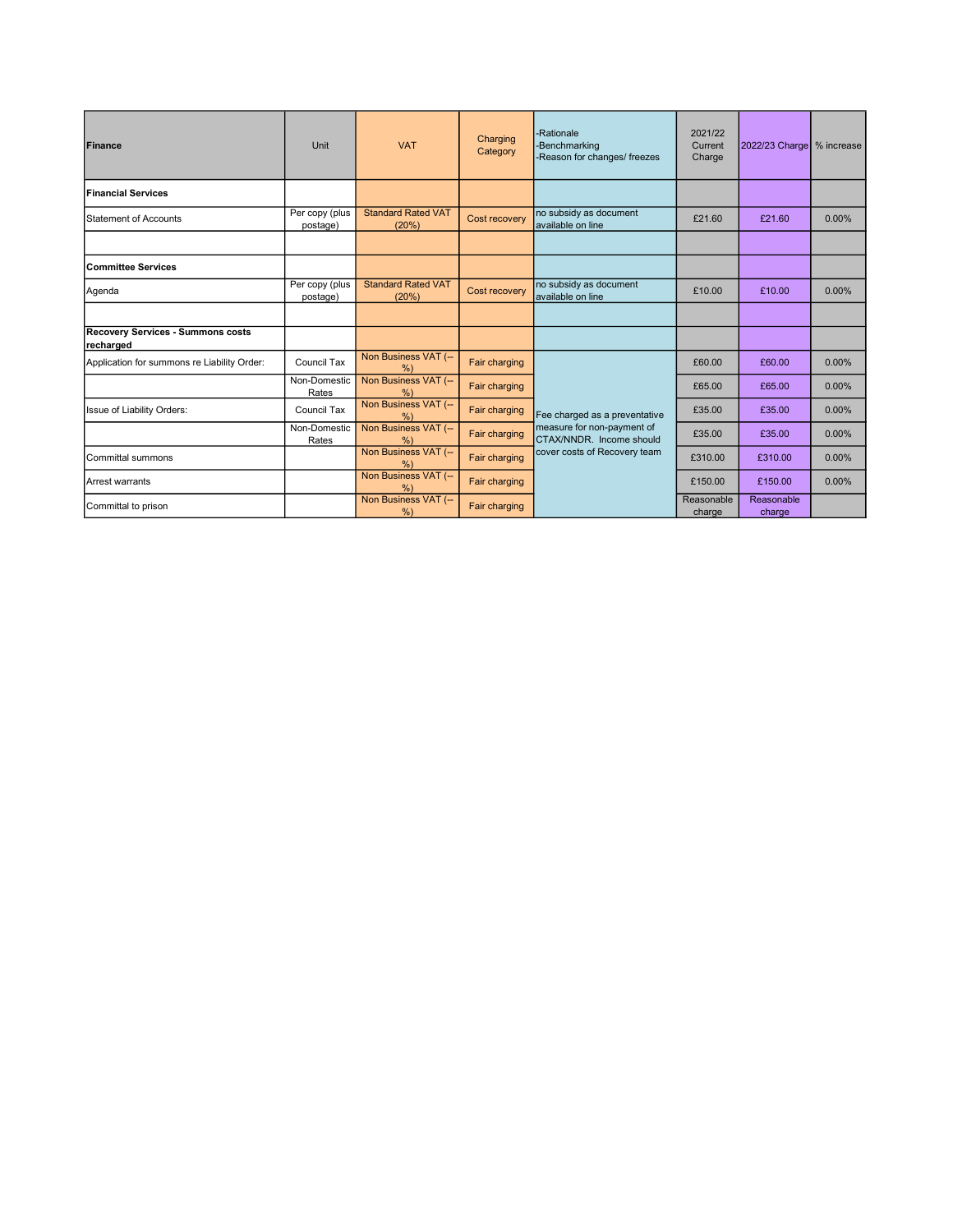| Finance                                               | Unit                       | <b>VAT</b>                         | Charging<br>Category | -Rationale<br>-Benchmarking<br>-Reason for changes/ freezes                             | 2021/22<br>Current<br>Charge | 2022/23 Charge   % increase |          |
|-------------------------------------------------------|----------------------------|------------------------------------|----------------------|-----------------------------------------------------------------------------------------|------------------------------|-----------------------------|----------|
| Financial Services                                    |                            |                                    |                      |                                                                                         |                              |                             |          |
| Statement of Accounts                                 | Per copy (plus<br>postage) | <b>Standard Rated VAT</b><br>(20%) | Cost recovery        | no subsidy as document<br>available on line                                             | £21.60                       | £21.60                      | $0.00\%$ |
|                                                       |                            |                                    |                      |                                                                                         |                              |                             |          |
| Committee Services                                    |                            |                                    |                      |                                                                                         |                              |                             |          |
| Agenda                                                | Per copy (plus<br>postage) | <b>Standard Rated VAT</b><br>(20%) | Cost recovery        | no subsidy as document<br>available on line                                             | £10.00                       | £10.00                      | $0.00\%$ |
|                                                       |                            |                                    |                      |                                                                                         |                              |                             |          |
| <b>Recovery Services - Summons costs</b><br>recharged |                            |                                    |                      |                                                                                         |                              |                             |          |
| Application for summons re Liability Order:           | Council Tax                | Non Business VAT (--<br>%          | Fair charging        |                                                                                         | £60.00                       | £60.00                      | $0.00\%$ |
|                                                       | Non-Domestic<br>Rates      | Non Business VAT (--<br>%          | Fair charging        |                                                                                         | £65.00                       | £65.00                      | $0.00\%$ |
| Issue of Liability Orders:                            | Council Tax                | Non Business VAT (--<br>$\%$       | Fair charging        | Fee charged as a preventative<br>measure for non-payment of<br>CTAX/NNDR. Income should | £35.00                       | £35.00                      | 0.00%    |
|                                                       | Non-Domestic<br>Rates      | Non Business VAT (--<br>%          | Fair charging        |                                                                                         | £35.00                       | £35.00                      | $0.00\%$ |
| <b>I</b> Committal summons                            |                            | Non Business VAT (--<br>%          | Fair charging        | cover costs of Recovery team                                                            | £310.00                      | £310.00                     | 0.00%    |
| Arrest warrants                                       |                            | Non Business VAT (--<br>%          | Fair charging        |                                                                                         | £150.00                      | £150.00                     | 0.00%    |
| Committal to prison                                   |                            | Non Business VAT (--<br>%          | Fair charging        |                                                                                         | Reasonable<br>charge         | Reasonable<br>charge        |          |